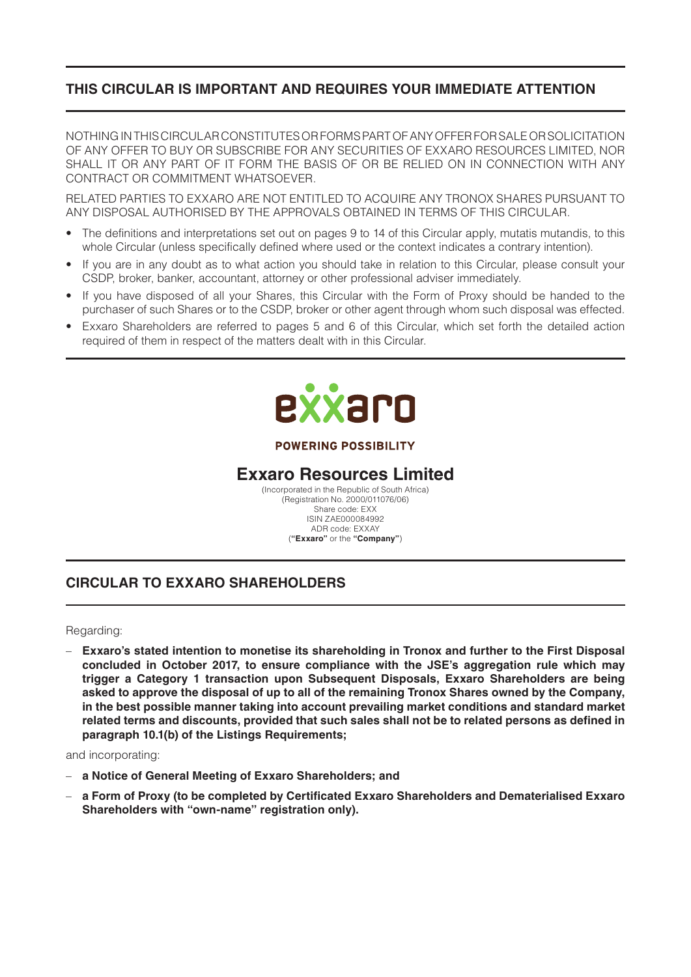# **THIS CIRCULAR IS IMPORTANT AND REQUIRES YOUR IMMEDIATE ATTENTION**

NOTHING IN THIS CIRCULAR CONSTITUTES OR FORMS PART OF ANY OFFER FOR SALE OR SOLICITATION OF ANY OFFER TO BUY OR SUBSCRIBE FOR ANY SECURITIES OF EXXARO RESOURCES LIMITED, NOR SHALL IT OR ANY PART OF IT FORM THE BASIS OF OR BE RELIED ON IN CONNECTION WITH ANY CONTRACT OR COMMITMENT WHATSOEVER.

RELATED PARTIES TO EXXARO ARE NOT ENTITLED TO ACQUIRE ANY TRONOX SHARES PURSUANT TO ANY DISPOSAL AUTHORISED BY THE APPROVALS OBTAINED IN TERMS OF THIS CIRCULAR.

- The definitions and interpretations set out on pages 9 to 14 of this Circular apply, mutatis mutandis, to this whole Circular (unless specifically defined where used or the context indicates a contrary intention).
- If you are in any doubt as to what action you should take in relation to this Circular, please consult your CSDP, broker, banker, accountant, attorney or other professional adviser immediately.
- If you have disposed of all your Shares, this Circular with the Form of Proxy should be handed to the purchaser of such Shares or to the CSDP, broker or other agent through whom such disposal was effected.
- Exxaro Shareholders are referred to pages 5 and 6 of this Circular, which set forth the detailed action required of them in respect of the matters dealt with in this Circular.



#### **POWERING POSSIBILITY**

# **Exxaro Resources Limited**

(Incorporated in the Republic of South Africa) (Registration No. 2000/011076/06) Share code: EXX ISIN ZAE000084992 ADR code: EXXAY (**"Exxaro"** or the **"Company"**)

# **CIRCULAR TO EXXARO SHAREHOLDERS**

#### Regarding:

– **Exxaro's stated intention to monetise its shareholding in Tronox and further to the First Disposal concluded in October 2017, to ensure compliance with the JSE's aggregation rule which may trigger a Category 1 transaction upon Subsequent Disposals, Exxaro Shareholders are being asked to approve the disposal of up to all of the remaining Tronox Shares owned by the Company, in the best possible manner taking into account prevailing market conditions and standard market related terms and discounts, provided that such sales shall not be to related persons as defined in paragraph 10.1(b) of the Listings Requirements;**

and incorporating:

- **a Notice of General Meeting of Exxaro Shareholders; and**
- **a Form of Proxy (to be completed by Certificated Exxaro Shareholders and Dematerialised Exxaro Shareholders with "own-name" registration only).**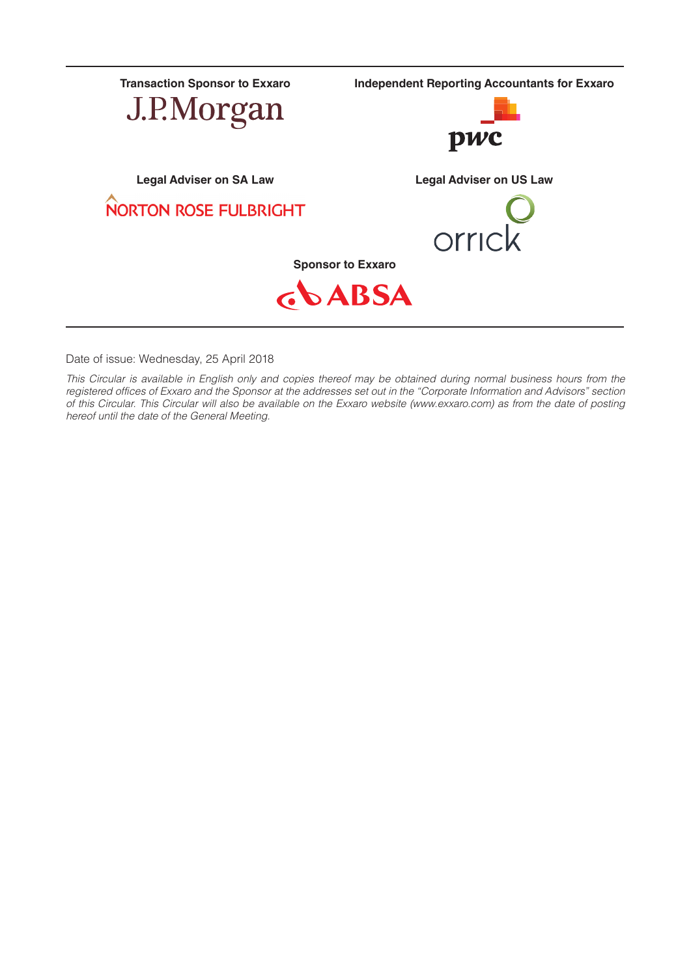

Date of issue: Wednesday, 25 April 2018

*This Circular is available in English only and copies thereof may be obtained during normal business hours from the registered offices of Exxaro and the Sponsor at the addresses set out in the "Corporate Information and Advisors" section of this Circular. This Circular will also be available on the Exxaro website (www.exxaro.com) as from the date of posting hereof until the date of the General Meeting.*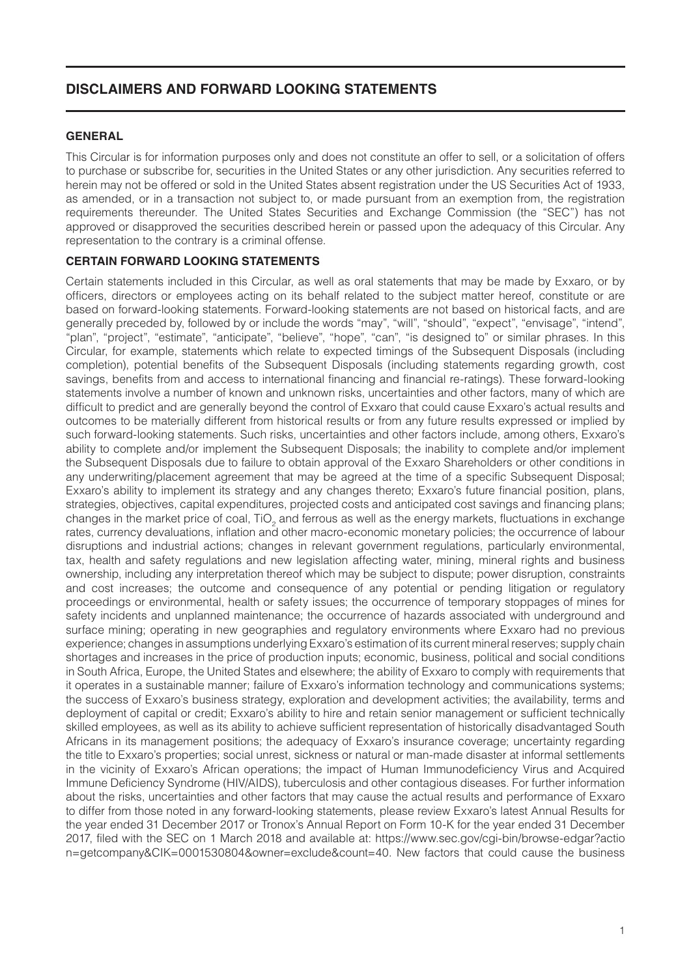## **DISCLAIMERS AND FORWARD LOOKING STATEMENTS**

#### **GENERAL**

This Circular is for information purposes only and does not constitute an offer to sell, or a solicitation of offers to purchase or subscribe for, securities in the United States or any other jurisdiction. Any securities referred to herein may not be offered or sold in the United States absent registration under the US Securities Act of 1933, as amended, or in a transaction not subject to, or made pursuant from an exemption from, the registration requirements thereunder. The United States Securities and Exchange Commission (the "SEC") has not approved or disapproved the securities described herein or passed upon the adequacy of this Circular. Any representation to the contrary is a criminal offense.

## **CERTAIN FORWARD LOOKING STATEMENTS**

Certain statements included in this Circular, as well as oral statements that may be made by Exxaro, or by officers, directors or employees acting on its behalf related to the subject matter hereof, constitute or are based on forward-looking statements. Forward-looking statements are not based on historical facts, and are generally preceded by, followed by or include the words "may", "will", "should", "expect", "envisage", "intend", "plan", "project", "estimate", "anticipate", "believe", "hope", "can", "is designed to" or similar phrases. In this Circular, for example, statements which relate to expected timings of the Subsequent Disposals (including completion), potential benefits of the Subsequent Disposals (including statements regarding growth, cost savings, benefits from and access to international financing and financial re-ratings). These forward-looking statements involve a number of known and unknown risks, uncertainties and other factors, many of which are difficult to predict and are generally beyond the control of Exxaro that could cause Exxaro's actual results and outcomes to be materially different from historical results or from any future results expressed or implied by such forward-looking statements. Such risks, uncertainties and other factors include, among others, Exxaro's ability to complete and/or implement the Subsequent Disposals; the inability to complete and/or implement the Subsequent Disposals due to failure to obtain approval of the Exxaro Shareholders or other conditions in any underwriting/placement agreement that may be agreed at the time of a specific Subsequent Disposal; Exxaro's ability to implement its strategy and any changes thereto; Exxaro's future financial position, plans, strategies, objectives, capital expenditures, projected costs and anticipated cost savings and financing plans; changes in the market price of coal, TiO<sub>2</sub> and ferrous as well as the energy markets, fluctuations in exchange rates, currency devaluations, inflation and other macro-economic monetary policies; the occurrence of labour disruptions and industrial actions; changes in relevant government regulations, particularly environmental, tax, health and safety regulations and new legislation affecting water, mining, mineral rights and business ownership, including any interpretation thereof which may be subject to dispute; power disruption, constraints and cost increases; the outcome and consequence of any potential or pending litigation or regulatory proceedings or environmental, health or safety issues; the occurrence of temporary stoppages of mines for safety incidents and unplanned maintenance; the occurrence of hazards associated with underground and surface mining; operating in new geographies and regulatory environments where Exxaro had no previous experience; changes in assumptions underlying Exxaro's estimation of its current mineral reserves; supply chain shortages and increases in the price of production inputs; economic, business, political and social conditions in South Africa, Europe, the United States and elsewhere; the ability of Exxaro to comply with requirements that it operates in a sustainable manner; failure of Exxaro's information technology and communications systems; the success of Exxaro's business strategy, exploration and development activities; the availability, terms and deployment of capital or credit; Exxaro's ability to hire and retain senior management or sufficient technically skilled employees, as well as its ability to achieve sufficient representation of historically disadvantaged South Africans in its management positions; the adequacy of Exxaro's insurance coverage; uncertainty regarding the title to Exxaro's properties; social unrest, sickness or natural or man-made disaster at informal settlements in the vicinity of Exxaro's African operations; the impact of Human Immunodeficiency Virus and Acquired Immune Deficiency Syndrome (HIV/AIDS), tuberculosis and other contagious diseases. For further information about the risks, uncertainties and other factors that may cause the actual results and performance of Exxaro to differ from those noted in any forward-looking statements, please review Exxaro's latest Annual Results for the year ended 31 December 2017 or Tronox's Annual Report on Form 10-K for the year ended 31 December 2017, filed with the SEC on 1 March 2018 and available at: https://www.sec.gov/cgi-bin/browse-edgar?actio n=getcompany&CIK=0001530804&owner=exclude&count=40. New factors that could cause the business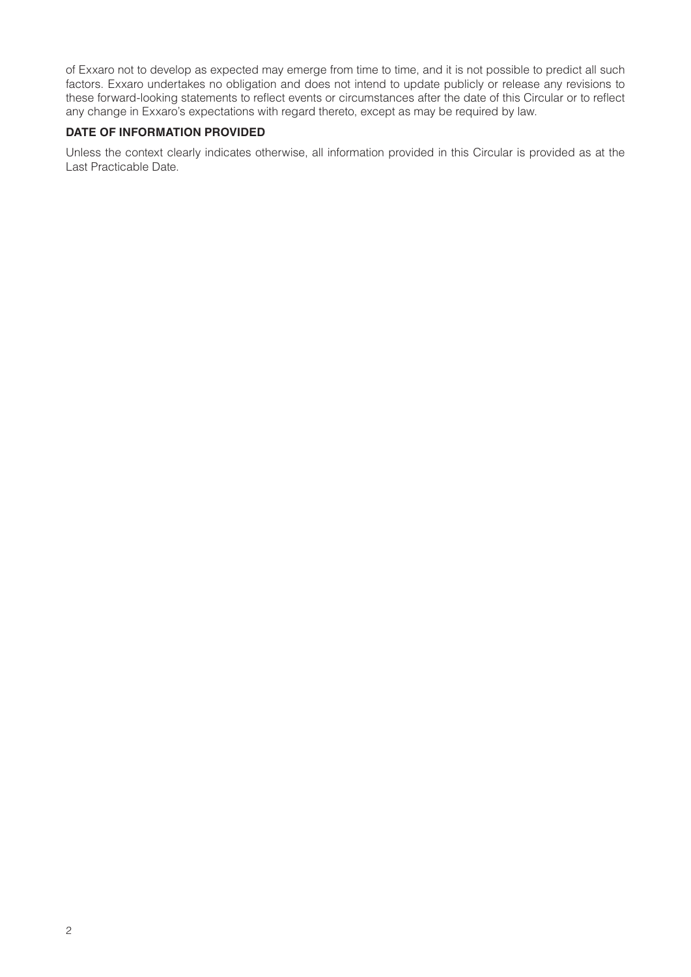of Exxaro not to develop as expected may emerge from time to time, and it is not possible to predict all such factors. Exxaro undertakes no obligation and does not intend to update publicly or release any revisions to these forward-looking statements to reflect events or circumstances after the date of this Circular or to reflect any change in Exxaro's expectations with regard thereto, except as may be required by law.

#### **DATE OF INFORMATION PROVIDED**

Unless the context clearly indicates otherwise, all information provided in this Circular is provided as at the Last Practicable Date.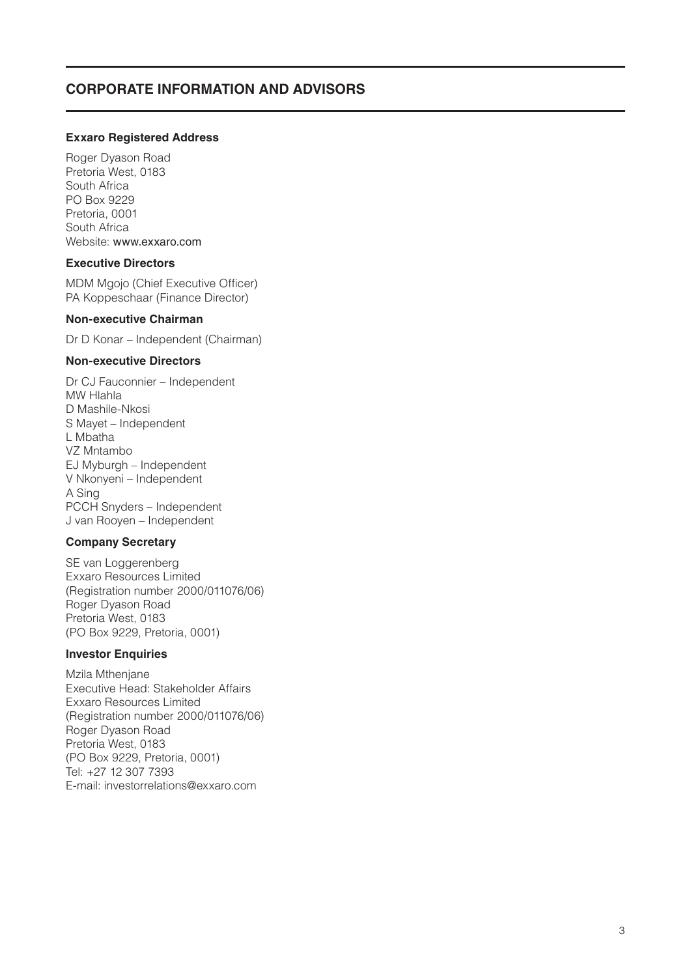## **CORPORATE INFORMATION AND ADVISORS**

#### **Exxaro Registered Address**

Roger Dyason Road Pretoria West, 0183 South Africa PO Box 9229 Pretoria, 0001 South Africa Website: www.exxaro.com

#### **Executive Directors**

MDM Mgojo (Chief Executive Officer) PA Koppeschaar (Finance Director)

#### **Non-executive Chairman**

Dr D Konar – Independent (Chairman)

#### **Non-executive Directors**

Dr CJ Fauconnier – Independent MW Hlahla D Mashile-Nkosi S Mayet – Independent L Mbatha VZ Mntambo EJ Myburgh – Independent V Nkonyeni – Independent A Sing PCCH Snyders – Independent J van Rooyen – Independent

#### **Company Secretary**

SE van Loggerenberg Exxaro Resources Limited (Registration number 2000/011076/06) Roger Dyason Road Pretoria West, 0183 (PO Box 9229, Pretoria, 0001)

#### **Investor Enquiries**

Mzila Mthenjane Executive Head: Stakeholder Affairs Exxaro Resources Limited (Registration number 2000/011076/06) Roger Dyason Road Pretoria West, 0183 (PO Box 9229, Pretoria, 0001) Tel: +27 12 307 7393 E-mail: investorrelations@exxaro.com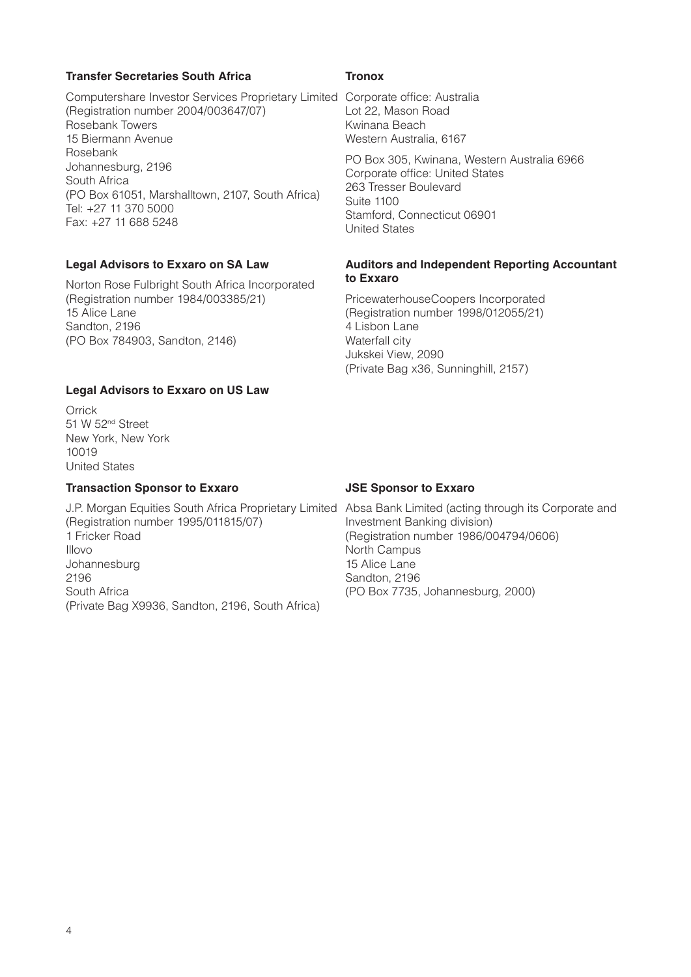#### **Transfer Secretaries South Africa**

Computershare Investor Services Proprietary Limited Corporate office: Australia (Registration number 2004/003647/07) Rosebank Towers 15 Biermann Avenue Rosebank Johannesburg, 2196 South Africa (PO Box 61051, Marshalltown, 2107, South Africa) Tel: +27 11 370 5000 Fax: +27 11 688 5248

#### **Legal Advisors to Exxaro on SA Law**

Norton Rose Fulbright South Africa Incorporated (Registration number 1984/003385/21) 15 Alice Lane Sandton, 2196 (PO Box 784903, Sandton, 2146)

#### **Legal Advisors to Exxaro on US Law**

**Orrick** 51 W 52nd Street New York, New York 10019 United States

## **Transaction Sponsor to Exxaro**

(Registration number 1995/011815/07) 1 Fricker Road Illovo Johannesburg 2196 South Africa (Private Bag X9936, Sandton, 2196, South Africa)

#### **Tronox**

Lot 22, Mason Road Kwinana Beach Western Australia, 6167

PO Box 305, Kwinana, Western Australia 6966 Corporate office: United States 263 Tresser Boulevard Suite 1100 Stamford, Connecticut 06901 United States

#### **Auditors and Independent Reporting Accountant to Exxaro**

PricewaterhouseCoopers Incorporated (Registration number 1998/012055/21) 4 Lisbon Lane Waterfall city Jukskei View, 2090 (Private Bag x36, Sunninghill, 2157)

#### **JSE Sponsor to Exxaro**

J.P. Morgan Equities South Africa Proprietary Limited Absa Bank Limited (acting through its Corporate and Investment Banking division) (Registration number 1986/004794/0606) North Campus 15 Alice Lane Sandton, 2196 (PO Box 7735, Johannesburg, 2000)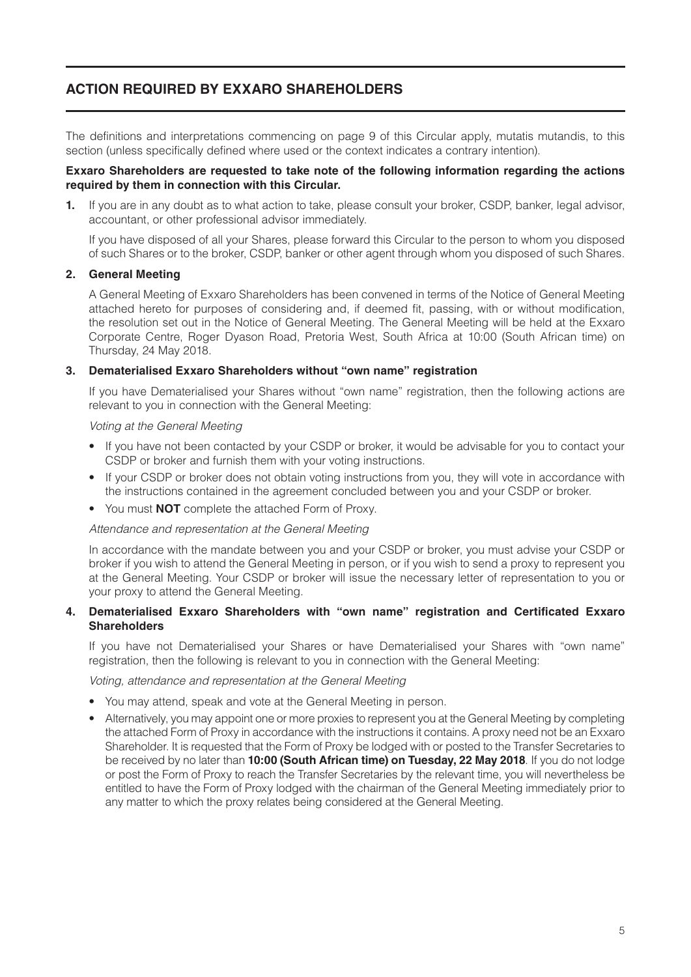# **ACTION REQUIRED BY EXXARO SHAREHOLDERS**

The definitions and interpretations commencing on page 9 of this Circular apply, mutatis mutandis, to this section (unless specifically defined where used or the context indicates a contrary intention).

#### **Exxaro Shareholders are requested to take note of the following information regarding the actions required by them in connection with this Circular.**

**1.** If you are in any doubt as to what action to take, please consult your broker, CSDP, banker, legal advisor, accountant, or other professional advisor immediately.

If you have disposed of all your Shares, please forward this Circular to the person to whom you disposed of such Shares or to the broker, CSDP, banker or other agent through whom you disposed of such Shares.

#### **2. General Meeting**

A General Meeting of Exxaro Shareholders has been convened in terms of the Notice of General Meeting attached hereto for purposes of considering and, if deemed fit, passing, with or without modification, the resolution set out in the Notice of General Meeting. The General Meeting will be held at the Exxaro Corporate Centre, Roger Dyason Road, Pretoria West, South Africa at 10:00 (South African time) on Thursday, 24 May 2018.

#### **3. Dematerialised Exxaro Shareholders without "own name" registration**

If you have Dematerialised your Shares without "own name" registration, then the following actions are relevant to you in connection with the General Meeting:

#### *Voting at the General Meeting*

- If you have not been contacted by your CSDP or broker, it would be advisable for you to contact your CSDP or broker and furnish them with your voting instructions.
- If your CSDP or broker does not obtain voting instructions from you, they will vote in accordance with the instructions contained in the agreement concluded between you and your CSDP or broker.
- You must **NOT** complete the attached Form of Proxy.

#### *Attendance and representation at the General Meeting*

In accordance with the mandate between you and your CSDP or broker, you must advise your CSDP or broker if you wish to attend the General Meeting in person, or if you wish to send a proxy to represent you at the General Meeting. Your CSDP or broker will issue the necessary letter of representation to you or your proxy to attend the General Meeting.

#### **4. Dematerialised Exxaro Shareholders with "own name" registration and Certificated Exxaro Shareholders**

If you have not Dematerialised your Shares or have Dematerialised your Shares with "own name" registration, then the following is relevant to you in connection with the General Meeting:

*Voting, attendance and representation at the General Meeting*

- You may attend, speak and vote at the General Meeting in person.
- Alternatively, you may appoint one or more proxies to represent you at the General Meeting by completing the attached Form of Proxy in accordance with the instructions it contains. A proxy need not be an Exxaro Shareholder. It is requested that the Form of Proxy be lodged with or posted to the Transfer Secretaries to be received by no later than **10:00 (South African time) on Tuesday, 22 May 2018**. If you do not lodge or post the Form of Proxy to reach the Transfer Secretaries by the relevant time, you will nevertheless be entitled to have the Form of Proxy lodged with the chairman of the General Meeting immediately prior to any matter to which the proxy relates being considered at the General Meeting.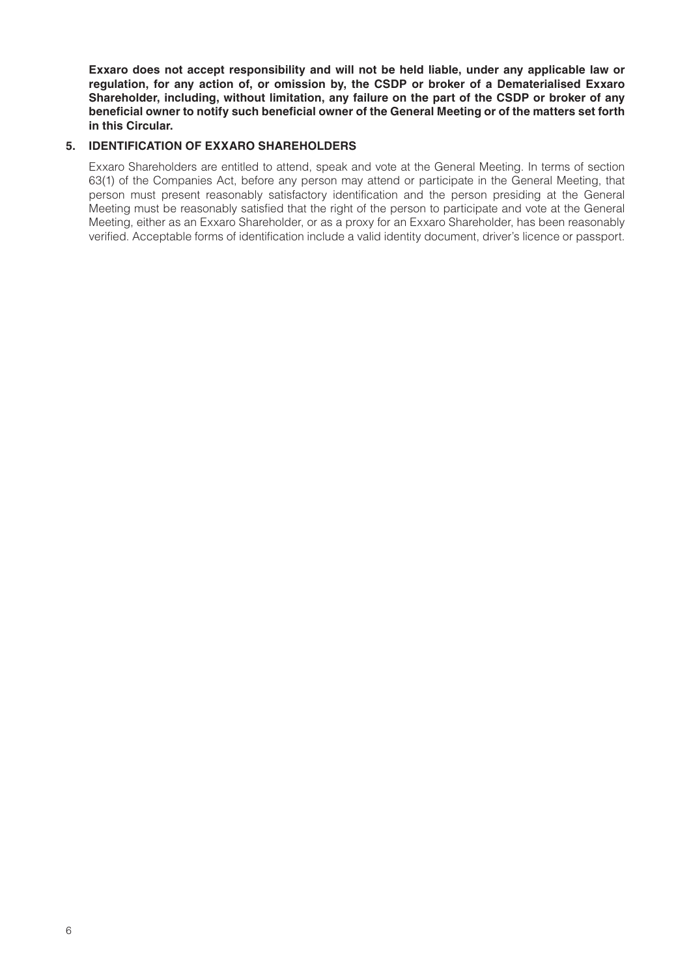**Exxaro does not accept responsibility and will not be held liable, under any applicable law or regulation, for any action of, or omission by, the CSDP or broker of a Dematerialised Exxaro Shareholder, including, without limitation, any failure on the part of the CSDP or broker of any beneficial owner to notify such beneficial owner of the General Meeting or of the matters set forth in this Circular.**

#### **5. IDENTIFICATION OF EXXARO SHAREHOLDERS**

Exxaro Shareholders are entitled to attend, speak and vote at the General Meeting. In terms of section 63(1) of the Companies Act, before any person may attend or participate in the General Meeting, that person must present reasonably satisfactory identification and the person presiding at the General Meeting must be reasonably satisfied that the right of the person to participate and vote at the General Meeting, either as an Exxaro Shareholder, or as a proxy for an Exxaro Shareholder, has been reasonably verified. Acceptable forms of identification include a valid identity document, driver's licence or passport.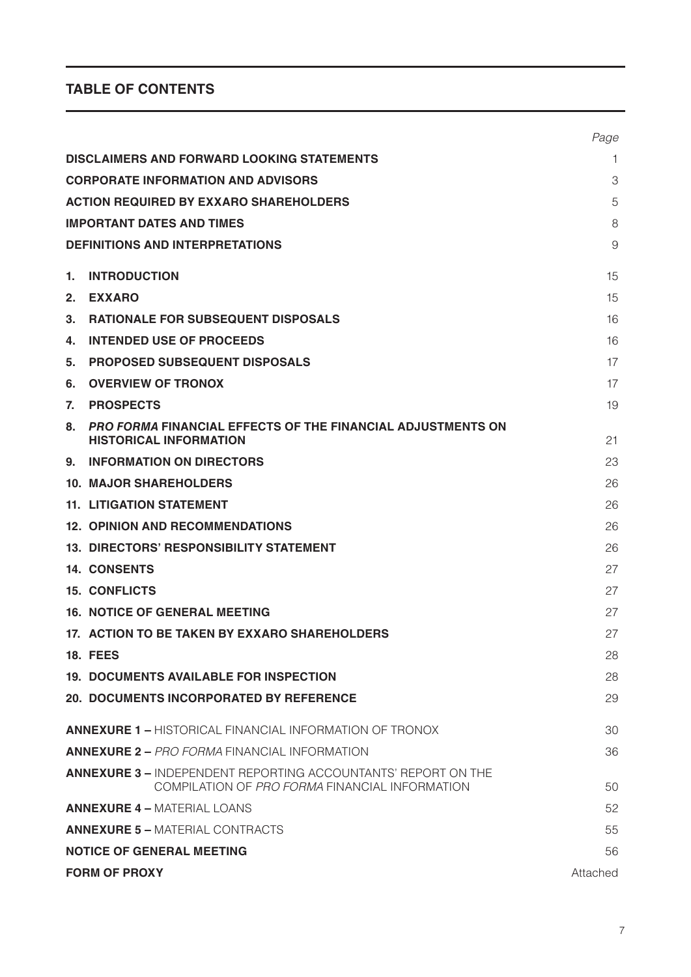# **TABLE OF CONTENTS**

|    |                                                                                                                        | Page     |
|----|------------------------------------------------------------------------------------------------------------------------|----------|
|    | <b>DISCLAIMERS AND FORWARD LOOKING STATEMENTS</b>                                                                      | 1        |
|    | <b>CORPORATE INFORMATION AND ADVISORS</b>                                                                              | 3        |
|    | <b>ACTION REQUIRED BY EXXARO SHAREHOLDERS</b>                                                                          | 5        |
|    | <b>IMPORTANT DATES AND TIMES</b>                                                                                       | 8        |
|    | <b>DEFINITIONS AND INTERPRETATIONS</b>                                                                                 | 9        |
| 1. | <b>INTRODUCTION</b>                                                                                                    | 15       |
| 2. | <b>EXXARO</b>                                                                                                          | 15       |
| 3. | <b>RATIONALE FOR SUBSEQUENT DISPOSALS</b>                                                                              | 16       |
| 4. | <b>INTENDED USE OF PROCEEDS</b>                                                                                        | 16       |
| 5. | <b>PROPOSED SUBSEQUENT DISPOSALS</b>                                                                                   | 17       |
| 6. | <b>OVERVIEW OF TRONOX</b>                                                                                              | 17       |
| 7. | <b>PROSPECTS</b>                                                                                                       | 19       |
| 8. | <b>PRO FORMA FINANCIAL EFFECTS OF THE FINANCIAL ADJUSTMENTS ON</b><br><b>HISTORICAL INFORMATION</b>                    | 21       |
| 9. | <b>INFORMATION ON DIRECTORS</b>                                                                                        | 23       |
|    | <b>10. MAJOR SHAREHOLDERS</b>                                                                                          | 26       |
|    | <b>11. LITIGATION STATEMENT</b>                                                                                        | 26       |
|    | <b>12. OPINION AND RECOMMENDATIONS</b>                                                                                 | 26       |
|    | <b>13. DIRECTORS' RESPONSIBILITY STATEMENT</b>                                                                         | 26       |
|    | <b>14. CONSENTS</b>                                                                                                    | 27       |
|    | <b>15. CONFLICTS</b>                                                                                                   | 27       |
|    | <b>16. NOTICE OF GENERAL MEETING</b>                                                                                   | 27       |
|    | 17. ACTION TO BE TAKEN BY EXXARO SHAREHOLDERS                                                                          | 27       |
|    | <b>18. FEES</b>                                                                                                        | 28       |
|    | <b>19. DOCUMENTS AVAILABLE FOR INSPECTION</b>                                                                          | 28       |
|    | <b>20. DOCUMENTS INCORPORATED BY REFERENCE</b>                                                                         | 29       |
|    | <b>ANNEXURE 1 – HISTORICAL FINANCIAL INFORMATION OF TRONOX</b>                                                         | 30       |
|    | <b>ANNEXURE 2 – PRO FORMA FINANCIAL INFORMATION</b>                                                                    | 36       |
|    | <b>ANNEXURE 3 – INDEPENDENT REPORTING ACCOUNTANTS' REPORT ON THE</b><br>COMPILATION OF PRO FORMA FINANCIAL INFORMATION | 50       |
|    | <b>ANNEXURE 4 - MATERIAL LOANS</b>                                                                                     | 52       |
|    | <b>ANNEXURE 5 - MATERIAL CONTRACTS</b>                                                                                 | 55       |
|    | <b>NOTICE OF GENERAL MEETING</b>                                                                                       | 56       |
|    | <b>FORM OF PROXY</b>                                                                                                   | Attached |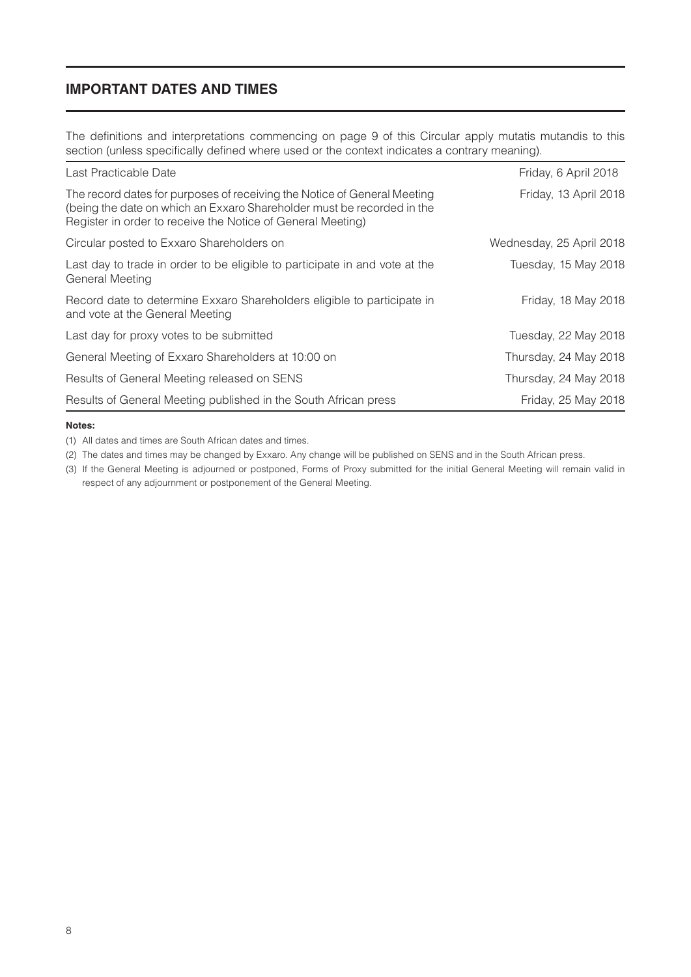## **IMPORTANT DATES AND TIMES**

The definitions and interpretations commencing on page 9 of this Circular apply mutatis mutandis to this section (unless specifically defined where used or the context indicates a contrary meaning).

| Last Practicable Date                                                                                                                                                                                             | Friday, 6 April 2018     |
|-------------------------------------------------------------------------------------------------------------------------------------------------------------------------------------------------------------------|--------------------------|
| The record dates for purposes of receiving the Notice of General Meeting<br>(being the date on which an Exxaro Shareholder must be recorded in the<br>Register in order to receive the Notice of General Meeting) | Friday, 13 April 2018    |
| Circular posted to Exxaro Shareholders on                                                                                                                                                                         | Wednesday, 25 April 2018 |
| Last day to trade in order to be eligible to participate in and vote at the<br><b>General Meeting</b>                                                                                                             | Tuesday, 15 May 2018     |
| Record date to determine Exxaro Shareholders eligible to participate in<br>and vote at the General Meeting                                                                                                        | Friday, 18 May 2018      |
| Last day for proxy votes to be submitted                                                                                                                                                                          | Tuesday, 22 May 2018     |
| General Meeting of Exxaro Shareholders at 10:00 on                                                                                                                                                                | Thursday, 24 May 2018    |
| Results of General Meeting released on SENS                                                                                                                                                                       | Thursday, 24 May 2018    |
| Results of General Meeting published in the South African press                                                                                                                                                   | Friday, 25 May 2018      |

#### **Notes:**

(1) All dates and times are South African dates and times.

(2) The dates and times may be changed by Exxaro. Any change will be published on SENS and in the South African press.

(3) If the General Meeting is adjourned or postponed, Forms of Proxy submitted for the initial General Meeting will remain valid in respect of any adjournment or postponement of the General Meeting.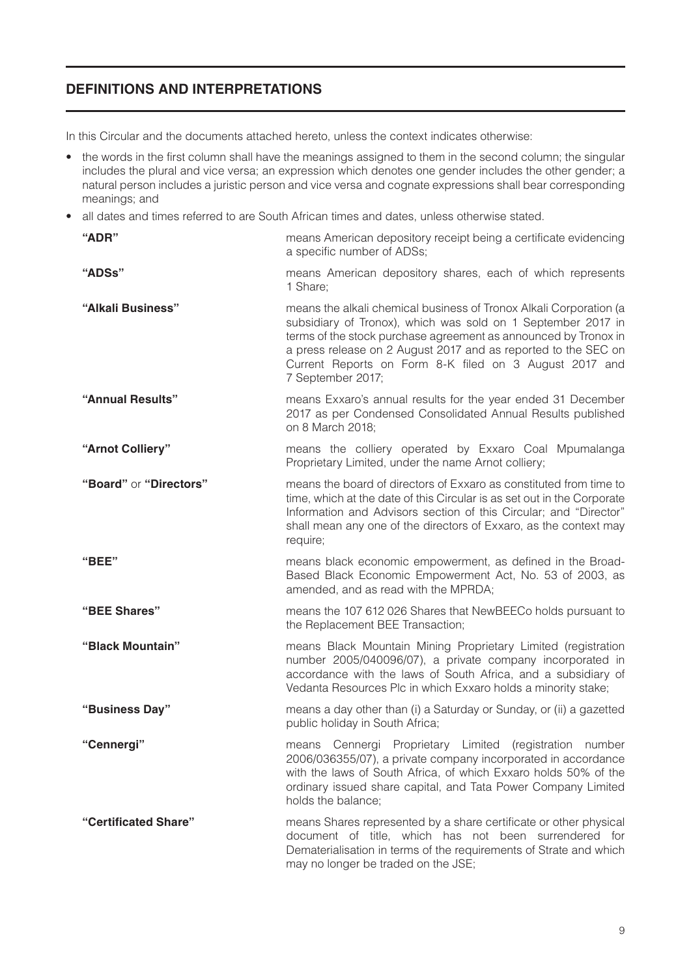# **DEFINITIONS AND INTERPRETATIONS**

In this Circular and the documents attached hereto, unless the context indicates otherwise:

- the words in the first column shall have the meanings assigned to them in the second column; the singular includes the plural and vice versa; an expression which denotes one gender includes the other gender; a natural person includes a juristic person and vice versa and cognate expressions shall bear corresponding meanings; and
- all dates and times referred to are South African times and dates, unless otherwise stated.

| "ADR"                  | means American depository receipt being a certificate evidencing<br>a specific number of ADSs;                                                                                                                                                                                                                                                         |
|------------------------|--------------------------------------------------------------------------------------------------------------------------------------------------------------------------------------------------------------------------------------------------------------------------------------------------------------------------------------------------------|
| "ADSs"                 | means American depository shares, each of which represents<br>1 Share:                                                                                                                                                                                                                                                                                 |
| "Alkali Business"      | means the alkali chemical business of Tronox Alkali Corporation (a<br>subsidiary of Tronox), which was sold on 1 September 2017 in<br>terms of the stock purchase agreement as announced by Tronox in<br>a press release on 2 August 2017 and as reported to the SEC on<br>Current Reports on Form 8-K filed on 3 August 2017 and<br>7 September 2017; |
| "Annual Results"       | means Exxaro's annual results for the year ended 31 December<br>2017 as per Condensed Consolidated Annual Results published<br>on 8 March 2018;                                                                                                                                                                                                        |
| "Arnot Colliery"       | means the colliery operated by Exxaro Coal Mpumalanga<br>Proprietary Limited, under the name Arnot colliery;                                                                                                                                                                                                                                           |
| "Board" or "Directors" | means the board of directors of Exxaro as constituted from time to<br>time, which at the date of this Circular is as set out in the Corporate<br>Information and Advisors section of this Circular; and "Director"<br>shall mean any one of the directors of Exxaro, as the context may<br>require;                                                    |
| "BEE"                  | means black economic empowerment, as defined in the Broad-<br>Based Black Economic Empowerment Act, No. 53 of 2003, as<br>amended, and as read with the MPRDA;                                                                                                                                                                                         |
| "BEE Shares"           | means the 107 612 026 Shares that NewBEECo holds pursuant to<br>the Replacement BEE Transaction;                                                                                                                                                                                                                                                       |
| "Black Mountain"       | means Black Mountain Mining Proprietary Limited (registration<br>number 2005/040096/07), a private company incorporated in<br>accordance with the laws of South Africa, and a subsidiary of<br>Vedanta Resources Plc in which Exxaro holds a minority stake;                                                                                           |
| "Business Day"         | means a day other than (i) a Saturday or Sunday, or (ii) a gazetted<br>public holiday in South Africa;                                                                                                                                                                                                                                                 |
| "Cennergi"             | Cennergi Proprietary<br>Limited (registration<br>number<br>means<br>2006/036355/07), a private company incorporated in accordance<br>with the laws of South Africa, of which Exxaro holds 50% of the<br>ordinary issued share capital, and Tata Power Company Limited<br>holds the balance;                                                            |
| "Certificated Share"   | means Shares represented by a share certificate or other physical<br>document of title, which has not been surrendered for<br>Dematerialisation in terms of the requirements of Strate and which<br>may no longer be traded on the JSE;                                                                                                                |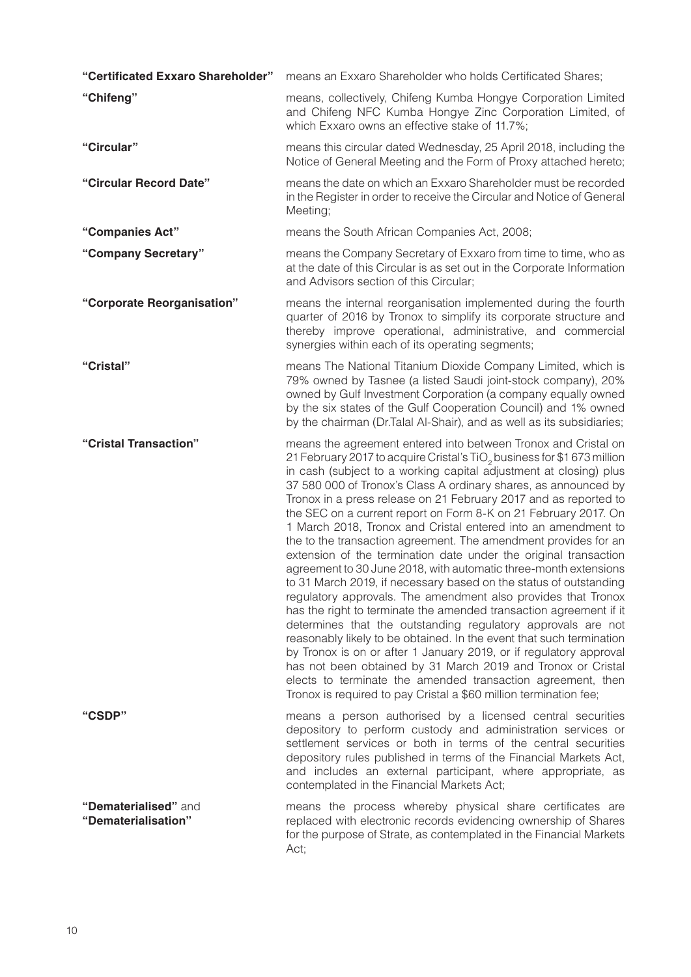| "Certificated Exxaro Shareholder"           | means an Exxaro Shareholder who holds Certificated Shares;                                                                                                                                                                                                                                                                                                                                                                                                                                                                                                                                                                                                                                                                                                                                                                                                                                                                                                                                                                                                                                                                                                                                                                                                                                                                                     |
|---------------------------------------------|------------------------------------------------------------------------------------------------------------------------------------------------------------------------------------------------------------------------------------------------------------------------------------------------------------------------------------------------------------------------------------------------------------------------------------------------------------------------------------------------------------------------------------------------------------------------------------------------------------------------------------------------------------------------------------------------------------------------------------------------------------------------------------------------------------------------------------------------------------------------------------------------------------------------------------------------------------------------------------------------------------------------------------------------------------------------------------------------------------------------------------------------------------------------------------------------------------------------------------------------------------------------------------------------------------------------------------------------|
| "Chifeng"                                   | means, collectively, Chifeng Kumba Hongye Corporation Limited<br>and Chifeng NFC Kumba Hongye Zinc Corporation Limited, of<br>which Exxaro owns an effective stake of 11.7%;                                                                                                                                                                                                                                                                                                                                                                                                                                                                                                                                                                                                                                                                                                                                                                                                                                                                                                                                                                                                                                                                                                                                                                   |
| "Circular"                                  | means this circular dated Wednesday, 25 April 2018, including the<br>Notice of General Meeting and the Form of Proxy attached hereto;                                                                                                                                                                                                                                                                                                                                                                                                                                                                                                                                                                                                                                                                                                                                                                                                                                                                                                                                                                                                                                                                                                                                                                                                          |
| "Circular Record Date"                      | means the date on which an Exxaro Shareholder must be recorded<br>in the Register in order to receive the Circular and Notice of General<br>Meeting;                                                                                                                                                                                                                                                                                                                                                                                                                                                                                                                                                                                                                                                                                                                                                                                                                                                                                                                                                                                                                                                                                                                                                                                           |
| "Companies Act"                             | means the South African Companies Act, 2008;                                                                                                                                                                                                                                                                                                                                                                                                                                                                                                                                                                                                                                                                                                                                                                                                                                                                                                                                                                                                                                                                                                                                                                                                                                                                                                   |
| "Company Secretary"                         | means the Company Secretary of Exxaro from time to time, who as<br>at the date of this Circular is as set out in the Corporate Information<br>and Advisors section of this Circular;                                                                                                                                                                                                                                                                                                                                                                                                                                                                                                                                                                                                                                                                                                                                                                                                                                                                                                                                                                                                                                                                                                                                                           |
| "Corporate Reorganisation"                  | means the internal reorganisation implemented during the fourth<br>quarter of 2016 by Tronox to simplify its corporate structure and<br>thereby improve operational, administrative, and commercial<br>synergies within each of its operating segments;                                                                                                                                                                                                                                                                                                                                                                                                                                                                                                                                                                                                                                                                                                                                                                                                                                                                                                                                                                                                                                                                                        |
| "Cristal"                                   | means The National Titanium Dioxide Company Limited, which is<br>79% owned by Tasnee (a listed Saudi joint-stock company), 20%<br>owned by Gulf Investment Corporation (a company equally owned<br>by the six states of the Gulf Cooperation Council) and 1% owned<br>by the chairman (Dr.Talal Al-Shair), and as well as its subsidiaries;                                                                                                                                                                                                                                                                                                                                                                                                                                                                                                                                                                                                                                                                                                                                                                                                                                                                                                                                                                                                    |
| "Cristal Transaction"                       | means the agreement entered into between Tronox and Cristal on<br>21 February 2017 to acquire Cristal's TiO <sub>2</sub> business for \$1 673 million<br>in cash (subject to a working capital adjustment at closing) plus<br>37 580 000 of Tronox's Class A ordinary shares, as announced by<br>Tronox in a press release on 21 February 2017 and as reported to<br>the SEC on a current report on Form 8-K on 21 February 2017. On<br>1 March 2018, Tronox and Cristal entered into an amendment to<br>the to the transaction agreement. The amendment provides for an<br>extension of the termination date under the original transaction<br>agreement to 30 June 2018, with automatic three-month extensions<br>to 31 March 2019, if necessary based on the status of outstanding<br>regulatory approvals. The amendment also provides that Tronox<br>has the right to terminate the amended transaction agreement if it<br>determines that the outstanding regulatory approvals are not<br>reasonably likely to be obtained. In the event that such termination<br>by Tronox is on or after 1 January 2019, or if regulatory approval<br>has not been obtained by 31 March 2019 and Tronox or Cristal<br>elects to terminate the amended transaction agreement, then<br>Tronox is required to pay Cristal a \$60 million termination fee; |
| "CSDP"                                      | means a person authorised by a licensed central securities<br>depository to perform custody and administration services or<br>settlement services or both in terms of the central securities<br>depository rules published in terms of the Financial Markets Act,<br>and includes an external participant, where appropriate, as<br>contemplated in the Financial Markets Act;                                                                                                                                                                                                                                                                                                                                                                                                                                                                                                                                                                                                                                                                                                                                                                                                                                                                                                                                                                 |
| "Dematerialised" and<br>"Dematerialisation" | means the process whereby physical share certificates are<br>replaced with electronic records evidencing ownership of Shares<br>for the purpose of Strate, as contemplated in the Financial Markets<br>Act;                                                                                                                                                                                                                                                                                                                                                                                                                                                                                                                                                                                                                                                                                                                                                                                                                                                                                                                                                                                                                                                                                                                                    |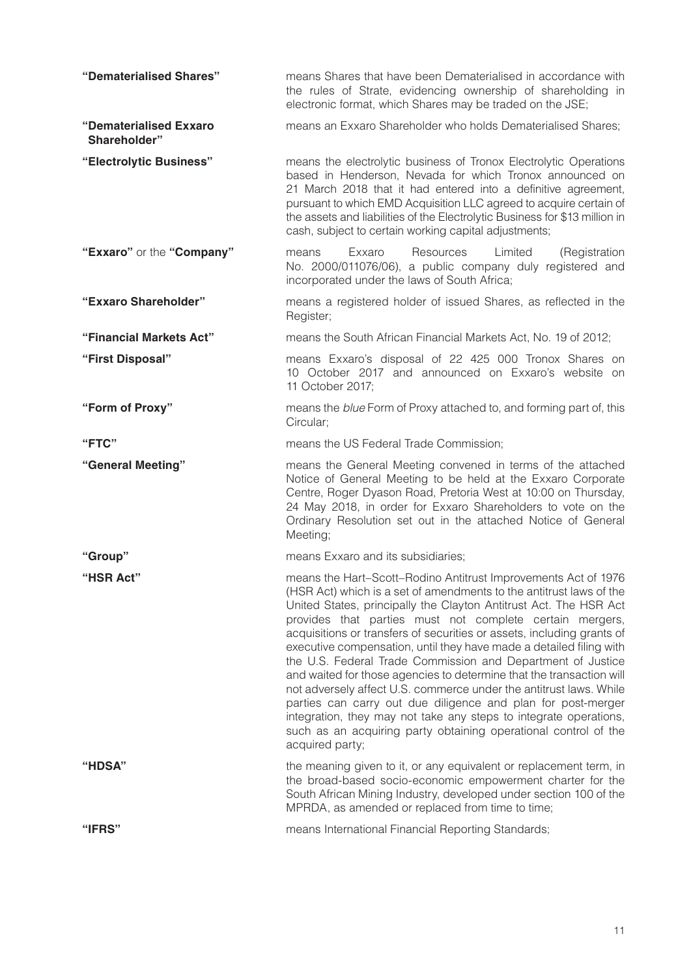| "Dematerialised Shares"                | means Shares that have been Dematerialised in accordance with<br>the rules of Strate, evidencing ownership of shareholding in<br>electronic format, which Shares may be traded on the JSE;                                                                                                                                                                                                                                                                                                                                                                                                                                                                                                                                                                                                                                                                      |
|----------------------------------------|-----------------------------------------------------------------------------------------------------------------------------------------------------------------------------------------------------------------------------------------------------------------------------------------------------------------------------------------------------------------------------------------------------------------------------------------------------------------------------------------------------------------------------------------------------------------------------------------------------------------------------------------------------------------------------------------------------------------------------------------------------------------------------------------------------------------------------------------------------------------|
| "Dematerialised Exxaro<br>Shareholder" | means an Exxaro Shareholder who holds Dematerialised Shares;                                                                                                                                                                                                                                                                                                                                                                                                                                                                                                                                                                                                                                                                                                                                                                                                    |
| "Electrolytic Business"                | means the electrolytic business of Tronox Electrolytic Operations<br>based in Henderson, Nevada for which Tronox announced on<br>21 March 2018 that it had entered into a definitive agreement,<br>pursuant to which EMD Acquisition LLC agreed to acquire certain of<br>the assets and liabilities of the Electrolytic Business for \$13 million in<br>cash, subject to certain working capital adjustments;                                                                                                                                                                                                                                                                                                                                                                                                                                                   |
| "Exxaro" or the "Company"              | Limited<br>Exxaro<br>Resources<br>(Registration<br>means<br>No. 2000/011076/06), a public company duly registered and<br>incorporated under the laws of South Africa;                                                                                                                                                                                                                                                                                                                                                                                                                                                                                                                                                                                                                                                                                           |
| "Exxaro Shareholder"                   | means a registered holder of issued Shares, as reflected in the<br>Register;                                                                                                                                                                                                                                                                                                                                                                                                                                                                                                                                                                                                                                                                                                                                                                                    |
| "Financial Markets Act"                | means the South African Financial Markets Act, No. 19 of 2012;                                                                                                                                                                                                                                                                                                                                                                                                                                                                                                                                                                                                                                                                                                                                                                                                  |
| "First Disposal"                       | means Exxaro's disposal of 22 425 000 Tronox Shares on<br>10 October 2017 and announced on Exxaro's website on<br>11 October 2017;                                                                                                                                                                                                                                                                                                                                                                                                                                                                                                                                                                                                                                                                                                                              |
| "Form of Proxy"                        | means the blue Form of Proxy attached to, and forming part of, this<br>Circular;                                                                                                                                                                                                                                                                                                                                                                                                                                                                                                                                                                                                                                                                                                                                                                                |
| "FTC"                                  | means the US Federal Trade Commission;                                                                                                                                                                                                                                                                                                                                                                                                                                                                                                                                                                                                                                                                                                                                                                                                                          |
| "General Meeting"                      | means the General Meeting convened in terms of the attached<br>Notice of General Meeting to be held at the Exxaro Corporate<br>Centre, Roger Dyason Road, Pretoria West at 10:00 on Thursday,<br>24 May 2018, in order for Exxaro Shareholders to vote on the<br>Ordinary Resolution set out in the attached Notice of General<br>Meeting;                                                                                                                                                                                                                                                                                                                                                                                                                                                                                                                      |
| "Group"                                | means Exxaro and its subsidiaries;                                                                                                                                                                                                                                                                                                                                                                                                                                                                                                                                                                                                                                                                                                                                                                                                                              |
| "HSR Act"                              | means the Hart-Scott-Rodino Antitrust Improvements Act of 1976<br>(HSR Act) which is a set of amendments to the antitrust laws of the<br>United States, principally the Clayton Antitrust Act. The HSR Act<br>provides that parties must not complete certain mergers,<br>acquisitions or transfers of securities or assets, including grants of<br>executive compensation, until they have made a detailed filing with<br>the U.S. Federal Trade Commission and Department of Justice<br>and waited for those agencies to determine that the transaction will<br>not adversely affect U.S. commerce under the antitrust laws. While<br>parties can carry out due diligence and plan for post-merger<br>integration, they may not take any steps to integrate operations,<br>such as an acquiring party obtaining operational control of the<br>acquired party; |
| <b>"HDSA"</b>                          | the meaning given to it, or any equivalent or replacement term, in<br>the broad-based socio-economic empowerment charter for the<br>South African Mining Industry, developed under section 100 of the<br>MPRDA, as amended or replaced from time to time;                                                                                                                                                                                                                                                                                                                                                                                                                                                                                                                                                                                                       |
| "IFRS"                                 | means International Financial Reporting Standards;                                                                                                                                                                                                                                                                                                                                                                                                                                                                                                                                                                                                                                                                                                                                                                                                              |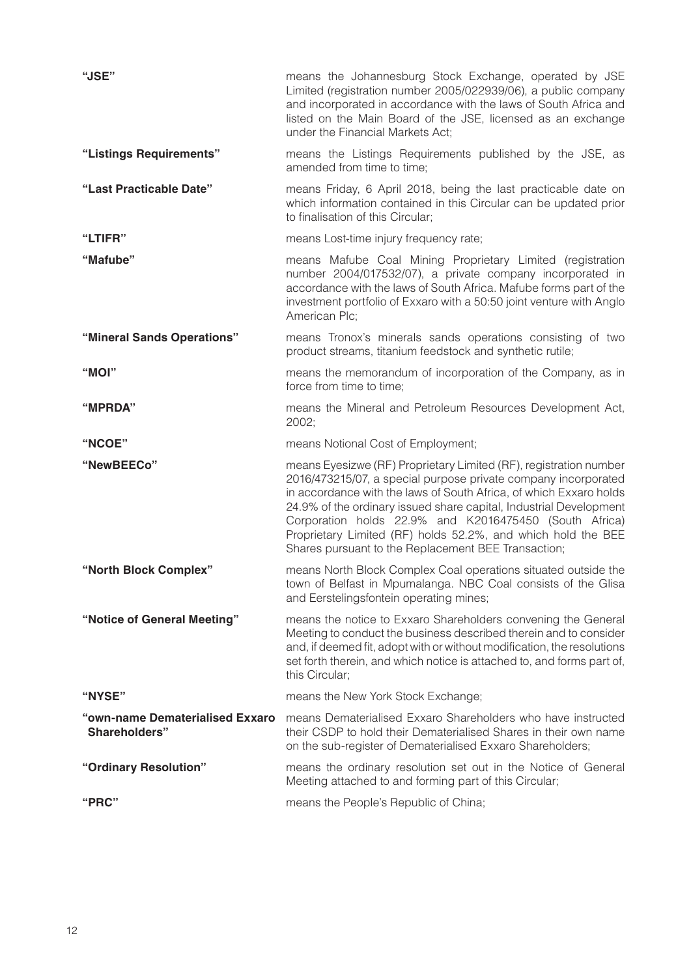| "JSE"                                            | means the Johannesburg Stock Exchange, operated by JSE<br>Limited (registration number 2005/022939/06), a public company<br>and incorporated in accordance with the laws of South Africa and<br>listed on the Main Board of the JSE, licensed as an exchange<br>under the Financial Markets Act;                                                                                                                                                                 |
|--------------------------------------------------|------------------------------------------------------------------------------------------------------------------------------------------------------------------------------------------------------------------------------------------------------------------------------------------------------------------------------------------------------------------------------------------------------------------------------------------------------------------|
| "Listings Requirements"                          | means the Listings Requirements published by the JSE, as<br>amended from time to time;                                                                                                                                                                                                                                                                                                                                                                           |
| "Last Practicable Date"                          | means Friday, 6 April 2018, being the last practicable date on<br>which information contained in this Circular can be updated prior<br>to finalisation of this Circular;                                                                                                                                                                                                                                                                                         |
| "LTIFR"                                          | means Lost-time injury frequency rate;                                                                                                                                                                                                                                                                                                                                                                                                                           |
| "Mafube"                                         | means Mafube Coal Mining Proprietary Limited (registration<br>number 2004/017532/07), a private company incorporated in<br>accordance with the laws of South Africa. Mafube forms part of the<br>investment portfolio of Exxaro with a 50:50 joint venture with Anglo<br>American Plc;                                                                                                                                                                           |
| "Mineral Sands Operations"                       | means Tronox's minerals sands operations consisting of two<br>product streams, titanium feedstock and synthetic rutile;                                                                                                                                                                                                                                                                                                                                          |
| "MOI"                                            | means the memorandum of incorporation of the Company, as in<br>force from time to time:                                                                                                                                                                                                                                                                                                                                                                          |
| "MPRDA"                                          | means the Mineral and Petroleum Resources Development Act,<br>2002;                                                                                                                                                                                                                                                                                                                                                                                              |
| "NCOE"                                           | means Notional Cost of Employment;                                                                                                                                                                                                                                                                                                                                                                                                                               |
| "NewBEECo"                                       | means Eyesizwe (RF) Proprietary Limited (RF), registration number<br>2016/473215/07, a special purpose private company incorporated<br>in accordance with the laws of South Africa, of which Exxaro holds<br>24.9% of the ordinary issued share capital, Industrial Development<br>Corporation holds 22.9% and K2016475450 (South Africa)<br>Proprietary Limited (RF) holds 52.2%, and which hold the BEE<br>Shares pursuant to the Replacement BEE Transaction; |
| "North Block Complex"                            | means North Block Complex Coal operations situated outside the<br>town of Belfast in Mpumalanga. NBC Coal consists of the Glisa<br>and Eerstelingsfontein operating mines;                                                                                                                                                                                                                                                                                       |
| "Notice of General Meeting"                      | means the notice to Exxaro Shareholders convening the General<br>Meeting to conduct the business described therein and to consider<br>and, if deemed fit, adopt with or without modification, the resolutions<br>set forth therein, and which notice is attached to, and forms part of,<br>this Circular;                                                                                                                                                        |
| "NYSE"                                           | means the New York Stock Exchange;                                                                                                                                                                                                                                                                                                                                                                                                                               |
| "own-name Dematerialised Exxaro<br>Shareholders" | means Dematerialised Exxaro Shareholders who have instructed<br>their CSDP to hold their Dematerialised Shares in their own name<br>on the sub-register of Dematerialised Exxaro Shareholders;                                                                                                                                                                                                                                                                   |
| "Ordinary Resolution"                            | means the ordinary resolution set out in the Notice of General<br>Meeting attached to and forming part of this Circular;                                                                                                                                                                                                                                                                                                                                         |
| "PRC"                                            | means the People's Republic of China;                                                                                                                                                                                                                                                                                                                                                                                                                            |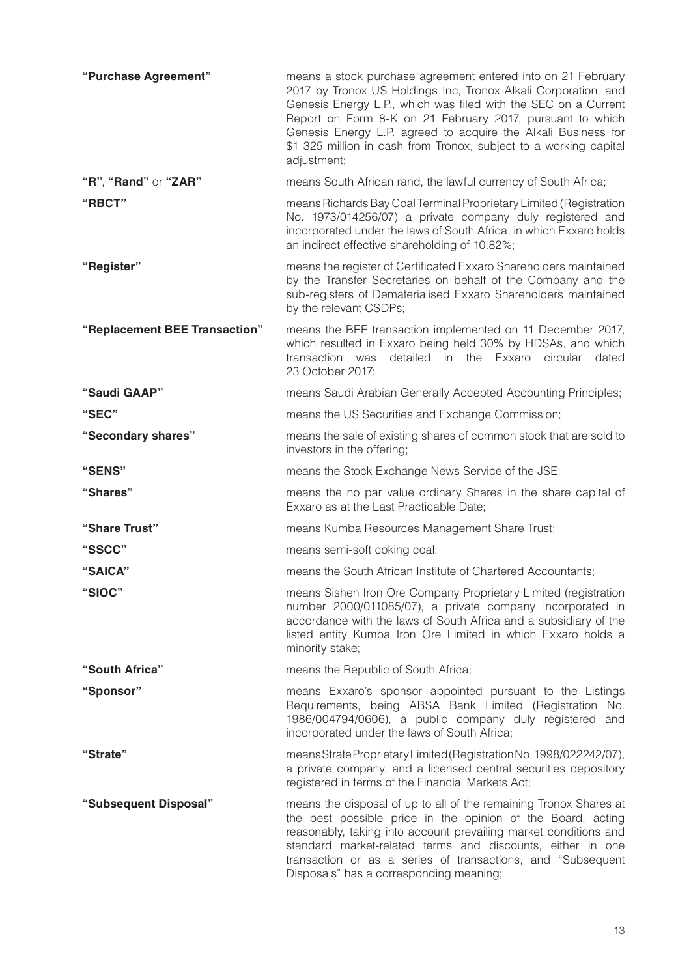| "Purchase Agreement"          | means a stock purchase agreement entered into on 21 February<br>2017 by Tronox US Holdings Inc, Tronox Alkali Corporation, and<br>Genesis Energy L.P., which was filed with the SEC on a Current<br>Report on Form 8-K on 21 February 2017, pursuant to which<br>Genesis Energy L.P. agreed to acquire the Alkali Business for<br>\$1 325 million in cash from Tronox, subject to a working capital<br>adjustment; |
|-------------------------------|--------------------------------------------------------------------------------------------------------------------------------------------------------------------------------------------------------------------------------------------------------------------------------------------------------------------------------------------------------------------------------------------------------------------|
| "R", "Rand" or "ZAR"          | means South African rand, the lawful currency of South Africa;                                                                                                                                                                                                                                                                                                                                                     |
| "RBCT"                        | means Richards Bay Coal Terminal Proprietary Limited (Registration<br>No. 1973/014256/07) a private company duly registered and<br>incorporated under the laws of South Africa, in which Exxaro holds<br>an indirect effective shareholding of 10.82%;                                                                                                                                                             |
| "Register"                    | means the register of Certificated Exxaro Shareholders maintained<br>by the Transfer Secretaries on behalf of the Company and the<br>sub-registers of Dematerialised Exxaro Shareholders maintained<br>by the relevant CSDPs;                                                                                                                                                                                      |
| "Replacement BEE Transaction" | means the BEE transaction implemented on 11 December 2017,<br>which resulted in Exxaro being held 30% by HDSAs, and which<br>detailed in the Exxaro<br>transaction was<br>circular<br>dated<br>23 October 2017;                                                                                                                                                                                                    |
| "Saudi GAAP"                  | means Saudi Arabian Generally Accepted Accounting Principles;                                                                                                                                                                                                                                                                                                                                                      |
| "SEC"                         | means the US Securities and Exchange Commission;                                                                                                                                                                                                                                                                                                                                                                   |
| "Secondary shares"            | means the sale of existing shares of common stock that are sold to<br>investors in the offering;                                                                                                                                                                                                                                                                                                                   |
| "SENS"                        | means the Stock Exchange News Service of the JSE;                                                                                                                                                                                                                                                                                                                                                                  |
| "Shares"                      | means the no par value ordinary Shares in the share capital of<br>Exxaro as at the Last Practicable Date;                                                                                                                                                                                                                                                                                                          |
| "Share Trust"                 | means Kumba Resources Management Share Trust;                                                                                                                                                                                                                                                                                                                                                                      |
| "SSCC"                        | means semi-soft coking coal;                                                                                                                                                                                                                                                                                                                                                                                       |
| "SAICA"                       | means the South African Institute of Chartered Accountants;                                                                                                                                                                                                                                                                                                                                                        |
| "SIOC"                        | means Sishen Iron Ore Company Proprietary Limited (registration<br>number 2000/011085/07), a private company incorporated in<br>accordance with the laws of South Africa and a subsidiary of the<br>listed entity Kumba Iron Ore Limited in which Exxaro holds a<br>minority stake;                                                                                                                                |
| "South Africa"                | means the Republic of South Africa;                                                                                                                                                                                                                                                                                                                                                                                |
| "Sponsor"                     | means Exxaro's sponsor appointed pursuant to the Listings<br>Requirements, being ABSA Bank Limited (Registration No.<br>1986/004794/0606), a public company duly registered and<br>incorporated under the laws of South Africa;                                                                                                                                                                                    |
| "Strate"                      | means Strate Proprietary Limited (Registration No. 1998/022242/07),<br>a private company, and a licensed central securities depository<br>registered in terms of the Financial Markets Act;                                                                                                                                                                                                                        |
| "Subsequent Disposal"         | means the disposal of up to all of the remaining Tronox Shares at<br>the best possible price in the opinion of the Board, acting<br>reasonably, taking into account prevailing market conditions and<br>standard market-related terms and discounts, either in one<br>transaction or as a series of transactions, and "Subsequent<br>Disposals" has a corresponding meaning;                                       |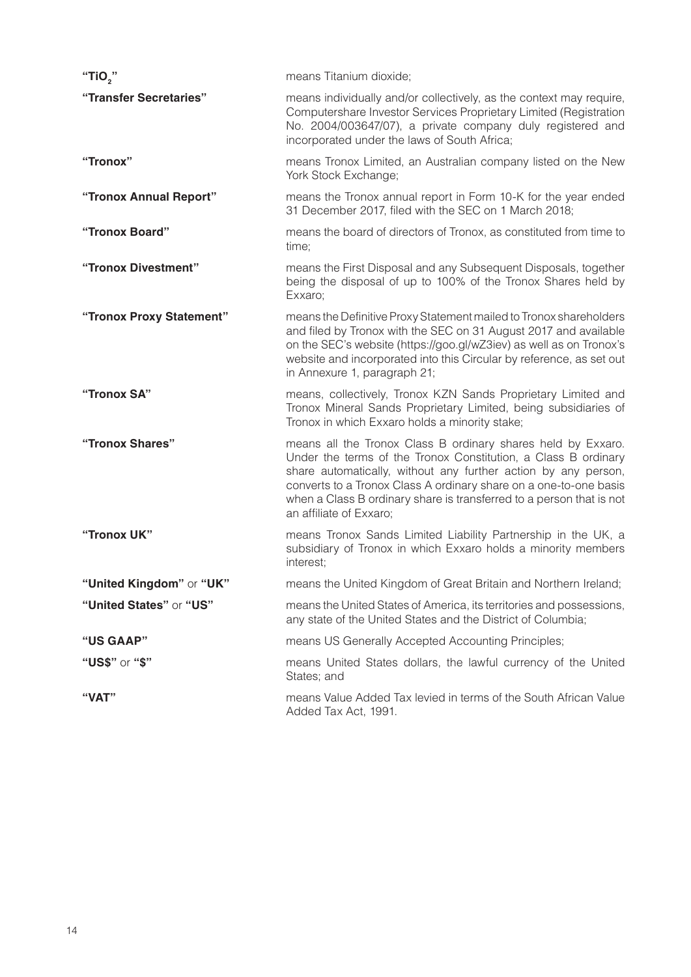| "TiO,"                   | means Titanium dioxide;                                                                                                                                                                                                                                                                                                                                                  |
|--------------------------|--------------------------------------------------------------------------------------------------------------------------------------------------------------------------------------------------------------------------------------------------------------------------------------------------------------------------------------------------------------------------|
| "Transfer Secretaries"   | means individually and/or collectively, as the context may require,<br>Computershare Investor Services Proprietary Limited (Registration<br>No. 2004/003647/07), a private company duly registered and<br>incorporated under the laws of South Africa;                                                                                                                   |
| "Tronox"                 | means Tronox Limited, an Australian company listed on the New<br>York Stock Exchange;                                                                                                                                                                                                                                                                                    |
| "Tronox Annual Report"   | means the Tronox annual report in Form 10-K for the year ended<br>31 December 2017, filed with the SEC on 1 March 2018;                                                                                                                                                                                                                                                  |
| "Tronox Board"           | means the board of directors of Tronox, as constituted from time to<br>time;                                                                                                                                                                                                                                                                                             |
| "Tronox Divestment"      | means the First Disposal and any Subsequent Disposals, together<br>being the disposal of up to 100% of the Tronox Shares held by<br>Exxaro;                                                                                                                                                                                                                              |
| "Tronox Proxy Statement" | means the Definitive Proxy Statement mailed to Tronox shareholders<br>and filed by Tronox with the SEC on 31 August 2017 and available<br>on the SEC's website (https://goo.gl/wZ3iev) as well as on Tronox's<br>website and incorporated into this Circular by reference, as set out<br>in Annexure 1, paragraph 21;                                                    |
| "Tronox SA"              | means, collectively, Tronox KZN Sands Proprietary Limited and<br>Tronox Mineral Sands Proprietary Limited, being subsidiaries of<br>Tronox in which Exxaro holds a minority stake;                                                                                                                                                                                       |
| "Tronox Shares"          | means all the Tronox Class B ordinary shares held by Exxaro.<br>Under the terms of the Tronox Constitution, a Class B ordinary<br>share automatically, without any further action by any person,<br>converts to a Tronox Class A ordinary share on a one-to-one basis<br>when a Class B ordinary share is transferred to a person that is not<br>an affiliate of Exxaro; |
| "Tronox UK"              | means Tronox Sands Limited Liability Partnership in the UK, a<br>subsidiary of Tronox in which Exxaro holds a minority members<br>interest;                                                                                                                                                                                                                              |
| "United Kingdom" or "UK" | means the United Kingdom of Great Britain and Northern Ireland;                                                                                                                                                                                                                                                                                                          |
| "United States" or "US"  | means the United States of America, its territories and possessions,<br>any state of the United States and the District of Columbia;                                                                                                                                                                                                                                     |
| "US GAAP"                | means US Generally Accepted Accounting Principles;                                                                                                                                                                                                                                                                                                                       |
| "US\$" or "\$"           | means United States dollars, the lawful currency of the United<br>States; and                                                                                                                                                                                                                                                                                            |
| "VAT"                    | means Value Added Tax levied in terms of the South African Value<br>Added Tax Act, 1991.                                                                                                                                                                                                                                                                                 |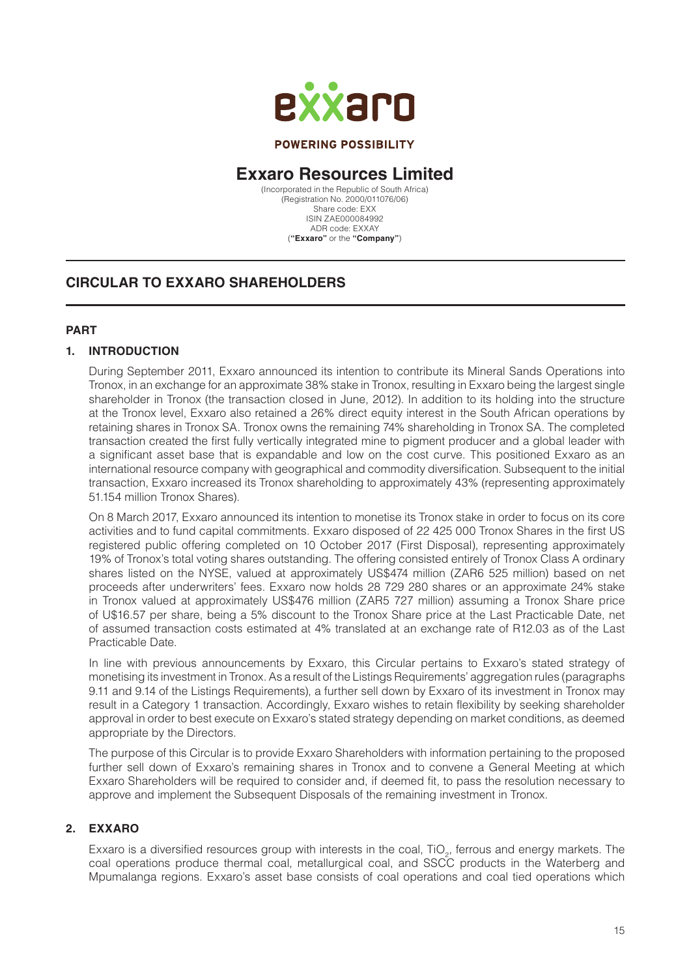

#### **POWERING POSSIBILITY**

# **Exxaro Resources Limited**

(Incorporated in the Republic of South Africa) (Registration No. 2000/011076/06) Share code: EXX ISIN ZAE000084992 ADR code: EXXAY (**"Exxaro"** or the **"Company"**)

# **CIRCULAR TO EXXARO SHAREHOLDERS**

#### **PART**

#### **1. INTRODUCTION**

During September 2011, Exxaro announced its intention to contribute its Mineral Sands Operations into Tronox, in an exchange for an approximate 38% stake in Tronox, resulting in Exxaro being the largest single shareholder in Tronox (the transaction closed in June, 2012). In addition to its holding into the structure at the Tronox level, Exxaro also retained a 26% direct equity interest in the South African operations by retaining shares in Tronox SA. Tronox owns the remaining 74% shareholding in Tronox SA. The completed transaction created the first fully vertically integrated mine to pigment producer and a global leader with a significant asset base that is expandable and low on the cost curve. This positioned Exxaro as an international resource company with geographical and commodity diversification. Subsequent to the initial transaction, Exxaro increased its Tronox shareholding to approximately 43% (representing approximately 51.154 million Tronox Shares).

On 8 March 2017, Exxaro announced its intention to monetise its Tronox stake in order to focus on its core activities and to fund capital commitments. Exxaro disposed of 22 425 000 Tronox Shares in the first US registered public offering completed on 10 October 2017 (First Disposal), representing approximately 19% of Tronox's total voting shares outstanding. The offering consisted entirely of Tronox Class A ordinary shares listed on the NYSE, valued at approximately US\$474 million (ZAR6 525 million) based on net proceeds after underwriters' fees. Exxaro now holds 28 729 280 shares or an approximate 24% stake in Tronox valued at approximately US\$476 million (ZAR5 727 million) assuming a Tronox Share price of U\$16.57 per share, being a 5% discount to the Tronox Share price at the Last Practicable Date, net of assumed transaction costs estimated at 4% translated at an exchange rate of R12.03 as of the Last Practicable Date.

In line with previous announcements by Exxaro, this Circular pertains to Exxaro's stated strategy of monetising its investment in Tronox. As a result of the Listings Requirements' aggregation rules (paragraphs 9.11 and 9.14 of the Listings Requirements), a further sell down by Exxaro of its investment in Tronox may result in a Category 1 transaction. Accordingly, Exxaro wishes to retain flexibility by seeking shareholder approval in order to best execute on Exxaro's stated strategy depending on market conditions, as deemed appropriate by the Directors.

The purpose of this Circular is to provide Exxaro Shareholders with information pertaining to the proposed further sell down of Exxaro's remaining shares in Tronox and to convene a General Meeting at which Exxaro Shareholders will be required to consider and, if deemed fit, to pass the resolution necessary to approve and implement the Subsequent Disposals of the remaining investment in Tronox.

## **2. EXXARO**

Exxaro is a diversified resources group with interests in the coal, TiO<sub>2</sub>, ferrous and energy markets. The coal operations produce thermal coal, metallurgical coal, and SSCC products in the Waterberg and Mpumalanga regions. Exxaro's asset base consists of coal operations and coal tied operations which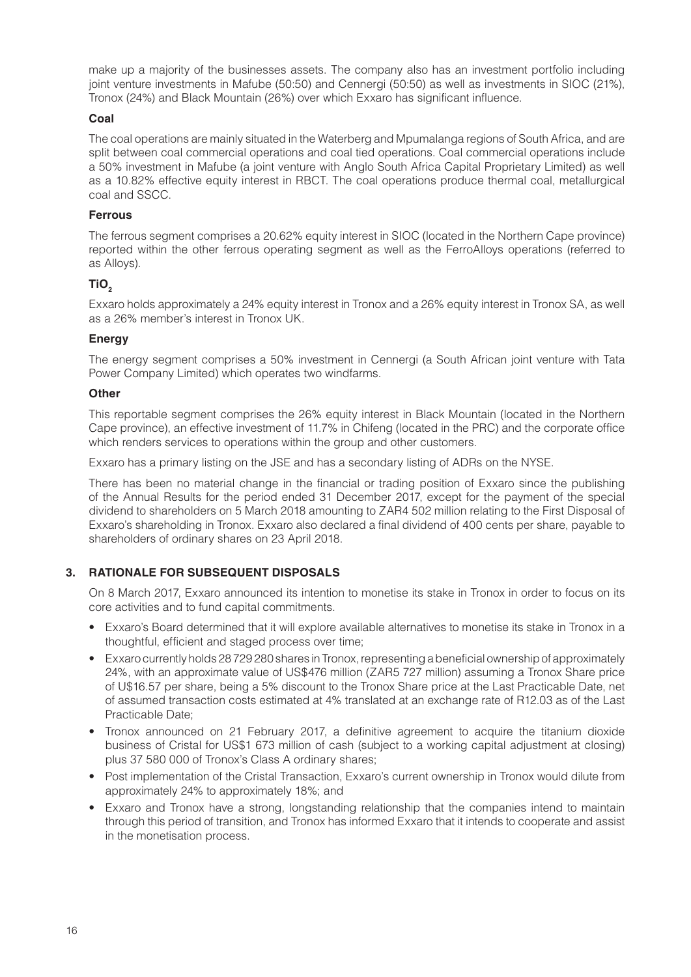make up a majority of the businesses assets. The company also has an investment portfolio including joint venture investments in Mafube (50:50) and Cennergi (50:50) as well as investments in SIOC (21%), Tronox (24%) and Black Mountain (26%) over which Exxaro has significant influence.

#### **Coal**

The coal operations are mainly situated in the Waterberg and Mpumalanga regions of South Africa, and are split between coal commercial operations and coal tied operations. Coal commercial operations include a 50% investment in Mafube (a joint venture with Anglo South Africa Capital Proprietary Limited) as well as a 10.82% effective equity interest in RBCT. The coal operations produce thermal coal, metallurgical coal and SSCC.

#### **Ferrous**

The ferrous segment comprises a 20.62% equity interest in SIOC (located in the Northern Cape province) reported within the other ferrous operating segment as well as the FerroAlloys operations (referred to as Alloys).

## TiO<sub>2</sub>

Exxaro holds approximately a 24% equity interest in Tronox and a 26% equity interest in Tronox SA, as well as a 26% member's interest in Tronox UK.

#### **Energy**

The energy segment comprises a 50% investment in Cennergi (a South African joint venture with Tata Power Company Limited) which operates two windfarms.

#### **Other**

This reportable segment comprises the 26% equity interest in Black Mountain (located in the Northern Cape province), an effective investment of 11.7% in Chifeng (located in the PRC) and the corporate office which renders services to operations within the group and other customers.

Exxaro has a primary listing on the JSE and has a secondary listing of ADRs on the NYSE.

There has been no material change in the financial or trading position of Exxaro since the publishing of the Annual Results for the period ended 31 December 2017, except for the payment of the special dividend to shareholders on 5 March 2018 amounting to ZAR4 502 million relating to the First Disposal of Exxaro's shareholding in Tronox. Exxaro also declared a final dividend of 400 cents per share, payable to shareholders of ordinary shares on 23 April 2018.

## **3. RATIONALE FOR SUBSEQUENT DISPOSALS**

On 8 March 2017, Exxaro announced its intention to monetise its stake in Tronox in order to focus on its core activities and to fund capital commitments.

- Exxaro's Board determined that it will explore available alternatives to monetise its stake in Tronox in a thoughtful, efficient and staged process over time;
- Exxaro currently holds 28 729 280 shares in Tronox, representing a beneficial ownership of approximately 24%, with an approximate value of US\$476 million (ZAR5 727 million) assuming a Tronox Share price of U\$16.57 per share, being a 5% discount to the Tronox Share price at the Last Practicable Date, net of assumed transaction costs estimated at 4% translated at an exchange rate of R12.03 as of the Last Practicable Date;
- Tronox announced on 21 February 2017, a definitive agreement to acquire the titanium dioxide business of Cristal for US\$1 673 million of cash (subject to a working capital adjustment at closing) plus 37 580 000 of Tronox's Class A ordinary shares;
- Post implementation of the Cristal Transaction, Exxaro's current ownership in Tronox would dilute from approximately 24% to approximately 18%; and
- Exxaro and Tronox have a strong, longstanding relationship that the companies intend to maintain through this period of transition, and Tronox has informed Exxaro that it intends to cooperate and assist in the monetisation process.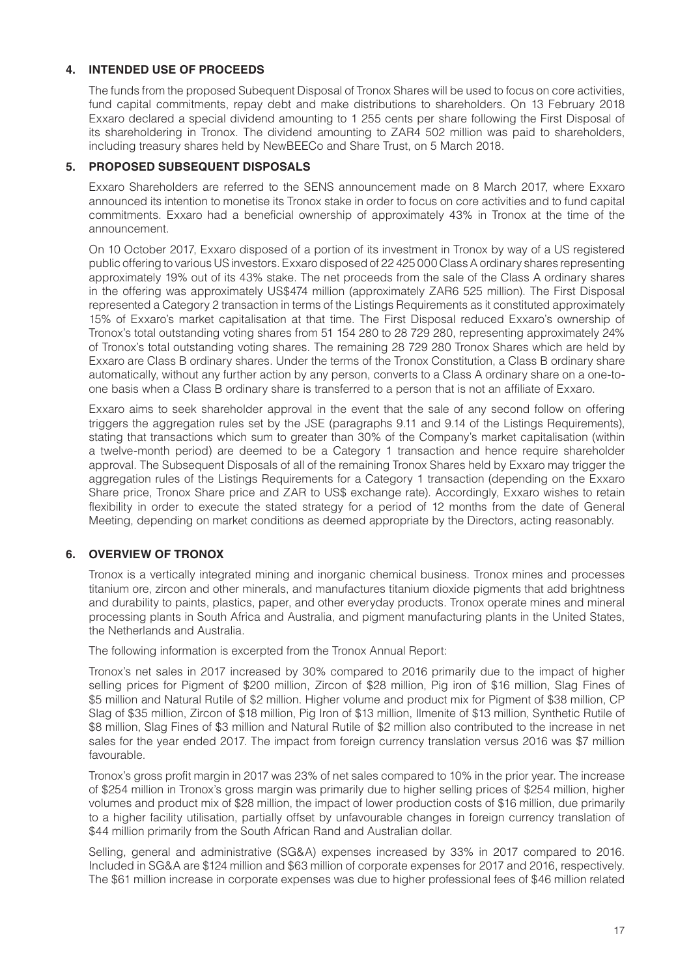#### **4. INTENDED USE OF PROCEEDS**

The funds from the proposed Subequent Disposal of Tronox Shares will be used to focus on core activities, fund capital commitments, repay debt and make distributions to shareholders. On 13 February 2018 Exxaro declared a special dividend amounting to 1 255 cents per share following the First Disposal of its shareholdering in Tronox. The dividend amounting to ZAR4 502 million was paid to shareholders, including treasury shares held by NewBEECo and Share Trust, on 5 March 2018.

#### **5. PROPOSED SUBSEQUENT DISPOSALS**

Exxaro Shareholders are referred to the SENS announcement made on 8 March 2017, where Exxaro announced its intention to monetise its Tronox stake in order to focus on core activities and to fund capital commitments. Exxaro had a beneficial ownership of approximately 43% in Tronox at the time of the announcement.

On 10 October 2017, Exxaro disposed of a portion of its investment in Tronox by way of a US registered public offering to various US investors. Exxaro disposed of 22 425 000 Class A ordinary shares representing approximately 19% out of its 43% stake. The net proceeds from the sale of the Class A ordinary shares in the offering was approximately US\$474 million (approximately ZAR6 525 million). The First Disposal represented a Category 2 transaction in terms of the Listings Requirements as it constituted approximately 15% of Exxaro's market capitalisation at that time. The First Disposal reduced Exxaro's ownership of Tronox's total outstanding voting shares from 51 154 280 to 28 729 280, representing approximately 24% of Tronox's total outstanding voting shares. The remaining 28 729 280 Tronox Shares which are held by Exxaro are Class B ordinary shares. Under the terms of the Tronox Constitution, a Class B ordinary share automatically, without any further action by any person, converts to a Class A ordinary share on a one-toone basis when a Class B ordinary share is transferred to a person that is not an affiliate of Exxaro.

Exxaro aims to seek shareholder approval in the event that the sale of any second follow on offering triggers the aggregation rules set by the JSE (paragraphs 9.11 and 9.14 of the Listings Requirements), stating that transactions which sum to greater than 30% of the Company's market capitalisation (within a twelve-month period) are deemed to be a Category 1 transaction and hence require shareholder approval. The Subsequent Disposals of all of the remaining Tronox Shares held by Exxaro may trigger the aggregation rules of the Listings Requirements for a Category 1 transaction (depending on the Exxaro Share price, Tronox Share price and ZAR to US\$ exchange rate). Accordingly, Exxaro wishes to retain flexibility in order to execute the stated strategy for a period of 12 months from the date of General Meeting, depending on market conditions as deemed appropriate by the Directors, acting reasonably.

## **6. OVERVIEW OF TRONOX**

Tronox is a vertically integrated mining and inorganic chemical business. Tronox mines and processes titanium ore, zircon and other minerals, and manufactures titanium dioxide pigments that add brightness and durability to paints, plastics, paper, and other everyday products. Tronox operate mines and mineral processing plants in South Africa and Australia, and pigment manufacturing plants in the United States, the Netherlands and Australia.

The following information is excerpted from the Tronox Annual Report:

Tronox's net sales in 2017 increased by 30% compared to 2016 primarily due to the impact of higher selling prices for Pigment of \$200 million, Zircon of \$28 million, Pig iron of \$16 million, Slag Fines of \$5 million and Natural Rutile of \$2 million. Higher volume and product mix for Pigment of \$38 million, CP Slag of \$35 million, Zircon of \$18 million, Pig Iron of \$13 million, Ilmenite of \$13 million, Synthetic Rutile of \$8 million, Slag Fines of \$3 million and Natural Rutile of \$2 million also contributed to the increase in net sales for the year ended 2017. The impact from foreign currency translation versus 2016 was \$7 million favourable.

Tronox's gross profit margin in 2017 was 23% of net sales compared to 10% in the prior year. The increase of \$254 million in Tronox's gross margin was primarily due to higher selling prices of \$254 million, higher volumes and product mix of \$28 million, the impact of lower production costs of \$16 million, due primarily to a higher facility utilisation, partially offset by unfavourable changes in foreign currency translation of \$44 million primarily from the South African Rand and Australian dollar.

Selling, general and administrative (SG&A) expenses increased by 33% in 2017 compared to 2016. Included in SG&A are \$124 million and \$63 million of corporate expenses for 2017 and 2016, respectively. The \$61 million increase in corporate expenses was due to higher professional fees of \$46 million related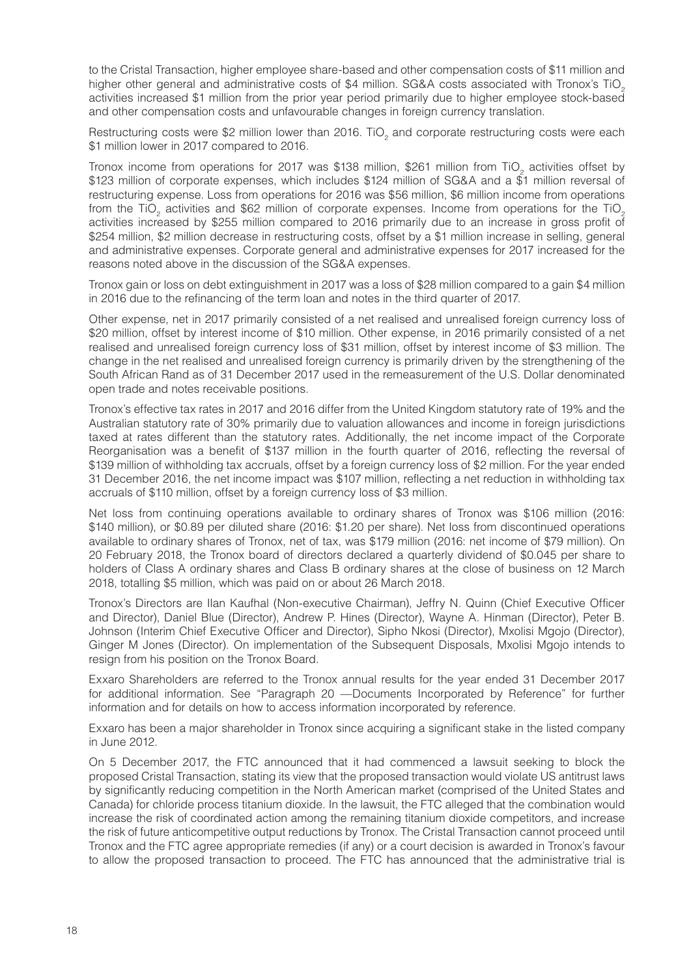to the Cristal Transaction, higher employee share-based and other compensation costs of \$11 million and higher other general and administrative costs of \$4 million. SG&A costs associated with Tronox's TiO. activities increased \$1 million from the prior year period primarily due to higher employee stock-based and other compensation costs and unfavourable changes in foreign currency translation.

Restructuring costs were \$2 million lower than 2016. TiO<sub>2</sub> and corporate restructuring costs were each \$1 million lower in 2017 compared to 2016.

Tronox income from operations for 2017 was \$138 million, \$261 million from TiO<sub>2</sub> activities offset by \$123 million of corporate expenses, which includes \$124 million of SG&A and a \$1 million reversal of restructuring expense. Loss from operations for 2016 was \$56 million, \$6 million income from operations from the TiO<sub>2</sub> activities and \$62 million of corporate expenses. Income from operations for the TiO<sub>2</sub> activities increased by \$255 million compared to 2016 primarily due to an increase in gross profit of \$254 million, \$2 million decrease in restructuring costs, offset by a \$1 million increase in selling, general and administrative expenses. Corporate general and administrative expenses for 2017 increased for the reasons noted above in the discussion of the SG&A expenses.

Tronox gain or loss on debt extinguishment in 2017 was a loss of \$28 million compared to a gain \$4 million in 2016 due to the refinancing of the term loan and notes in the third quarter of 2017.

Other expense, net in 2017 primarily consisted of a net realised and unrealised foreign currency loss of \$20 million, offset by interest income of \$10 million. Other expense, in 2016 primarily consisted of a net realised and unrealised foreign currency loss of \$31 million, offset by interest income of \$3 million. The change in the net realised and unrealised foreign currency is primarily driven by the strengthening of the South African Rand as of 31 December 2017 used in the remeasurement of the U.S. Dollar denominated open trade and notes receivable positions.

Tronox's effective tax rates in 2017 and 2016 differ from the United Kingdom statutory rate of 19% and the Australian statutory rate of 30% primarily due to valuation allowances and income in foreign jurisdictions taxed at rates different than the statutory rates. Additionally, the net income impact of the Corporate Reorganisation was a benefit of \$137 million in the fourth quarter of 2016, reflecting the reversal of \$139 million of withholding tax accruals, offset by a foreign currency loss of \$2 million. For the year ended 31 December 2016, the net income impact was \$107 million, reflecting a net reduction in withholding tax accruals of \$110 million, offset by a foreign currency loss of \$3 million.

Net loss from continuing operations available to ordinary shares of Tronox was \$106 million (2016: \$140 million), or \$0.89 per diluted share (2016: \$1.20 per share). Net loss from discontinued operations available to ordinary shares of Tronox, net of tax, was \$179 million (2016: net income of \$79 million). On 20 February 2018, the Tronox board of directors declared a quarterly dividend of \$0.045 per share to holders of Class A ordinary shares and Class B ordinary shares at the close of business on 12 March 2018, totalling \$5 million, which was paid on or about 26 March 2018.

Tronox's Directors are Ilan Kaufhal (Non-executive Chairman), Jeffry N. Quinn (Chief Executive Officer and Director), Daniel Blue (Director), Andrew P. Hines (Director), Wayne A. Hinman (Director), Peter B. Johnson (Interim Chief Executive Officer and Director), Sipho Nkosi (Director), Mxolisi Mgojo (Director), Ginger M Jones (Director). On implementation of the Subsequent Disposals, Mxolisi Mgojo intends to resign from his position on the Tronox Board.

Exxaro Shareholders are referred to the Tronox annual results for the year ended 31 December 2017 for additional information. See "Paragraph 20 —Documents Incorporated by Reference" for further information and for details on how to access information incorporated by reference.

Exxaro has been a major shareholder in Tronox since acquiring a significant stake in the listed company in June 2012.

On 5 December 2017, the FTC announced that it had commenced a lawsuit seeking to block the proposed Cristal Transaction, stating its view that the proposed transaction would violate US antitrust laws by significantly reducing competition in the North American market (comprised of the United States and Canada) for chloride process titanium dioxide. In the lawsuit, the FTC alleged that the combination would increase the risk of coordinated action among the remaining titanium dioxide competitors, and increase the risk of future anticompetitive output reductions by Tronox. The Cristal Transaction cannot proceed until Tronox and the FTC agree appropriate remedies (if any) or a court decision is awarded in Tronox's favour to allow the proposed transaction to proceed. The FTC has announced that the administrative trial is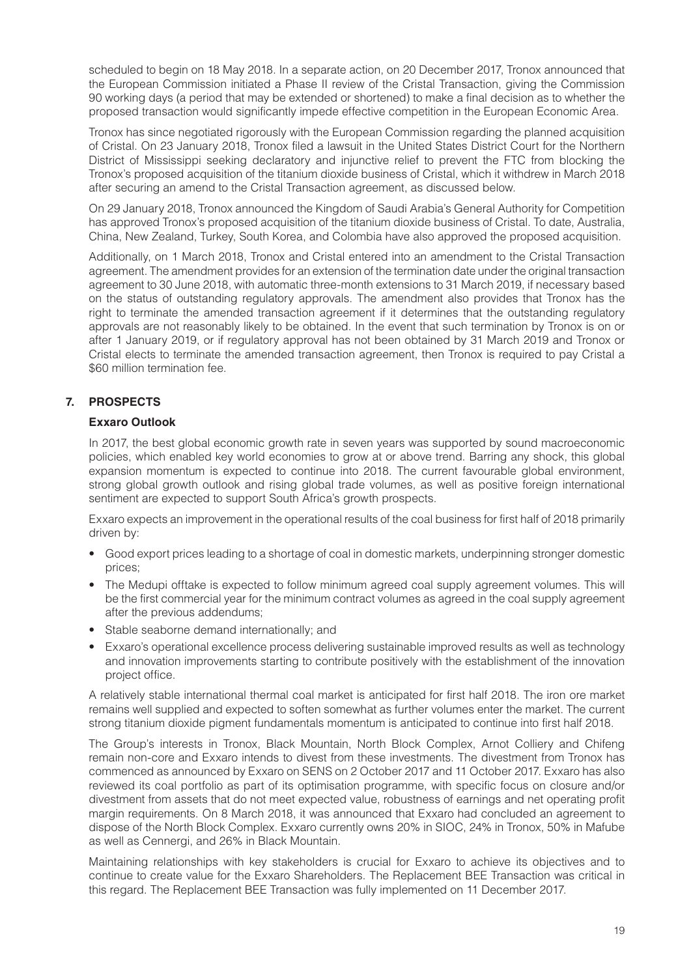scheduled to begin on 18 May 2018. In a separate action, on 20 December 2017, Tronox announced that the European Commission initiated a Phase II review of the Cristal Transaction, giving the Commission 90 working days (a period that may be extended or shortened) to make a final decision as to whether the proposed transaction would significantly impede effective competition in the European Economic Area.

Tronox has since negotiated rigorously with the European Commission regarding the planned acquisition of Cristal. On 23 January 2018, Tronox filed a lawsuit in the United States District Court for the Northern District of Mississippi seeking declaratory and injunctive relief to prevent the FTC from blocking the Tronox's proposed acquisition of the titanium dioxide business of Cristal, which it withdrew in March 2018 after securing an amend to the Cristal Transaction agreement, as discussed below.

On 29 January 2018, Tronox announced the Kingdom of Saudi Arabia's General Authority for Competition has approved Tronox's proposed acquisition of the titanium dioxide business of Cristal. To date, Australia, China, New Zealand, Turkey, South Korea, and Colombia have also approved the proposed acquisition.

Additionally, on 1 March 2018, Tronox and Cristal entered into an amendment to the Cristal Transaction agreement. The amendment provides for an extension of the termination date under the original transaction agreement to 30 June 2018, with automatic three-month extensions to 31 March 2019, if necessary based on the status of outstanding regulatory approvals. The amendment also provides that Tronox has the right to terminate the amended transaction agreement if it determines that the outstanding regulatory approvals are not reasonably likely to be obtained. In the event that such termination by Tronox is on or after 1 January 2019, or if regulatory approval has not been obtained by 31 March 2019 and Tronox or Cristal elects to terminate the amended transaction agreement, then Tronox is required to pay Cristal a \$60 million termination fee.

## **7. PROSPECTS**

#### **Exxaro Outlook**

In 2017, the best global economic growth rate in seven years was supported by sound macroeconomic policies, which enabled key world economies to grow at or above trend. Barring any shock, this global expansion momentum is expected to continue into 2018. The current favourable global environment, strong global growth outlook and rising global trade volumes, as well as positive foreign international sentiment are expected to support South Africa's growth prospects.

Exxaro expects an improvement in the operational results of the coal business for first half of 2018 primarily driven by:

- Good export prices leading to a shortage of coal in domestic markets, underpinning stronger domestic prices;
- The Medupi offtake is expected to follow minimum agreed coal supply agreement volumes. This will be the first commercial year for the minimum contract volumes as agreed in the coal supply agreement after the previous addendums;
- Stable seaborne demand internationally; and
- Exxaro's operational excellence process delivering sustainable improved results as well as technology and innovation improvements starting to contribute positively with the establishment of the innovation project office.

A relatively stable international thermal coal market is anticipated for first half 2018. The iron ore market remains well supplied and expected to soften somewhat as further volumes enter the market. The current strong titanium dioxide pigment fundamentals momentum is anticipated to continue into first half 2018.

The Group's interests in Tronox, Black Mountain, North Block Complex, Arnot Colliery and Chifeng remain non-core and Exxaro intends to divest from these investments. The divestment from Tronox has commenced as announced by Exxaro on SENS on 2 October 2017 and 11 October 2017. Exxaro has also reviewed its coal portfolio as part of its optimisation programme, with specific focus on closure and/or divestment from assets that do not meet expected value, robustness of earnings and net operating profit margin requirements. On 8 March 2018, it was announced that Exxaro had concluded an agreement to dispose of the North Block Complex. Exxaro currently owns 20% in SIOC, 24% in Tronox, 50% in Mafube as well as Cennergi, and 26% in Black Mountain.

Maintaining relationships with key stakeholders is crucial for Exxaro to achieve its objectives and to continue to create value for the Exxaro Shareholders. The Replacement BEE Transaction was critical in this regard. The Replacement BEE Transaction was fully implemented on 11 December 2017.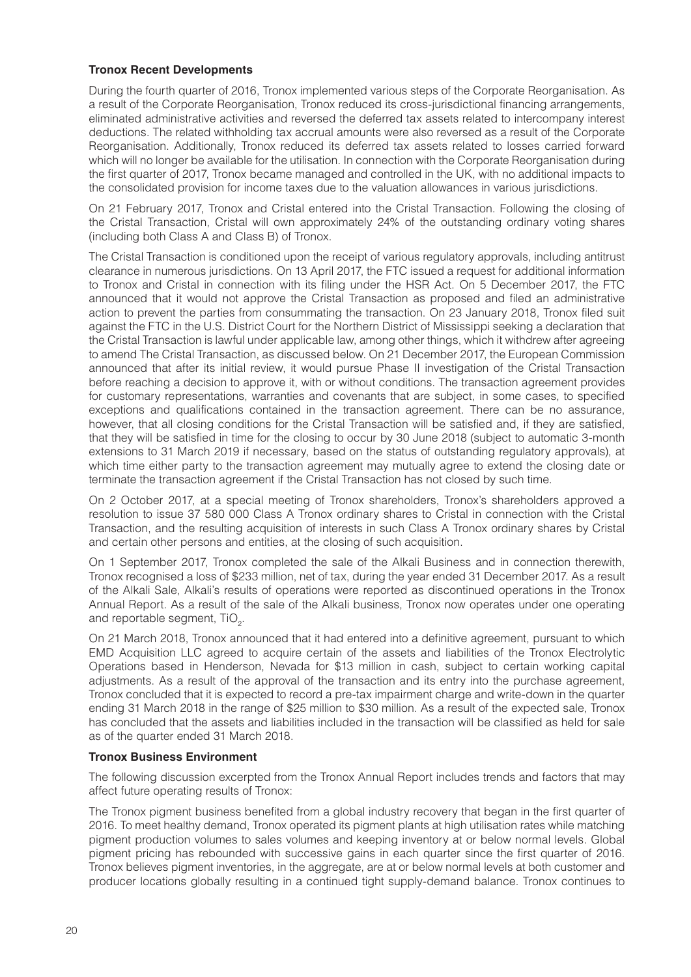#### **Tronox Recent Developments**

During the fourth quarter of 2016, Tronox implemented various steps of the Corporate Reorganisation. As a result of the Corporate Reorganisation, Tronox reduced its cross-jurisdictional financing arrangements, eliminated administrative activities and reversed the deferred tax assets related to intercompany interest deductions. The related withholding tax accrual amounts were also reversed as a result of the Corporate Reorganisation. Additionally, Tronox reduced its deferred tax assets related to losses carried forward which will no longer be available for the utilisation. In connection with the Corporate Reorganisation during the first quarter of 2017, Tronox became managed and controlled in the UK, with no additional impacts to the consolidated provision for income taxes due to the valuation allowances in various jurisdictions.

On 21 February 2017, Tronox and Cristal entered into the Cristal Transaction. Following the closing of the Cristal Transaction, Cristal will own approximately 24% of the outstanding ordinary voting shares (including both Class A and Class B) of Tronox.

The Cristal Transaction is conditioned upon the receipt of various regulatory approvals, including antitrust clearance in numerous jurisdictions. On 13 April 2017, the FTC issued a request for additional information to Tronox and Cristal in connection with its filing under the HSR Act. On 5 December 2017, the FTC announced that it would not approve the Cristal Transaction as proposed and filed an administrative action to prevent the parties from consummating the transaction. On 23 January 2018, Tronox filed suit against the FTC in the U.S. District Court for the Northern District of Mississippi seeking a declaration that the Cristal Transaction is lawful under applicable law, among other things, which it withdrew after agreeing to amend The Cristal Transaction, as discussed below. On 21 December 2017, the European Commission announced that after its initial review, it would pursue Phase II investigation of the Cristal Transaction before reaching a decision to approve it, with or without conditions. The transaction agreement provides for customary representations, warranties and covenants that are subject, in some cases, to specified exceptions and qualifications contained in the transaction agreement. There can be no assurance, however, that all closing conditions for the Cristal Transaction will be satisfied and, if they are satisfied, that they will be satisfied in time for the closing to occur by 30 June 2018 (subject to automatic 3-month extensions to 31 March 2019 if necessary, based on the status of outstanding regulatory approvals), at which time either party to the transaction agreement may mutually agree to extend the closing date or terminate the transaction agreement if the Cristal Transaction has not closed by such time.

On 2 October 2017, at a special meeting of Tronox shareholders, Tronox's shareholders approved a resolution to issue 37 580 000 Class A Tronox ordinary shares to Cristal in connection with the Cristal Transaction, and the resulting acquisition of interests in such Class A Tronox ordinary shares by Cristal and certain other persons and entities, at the closing of such acquisition.

On 1 September 2017, Tronox completed the sale of the Alkali Business and in connection therewith, Tronox recognised a loss of \$233 million, net of tax, during the year ended 31 December 2017. As a result of the Alkali Sale, Alkali's results of operations were reported as discontinued operations in the Tronox Annual Report. As a result of the sale of the Alkali business, Tronox now operates under one operating and reportable segment,  $TiO<sub>2</sub>$ .

On 21 March 2018, Tronox announced that it had entered into a definitive agreement, pursuant to which EMD Acquisition LLC agreed to acquire certain of the assets and liabilities of the Tronox Electrolytic Operations based in Henderson, Nevada for \$13 million in cash, subject to certain working capital adjustments. As a result of the approval of the transaction and its entry into the purchase agreement, Tronox concluded that it is expected to record a pre-tax impairment charge and write-down in the quarter ending 31 March 2018 in the range of \$25 million to \$30 million. As a result of the expected sale, Tronox has concluded that the assets and liabilities included in the transaction will be classified as held for sale as of the quarter ended 31 March 2018.

#### **Tronox Business Environment**

The following discussion excerpted from the Tronox Annual Report includes trends and factors that may affect future operating results of Tronox:

The Tronox pigment business benefited from a global industry recovery that began in the first quarter of 2016. To meet healthy demand, Tronox operated its pigment plants at high utilisation rates while matching pigment production volumes to sales volumes and keeping inventory at or below normal levels. Global pigment pricing has rebounded with successive gains in each quarter since the first quarter of 2016. Tronox believes pigment inventories, in the aggregate, are at or below normal levels at both customer and producer locations globally resulting in a continued tight supply-demand balance. Tronox continues to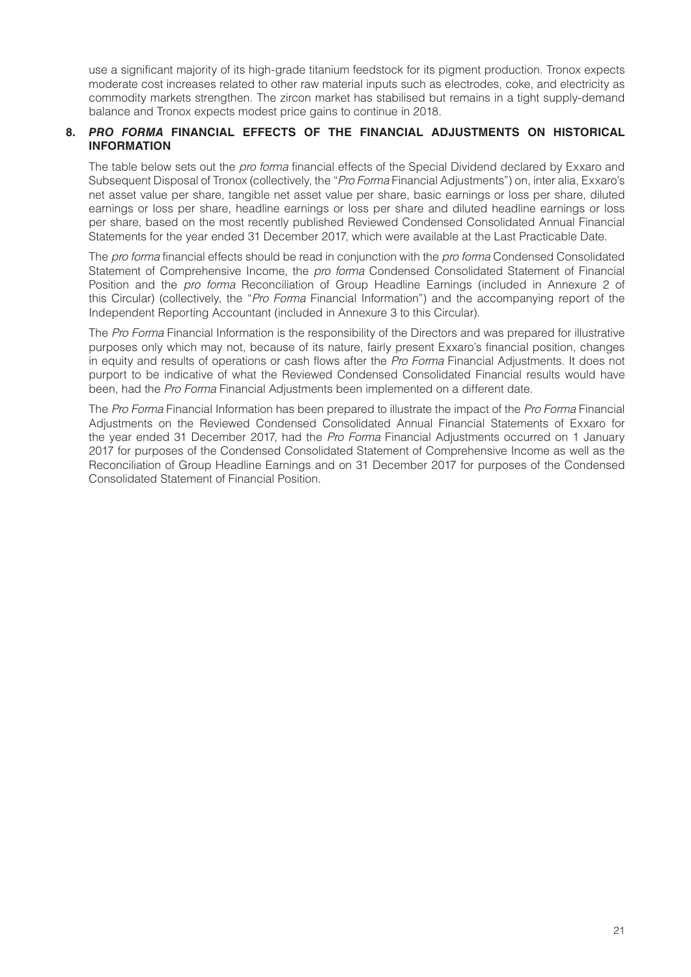use a significant majority of its high-grade titanium feedstock for its pigment production. Tronox expects moderate cost increases related to other raw material inputs such as electrodes, coke, and electricity as commodity markets strengthen. The zircon market has stabilised but remains in a tight supply-demand balance and Tronox expects modest price gains to continue in 2018.

#### **8.** *PRO FORMA* **FINANCIAL EFFECTS OF THE FINANCIAL ADJUSTMENTS ON HISTORICAL INFORMATION**

The table below sets out the *pro forma* financial effects of the Special Dividend declared by Exxaro and Subsequent Disposal of Tronox (collectively, the "*Pro Forma* Financial Adjustments") on, inter alia, Exxaro's net asset value per share, tangible net asset value per share, basic earnings or loss per share, diluted earnings or loss per share, headline earnings or loss per share and diluted headline earnings or loss per share, based on the most recently published Reviewed Condensed Consolidated Annual Financial Statements for the year ended 31 December 2017, which were available at the Last Practicable Date.

The *pro forma* financial effects should be read in conjunction with the *pro forma* Condensed Consolidated Statement of Comprehensive Income, the *pro forma* Condensed Consolidated Statement of Financial Position and the *pro forma* Reconciliation of Group Headline Earnings (included in Annexure 2 of this Circular) (collectively, the "*Pro Forma* Financial Information") and the accompanying report of the Independent Reporting Accountant (included in Annexure 3 to this Circular).

The *Pro Forma* Financial Information is the responsibility of the Directors and was prepared for illustrative purposes only which may not, because of its nature, fairly present Exxaro's financial position, changes in equity and results of operations or cash flows after the *Pro Forma* Financial Adjustments. It does not purport to be indicative of what the Reviewed Condensed Consolidated Financial results would have been, had the *Pro Forma* Financial Adjustments been implemented on a different date.

The *Pro Forma* Financial Information has been prepared to illustrate the impact of the *Pro Forma* Financial Adjustments on the Reviewed Condensed Consolidated Annual Financial Statements of Exxaro for the year ended 31 December 2017, had the *Pro Forma* Financial Adjustments occurred on 1 January 2017 for purposes of the Condensed Consolidated Statement of Comprehensive Income as well as the Reconciliation of Group Headline Earnings and on 31 December 2017 for purposes of the Condensed Consolidated Statement of Financial Position.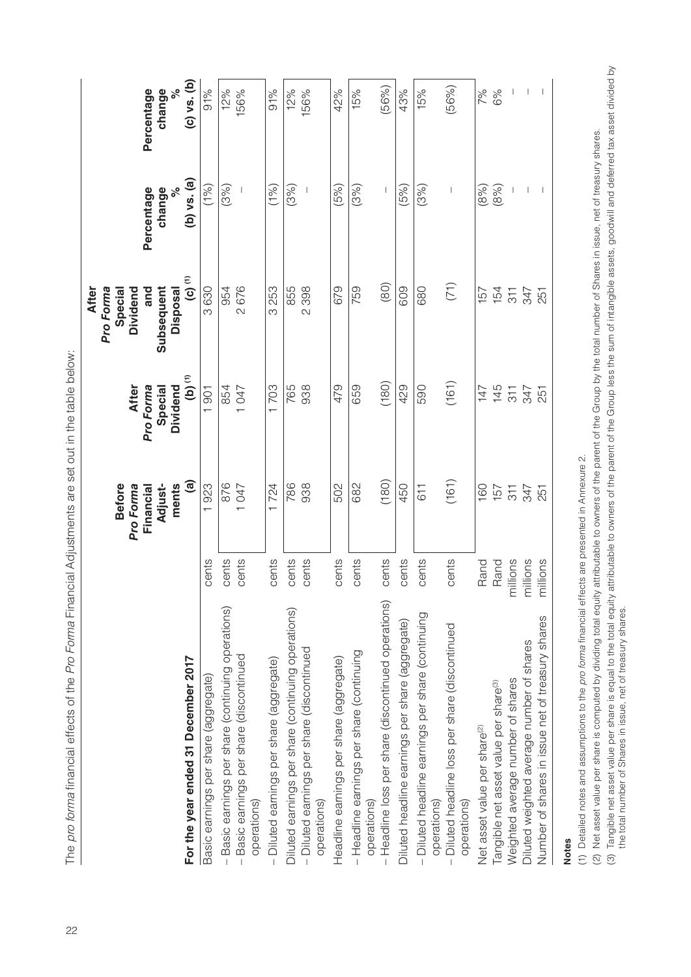|                                                                  |          | <b>Before</b><br>Pro Forma    | <b>After</b>                     | <b>After</b><br>Pro Forma<br>Dividend<br>Special |                             |                             |
|------------------------------------------------------------------|----------|-------------------------------|----------------------------------|--------------------------------------------------|-----------------------------|-----------------------------|
|                                                                  |          | ments<br>Adjust-<br>Financial | Pro Forma<br>Dividend<br>Special | Subsequent<br>and<br>Disposal                    | ್ನೇ<br>Percentage<br>change | ್ನೇ<br>Percentage<br>change |
| For the year ended 31 December 2017                              |          | @                             | $\overline{\mathbf{b}}$          | $\ddot{c}$                                       | $(b)$ vs. $(a)$             | $(c)$ vs. $(b)$             |
| Basic earnings per share (aggregate)                             | cents    | 923<br>$\overline{ }$         | 1901                             | 3630                                             | (1%)                        | 91%                         |
| Basic earnings per share (continuing operations)                 | cents    | 876                           | 854                              | 954                                              | (3%)                        | 12%                         |
| Basic earnings per share (discontinued<br>operations)            | cents    | 1047                          | 1047                             | 2676                                             |                             | 156%                        |
| - Diluted earnings per share (aggregate)                         | cents    | 1724                          | 1703                             | 253<br>က                                         | (1%)                        | 91%                         |
| Diluted earnings per share (continuing operations)               | cents    | 786                           | 765                              | 855                                              | (3%)                        | 12%                         |
| - Diluted earnings per share (discontinued<br>operations)        | cents    | 938                           | 938                              | 398<br>$\overline{\mathcal{C}}$                  |                             | 156%                        |
| Headline earnings per share (aggregate)                          | cents    | 502                           | 479                              | 679                                              | (5%)                        | 42%                         |
| - Headline earnings per share (continuing<br>operations)         | cents    | 682                           | 659                              | 759                                              | (3%)                        | 15%                         |
| - Headline loss per share (discontinued operations)              | cents    | (180)                         | (180)                            | (80)                                             |                             | (56%)                       |
| Diluted headline earnings per share (aggregate)                  | cents    | 450                           | 429                              | 609                                              | (5%)                        | 43%                         |
| - Diluted headline earnings per share (continuing<br>operations) | cents    | 611                           | 590                              | 680                                              | (3%)                        | 15%                         |
| Diluted headline loss per share (discontinued<br>operations)     | cents    | (161)                         | (161)                            | (71)                                             |                             | (56%)                       |
| Net asset value per share <sup>(2)</sup>                         | Rand     | 160                           | 147                              | 157                                              | (8%)                        | 7%                          |
| Tangible net asset value per share <sup>(3)</sup>                | Rand     | 157                           | 145                              | 154                                              | (8%)                        | 6%                          |
| Weighted average number of shares                                | millions | 311                           | $\overline{511}$                 | $\frac{11}{2}$                                   |                             |                             |
| Diluted weighted average number of shares                        | millions | 347                           | 347                              | 347                                              | $\overline{\phantom{a}}$    | $\overline{\phantom{a}}$    |
| Number of shares in issue net of treasury shares                 | millions | 251                           | 251                              | 251                                              | $\overline{\phantom{a}}$    |                             |
|                                                                  |          |                               |                                  |                                                  |                             |                             |

The pro forma financial effects of the Pro Forma Financial Adjustments are set out in the table below: 22The *pro forma* financial effects of the *Pro Forma* Financial Adjustments are set out in the table below:

**Notes**

(1) Detailed notes and assumptions to the pro forma financial effects are presented in Annexure 2. (1) Detailed notes and assumptions to the *pro forma* financial effects are presented in Annexure 2.

(2) Net asset value per share is computed by dividing total equity attributable to owners of the parent of the Group by the total number of Shares in issue, net of treasury shares.

(2) Net asset value per share is computed by dividing total equity attributable to owners of the parent of the Group by the total number of Shares in issue, net of treasury shares.<br>(3) Tangible net asset value per share is (3) Tangible net asset value per share is equal to the total equity attributable to owners of the parent of the Group less the sum of intangible assets, goodwill and deferred tax asset divided by the total number of Shares in issue, net of treasury shares.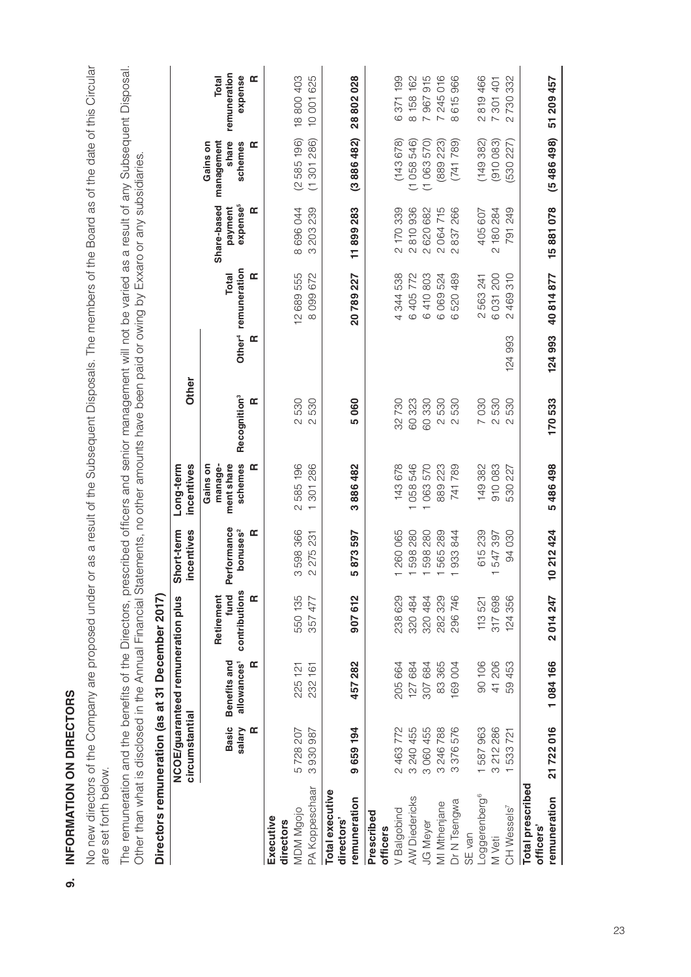| are set forth below.                                                                                                                                                                                                 |                             |                                              |                                          |                                             |                                                                    |                                                                                 |         |                                                      |                                                             |                                                 |                                                |
|----------------------------------------------------------------------------------------------------------------------------------------------------------------------------------------------------------------------|-----------------------------|----------------------------------------------|------------------------------------------|---------------------------------------------|--------------------------------------------------------------------|---------------------------------------------------------------------------------|---------|------------------------------------------------------|-------------------------------------------------------------|-------------------------------------------------|------------------------------------------------|
| The remuneration and the benefits of the Directors, prescribed officers and senior management will not be varied as a result of any Subsequent Disposal<br>Other than what is disclosed in the Annual Financial Stat |                             |                                              |                                          |                                             |                                                                    | tements, no other amounts have been paid or owing by Exxaro or any subsidiaries |         |                                                      |                                                             |                                                 |                                                |
| Directors remuneration (as at 31 December 2017)                                                                                                                                                                      |                             |                                              |                                          |                                             |                                                                    |                                                                                 |         |                                                      |                                                             |                                                 |                                                |
|                                                                                                                                                                                                                      | circumstantial              | NCOE/guaranteed remuneration plus            |                                          | incentives<br>Short-term                    | incentives<br>Long-term                                            | Other                                                                           |         |                                                      |                                                             |                                                 |                                                |
|                                                                                                                                                                                                                      | <b>Basic</b><br>salary<br>Œ | Benefits and<br>allowances <sup>1</sup><br>Œ | contributions<br>Retirement<br>Œ<br>fund | rformance<br>bonuses <sup>2</sup><br>œ<br>ዾ | ment share<br>schemes<br>manage-<br>Œ<br>Gains on                  | Recognition <sup>3</sup><br>Œ                                                   | Œ       | Other <sup>4</sup> remuneration<br>œ<br><b>Total</b> | expense <sup>5</sup><br>Share-based<br>Œ<br>payment         | management<br>share<br>schemes<br>Gains on<br>Œ | remuneration<br>expense<br>Œ<br><b>Total</b>   |
| Executive<br>directors                                                                                                                                                                                               |                             |                                              |                                          |                                             |                                                                    |                                                                                 |         |                                                      |                                                             |                                                 |                                                |
| PA Koppeschaar<br>MDM Mgojo                                                                                                                                                                                          | 5728207<br>3930987          | 225 121<br>232 161                           | 550 135<br>357 477                       | 598 366<br>231<br>275<br>$\sim$<br>ო        | 585 196<br>286<br>301<br>$\mathcal{C}$<br>$\overline{\phantom{0}}$ | 530<br>530<br>$\overline{\mathcal{C}}$<br>$\sim$                                |         | 12 689 555<br>672<br>099<br>$\infty$                 | 696044<br>203 239<br>ന<br>$\infty$                          | (2585196)<br>301 286)<br>$\overline{\tau}$      | 18800403<br>625<br>10001                       |
| Total executive<br>directors'                                                                                                                                                                                        |                             |                                              |                                          |                                             |                                                                    |                                                                                 |         |                                                      |                                                             |                                                 |                                                |
| remuneration                                                                                                                                                                                                         | 194<br>9659                 | 457282                                       | 907612                                   | 873597<br>ம                                 | 482<br>886<br>ო                                                    | 5060                                                                            |         | 20789227                                             | 11899283                                                    | (3866482)                                       | 28802028                                       |
| Prescribed<br>officers                                                                                                                                                                                               |                             |                                              |                                          |                                             |                                                                    |                                                                                 |         |                                                      |                                                             |                                                 |                                                |
| V Balgobind                                                                                                                                                                                                          | 2463772                     | 205664                                       | 238629                                   | 260065                                      | 678<br>143(                                                        | 32730                                                                           |         | 538<br>344!<br>$\overline{a}$                        | 2 170 339                                                   | (143678)                                        | 6371199                                        |
| AW Diedericks<br><b>JG Meyer</b>                                                                                                                                                                                     | 3 240 455<br>3060455        | 127 684<br>307 684                           | 320484<br>320484                         | 598 280<br>280<br>598                       | 546<br>570<br>058<br>063                                           | 60323<br>330<br>60                                                              |         | 772<br>803<br>405<br>410<br>$\circ$<br>$\circ$       | 936<br>620 682<br>810<br>$\sim$<br>$\overline{\mathcal{C}}$ | (1058546)<br>570)<br>(1063)                     | 162<br>915<br>158<br>967<br>$\infty$<br>$\sim$ |
| MI Mthenjane                                                                                                                                                                                                         | 246788<br>$\infty$          | 83365                                        | 282 329                                  | 289<br>565                                  | 223<br>889                                                         | 530<br>$\sim$                                                                   |         | 524<br>069<br>$\circ$                                | 064715<br>$\sim$                                            | 223)<br>(889)                                   | 7 245 016                                      |
| Dr N Tsengwa                                                                                                                                                                                                         | 576<br>376<br>S             | 69004                                        | 296746                                   | 844<br>933                                  | 789<br>741                                                         | 530<br>$\sim$                                                                   |         | 489<br>520.<br>$\circ$                               | 266<br>837<br>$\mathcal{Q}$                                 | 789)<br>(741)                                   | 966<br>615<br>$\infty$                         |
| Loggerenberg <sup>6</sup><br>SE van                                                                                                                                                                                  | 587963<br>$\overline{ }$    | 90 106                                       | 113521                                   | 615 239                                     | 149382                                                             | 030<br>$\overline{a}$                                                           |         | 563 241<br>$\mathcal{C}$                             | 405 607                                                     | (149382)                                        | 819466<br>$\sim$                               |
| M Veti                                                                                                                                                                                                               | 3 212 286                   | 41 206                                       | 317698                                   | 547 397<br>┯                                | 910083                                                             | 530<br>$\sim$                                                                   |         | 031200<br>$\circ$                                    | 180 284<br>$\sim$                                           | (910083)                                        | 7 301 401                                      |
| CH Wessels <sup>7</sup>                                                                                                                                                                                              | 721<br>533                  | 453<br>59.                                   | 356<br>124                               | 030<br>94                                   | 227<br>530                                                         | 530<br>$\sim$                                                                   | 124 993 | 310<br>469<br>$\sim$                                 | 249<br>791                                                  | (530 227                                        | 332<br>730<br>$\mathcal{Q}$                    |
| <b>Total prescribed</b><br>remuneration<br>officers'                                                                                                                                                                 | 21722016                    | 1084166                                      | 2014247                                  | 0 212 424                                   | 5486498                                                            | 170533                                                                          | 124993  | 40814877                                             | 15881078                                                    | (5486498)                                       | 51 209 457                                     |

No new directors of the Company are proposed under or as a result of the Subsequent Disposals. The members of the Board as of the date of this Circular No new directors of the Company are proposed under or as a result of the Subsequent Disposals. The members of the Board as of the date of this Circular

**9. INFORMATION ON DIRECTORS**

 $\overline{a}$ 

INFORMATION ON DIRECTORS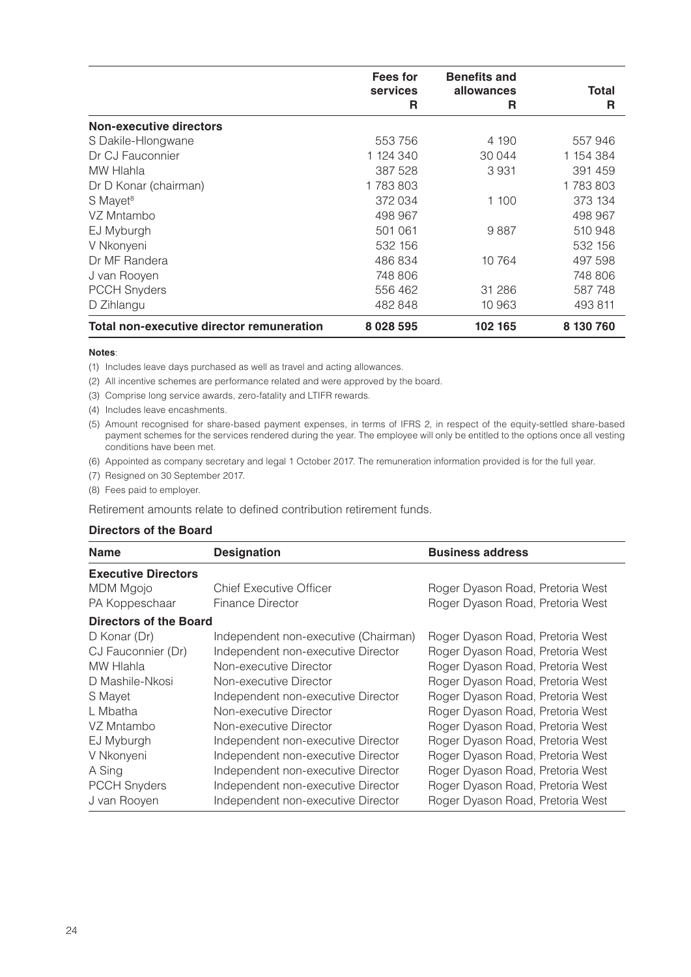|                                                  | Fees for    | <b>Benefits and</b> |           |
|--------------------------------------------------|-------------|---------------------|-----------|
|                                                  | services    | allowances          | Total     |
|                                                  | R           | R                   | R         |
| <b>Non-executive directors</b>                   |             |                     |           |
| S Dakile-Hlongwane                               | 553 756     | 4 190               | 557946    |
| Dr CJ Fauconnier                                 | 1 124 340   | 30 044              | 1 154 384 |
| MW Hlahla                                        | 387 528     | 3931                | 391 459   |
| Dr D Konar (chairman)                            | 1783803     |                     | 1783803   |
| S Mayet <sup>8</sup>                             | 372 034     | 1 100               | 373 134   |
| VZ Mntambo                                       | 498 967     |                     | 498 967   |
| EJ Myburgh                                       | 501 061     | 9887                | 510 948   |
| V Nkonyeni                                       | 532 156     |                     | 532 156   |
| Dr MF Randera                                    | 486834      | 10 764              | 497 598   |
| J van Rooyen                                     | 748 806     |                     | 748 806   |
| <b>PCCH Snyders</b>                              | 556 462     | 31 286              | 587 748   |
| D Zihlangu                                       | 482 848     | 10 963              | 493 811   |
| <b>Total non-executive director remuneration</b> | 8 0 28 5 95 | 102 165             | 8 130 760 |

#### **Notes**:

(1) Includes leave days purchased as well as travel and acting allowances.

- (2) All incentive schemes are performance related and were approved by the board.
- (3) Comprise long service awards, zero-fatality and LTIFR rewards.
- (4) Includes leave encashments.
- (5) Amount recognised for share-based payment expenses, in terms of IFRS 2, in respect of the equity-settled share-based payment schemes for the services rendered during the year. The employee will only be entitled to the options once all vesting conditions have been met.
- (6) Appointed as company secretary and legal 1 October 2017. The remuneration information provided is for the full year.
- (7) Resigned on 30 September 2017.
- (8) Fees paid to employer.

Retirement amounts relate to defined contribution retirement funds.

#### **Directors of the Board**

| <b>Name</b>                   | <b>Designation</b>                   | <b>Business address</b>          |
|-------------------------------|--------------------------------------|----------------------------------|
| <b>Executive Directors</b>    |                                      |                                  |
| MDM Mgojo                     | <b>Chief Executive Officer</b>       | Roger Dyason Road, Pretoria West |
| PA Koppeschaar                | <b>Finance Director</b>              | Roger Dyason Road, Pretoria West |
| <b>Directors of the Board</b> |                                      |                                  |
| D Konar (Dr)                  | Independent non-executive (Chairman) | Roger Dyason Road, Pretoria West |
| CJ Fauconnier (Dr)            | Independent non-executive Director   | Roger Dyason Road, Pretoria West |
| MW Hlahla                     | Non-executive Director               | Roger Dyason Road, Pretoria West |
| D Mashile-Nkosi               | Non-executive Director               | Roger Dyason Road, Pretoria West |
| S Mayet                       | Independent non-executive Director   | Roger Dyason Road, Pretoria West |
| L Mbatha                      | Non-executive Director               | Roger Dyason Road, Pretoria West |
| VZ Mntambo                    | Non-executive Director               | Roger Dyason Road, Pretoria West |
| EJ Myburgh                    | Independent non-executive Director   | Roger Dyason Road, Pretoria West |
| V Nkonyeni                    | Independent non-executive Director   | Roger Dyason Road, Pretoria West |
| A Sing                        | Independent non-executive Director   | Roger Dyason Road, Pretoria West |
| <b>PCCH Snyders</b>           | Independent non-executive Director   | Roger Dyason Road, Pretoria West |
| J van Rooyen                  | Independent non-executive Director   | Roger Dyason Road, Pretoria West |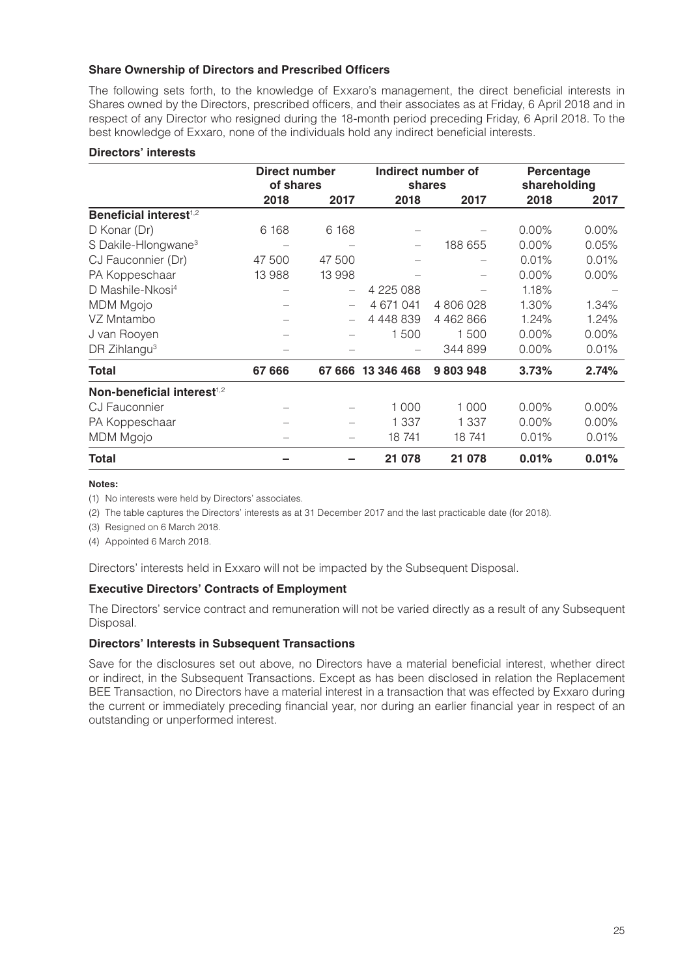#### **Share Ownership of Directors and Prescribed Officers**

The following sets forth, to the knowledge of Exxaro's management, the direct beneficial interests in Shares owned by the Directors, prescribed officers, and their associates as at Friday, 6 April 2018 and in respect of any Director who resigned during the 18-month period preceding Friday, 6 April 2018. To the best knowledge of Exxaro, none of the individuals hold any indirect beneficial interests.

#### **Directors' interests**

|                                        | Direct number<br>of shares |                          |               | Indirect number of<br>shares | Percentage<br>shareholding |       |
|----------------------------------------|----------------------------|--------------------------|---------------|------------------------------|----------------------------|-------|
|                                        | 2018                       | 2017                     | 2018          | 2017                         | 2018                       | 2017  |
| Beneficial interest <sup>1,2</sup>     |                            |                          |               |                              |                            |       |
| D Konar (Dr)                           | 6 1 6 8                    | 6 1 6 8                  |               |                              | $0.00\%$                   | 0.00% |
| S Dakile-Hlongwane <sup>3</sup>        |                            |                          |               | 188 655                      | 0.00%                      | 0.05% |
| CJ Fauconnier (Dr)                     | 47 500                     | 47 500                   |               |                              | 0.01%                      | 0.01% |
| PA Koppeschaar                         | 13 988                     | 13 998                   |               |                              | 0.00%                      | 0.00% |
| D Mashile-Nkosi <sup>4</sup>           |                            | $\overline{\phantom{0}}$ | 4 225 088     |                              | 1.18%                      |       |
| MDM Mgojo                              |                            |                          | 4 671 041     | 4806028                      | 1.30%                      | 1.34% |
| VZ Mntambo                             |                            |                          | 4 4 4 8 8 3 9 | 4 4 6 2 8 6 6                | 1.24%                      | 1.24% |
| J van Rooyen                           |                            |                          | 1500          | 1500                         | $0.00\%$                   | 0.00% |
| DR Zihlangu <sup>3</sup>               |                            |                          |               | 344 899                      | $0.00\%$                   | 0.01% |
| Total                                  | 67 666                     | 67 666                   | 13 346 468    | 9803948                      | 3.73%                      | 2.74% |
| Non-beneficial interest <sup>1,2</sup> |                            |                          |               |                              |                            |       |
| CJ Fauconnier                          |                            |                          | 1 0 0 0       | 1 0 0 0                      | 0.00%                      | 0.00% |
| PA Koppeschaar                         |                            |                          | 1 3 3 7       | 1 337                        | 0.00%                      | 0.00% |
| MDM Mgojo                              |                            |                          | 18741         | 18741                        | 0.01%                      | 0.01% |
| Total                                  |                            |                          | 21 078        | 21 078                       | 0.01%                      | 0.01% |

#### **Notes:**

(1) No interests were held by Directors' associates.

(2) The table captures the Directors' interests as at 31 December 2017 and the last practicable date (for 2018).

(3) Resigned on 6 March 2018.

(4) Appointed 6 March 2018.

Directors' interests held in Exxaro will not be impacted by the Subsequent Disposal.

#### **Executive Directors' Contracts of Employment**

The Directors' service contract and remuneration will not be varied directly as a result of any Subsequent Disposal.

#### **Directors' Interests in Subsequent Transactions**

Save for the disclosures set out above, no Directors have a material beneficial interest, whether direct or indirect, in the Subsequent Transactions. Except as has been disclosed in relation the Replacement BEE Transaction, no Directors have a material interest in a transaction that was effected by Exxaro during the current or immediately preceding financial year, nor during an earlier financial year in respect of an outstanding or unperformed interest.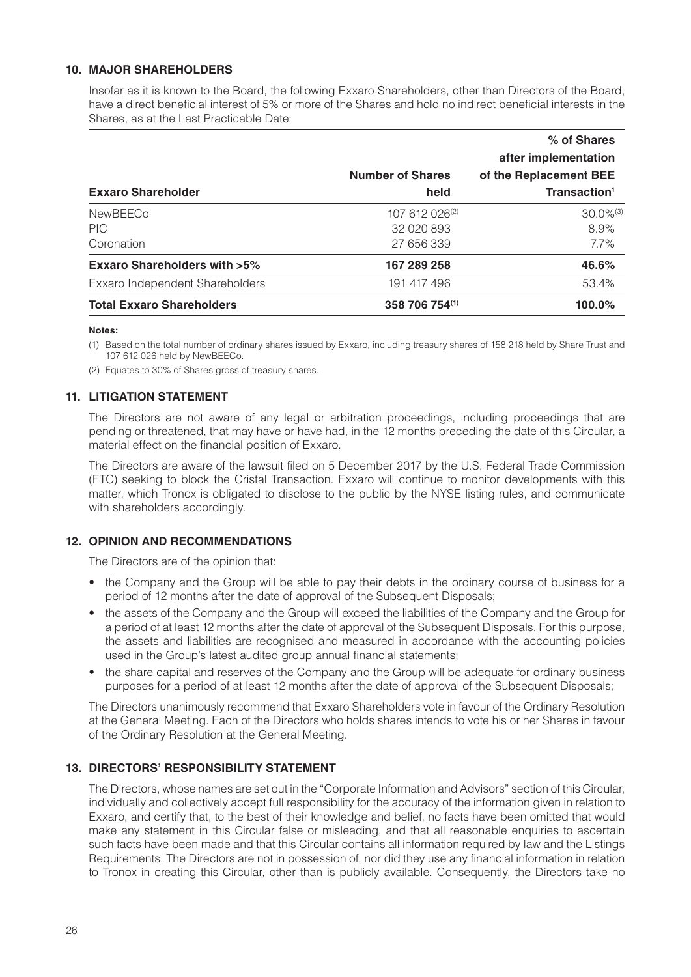#### **10. MAJOR SHAREHOLDERS**

Insofar as it is known to the Board, the following Exxaro Shareholders, other than Directors of the Board, have a direct beneficial interest of 5% or more of the Shares and hold no indirect beneficial interests in the Shares, as at the Last Practicable Date:

|                                        |                         | % of Shares              |
|----------------------------------------|-------------------------|--------------------------|
|                                        |                         | after implementation     |
|                                        | <b>Number of Shares</b> | of the Replacement BEE   |
| <b>Exxaro Shareholder</b>              | held                    | Transaction <sup>1</sup> |
| <b>NewBEECo</b>                        | 107 612 026(2)          | $30.0\%$ <sup>(3)</sup>  |
| <b>PIC</b>                             | 32 020 893              | 8.9%                     |
| Coronation                             | 27 656 339              | 7.7%                     |
| <b>Exxaro Shareholders with &gt;5%</b> | 167 289 258             | 46.6%                    |
| Exxaro Independent Shareholders        | 191 417 496             | 53.4%                    |
| <b>Total Exxaro Shareholders</b>       | 358 706 754(1)          | 100.0%                   |

#### **Notes:**

(1) Based on the total number of ordinary shares issued by Exxaro, including treasury shares of 158 218 held by Share Trust and 107 612 026 held by NewBEECo.

(2) Equates to 30% of Shares gross of treasury shares.

#### **11. LITIGATION STATEMENT**

The Directors are not aware of any legal or arbitration proceedings, including proceedings that are pending or threatened, that may have or have had, in the 12 months preceding the date of this Circular, a material effect on the financial position of Exxaro.

The Directors are aware of the lawsuit filed on 5 December 2017 by the U.S. Federal Trade Commission (FTC) seeking to block the Cristal Transaction. Exxaro will continue to monitor developments with this matter, which Tronox is obligated to disclose to the public by the NYSE listing rules, and communicate with shareholders accordingly.

#### **12. OPINION AND RECOMMENDATIONS**

The Directors are of the opinion that:

- the Company and the Group will be able to pay their debts in the ordinary course of business for a period of 12 months after the date of approval of the Subsequent Disposals;
- the assets of the Company and the Group will exceed the liabilities of the Company and the Group for a period of at least 12 months after the date of approval of the Subsequent Disposals. For this purpose, the assets and liabilities are recognised and measured in accordance with the accounting policies used in the Group's latest audited group annual financial statements;
- the share capital and reserves of the Company and the Group will be adequate for ordinary business purposes for a period of at least 12 months after the date of approval of the Subsequent Disposals;

The Directors unanimously recommend that Exxaro Shareholders vote in favour of the Ordinary Resolution at the General Meeting. Each of the Directors who holds shares intends to vote his or her Shares in favour of the Ordinary Resolution at the General Meeting.

#### **13. DIRECTORS' RESPONSIBILITY STATEMENT**

The Directors, whose names are set out in the "Corporate Information and Advisors" section of this Circular, individually and collectively accept full responsibility for the accuracy of the information given in relation to Exxaro, and certify that, to the best of their knowledge and belief, no facts have been omitted that would make any statement in this Circular false or misleading, and that all reasonable enquiries to ascertain such facts have been made and that this Circular contains all information required by law and the Listings Requirements. The Directors are not in possession of, nor did they use any financial information in relation to Tronox in creating this Circular, other than is publicly available. Consequently, the Directors take no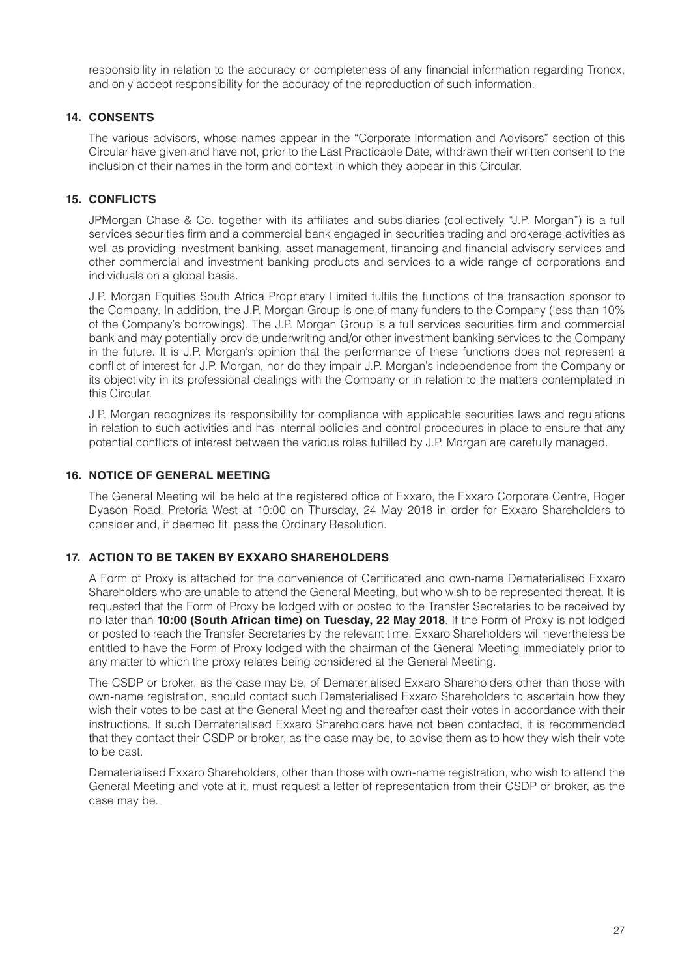responsibility in relation to the accuracy or completeness of any financial information regarding Tronox, and only accept responsibility for the accuracy of the reproduction of such information.

#### **14. CONSENTS**

The various advisors, whose names appear in the "Corporate Information and Advisors" section of this Circular have given and have not, prior to the Last Practicable Date, withdrawn their written consent to the inclusion of their names in the form and context in which they appear in this Circular.

#### **15. CONFLICTS**

JPMorgan Chase & Co. together with its affiliates and subsidiaries (collectively "J.P. Morgan") is a full services securities firm and a commercial bank engaged in securities trading and brokerage activities as well as providing investment banking, asset management, financing and financial advisory services and other commercial and investment banking products and services to a wide range of corporations and individuals on a global basis.

J.P. Morgan Equities South Africa Proprietary Limited fulfils the functions of the transaction sponsor to the Company. In addition, the J.P. Morgan Group is one of many funders to the Company (less than 10% of the Company's borrowings). The J.P. Morgan Group is a full services securities firm and commercial bank and may potentially provide underwriting and/or other investment banking services to the Company in the future. It is J.P. Morgan's opinion that the performance of these functions does not represent a conflict of interest for J.P. Morgan, nor do they impair J.P. Morgan's independence from the Company or its objectivity in its professional dealings with the Company or in relation to the matters contemplated in this Circular.

J.P. Morgan recognizes its responsibility for compliance with applicable securities laws and regulations in relation to such activities and has internal policies and control procedures in place to ensure that any potential conflicts of interest between the various roles fulfilled by J.P. Morgan are carefully managed.

#### **16. NOTICE OF GENERAL MEETING**

The General Meeting will be held at the registered office of Exxaro, the Exxaro Corporate Centre, Roger Dyason Road, Pretoria West at 10:00 on Thursday, 24 May 2018 in order for Exxaro Shareholders to consider and, if deemed fit, pass the Ordinary Resolution.

#### **17. ACTION TO BE TAKEN BY EXXARO SHAREHOLDERS**

A Form of Proxy is attached for the convenience of Certificated and own-name Dematerialised Exxaro Shareholders who are unable to attend the General Meeting, but who wish to be represented thereat. It is requested that the Form of Proxy be lodged with or posted to the Transfer Secretaries to be received by no later than **10:00 (South African time) on Tuesday, 22 May 2018**. If the Form of Proxy is not lodged or posted to reach the Transfer Secretaries by the relevant time, Exxaro Shareholders will nevertheless be entitled to have the Form of Proxy lodged with the chairman of the General Meeting immediately prior to any matter to which the proxy relates being considered at the General Meeting.

The CSDP or broker, as the case may be, of Dematerialised Exxaro Shareholders other than those with own-name registration, should contact such Dematerialised Exxaro Shareholders to ascertain how they wish their votes to be cast at the General Meeting and thereafter cast their votes in accordance with their instructions. If such Dematerialised Exxaro Shareholders have not been contacted, it is recommended that they contact their CSDP or broker, as the case may be, to advise them as to how they wish their vote to be cast.

Dematerialised Exxaro Shareholders, other than those with own-name registration, who wish to attend the General Meeting and vote at it, must request a letter of representation from their CSDP or broker, as the case may be.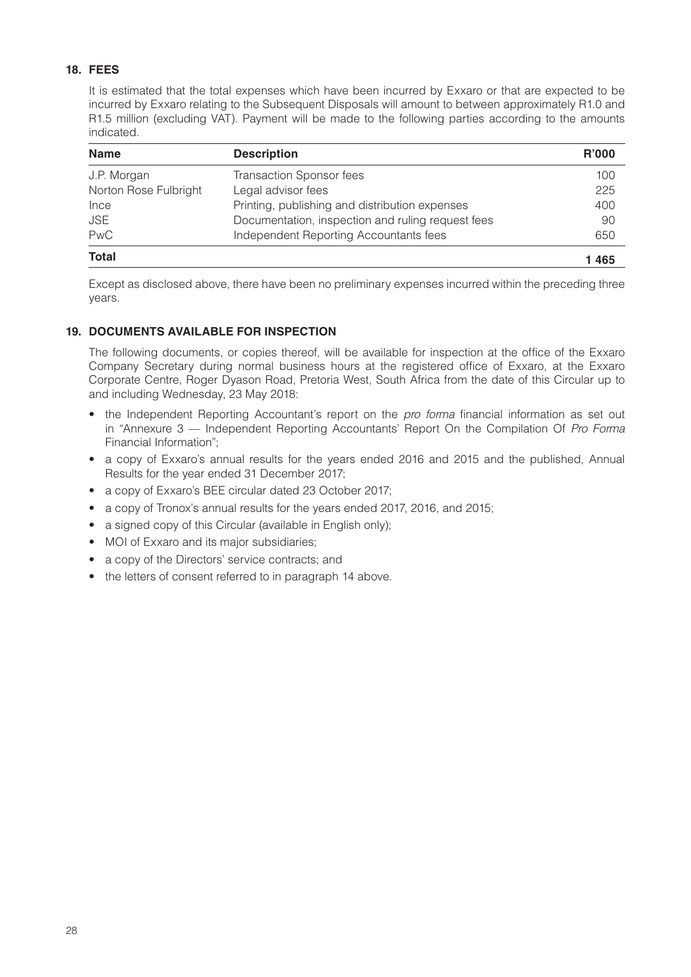## **18. FEES**

It is estimated that the total expenses which have been incurred by Exxaro or that are expected to be incurred by Exxaro relating to the Subsequent Disposals will amount to between approximately R1.0 and R1.5 million (excluding VAT). Payment will be made to the following parties according to the amounts indicated.

| <b>Name</b>           | <b>Description</b>                                | <b>R'000</b> |
|-----------------------|---------------------------------------------------|--------------|
| J.P. Morgan           | <b>Transaction Sponsor fees</b>                   | 100          |
| Norton Rose Fulbright | Legal advisor fees                                | 225          |
| Ince                  | Printing, publishing and distribution expenses    | 400          |
| <b>JSE</b>            | Documentation, inspection and ruling request fees | 90           |
| PwC                   | Independent Reporting Accountants fees            | 650          |
| <b>Total</b>          |                                                   | 1465         |

Except as disclosed above, there have been no preliminary expenses incurred within the preceding three years.

## **19. DOCUMENTS AVAILABLE FOR INSPECTION**

The following documents, or copies thereof, will be available for inspection at the office of the Exxaro Company Secretary during normal business hours at the registered office of Exxaro, at the Exxaro Corporate Centre, Roger Dyason Road, Pretoria West, South Africa from the date of this Circular up to and including Wednesday, 23 May 2018:

- the Independent Reporting Accountant's report on the *pro forma* financial information as set out in "Annexure 3 — Independent Reporting Accountants' Report On the Compilation Of *Pro Forma* Financial Information";
- a copy of Exxaro's annual results for the years ended 2016 and 2015 and the published, Annual Results for the year ended 31 December 2017;
- a copy of Exxaro's BEE circular dated 23 October 2017;
- a copy of Tronox's annual results for the years ended 2017, 2016, and 2015;
- a signed copy of this Circular (available in English only);
- MOI of Exxaro and its major subsidiaries;
- a copy of the Directors' service contracts; and
- the letters of consent referred to in paragraph 14 above.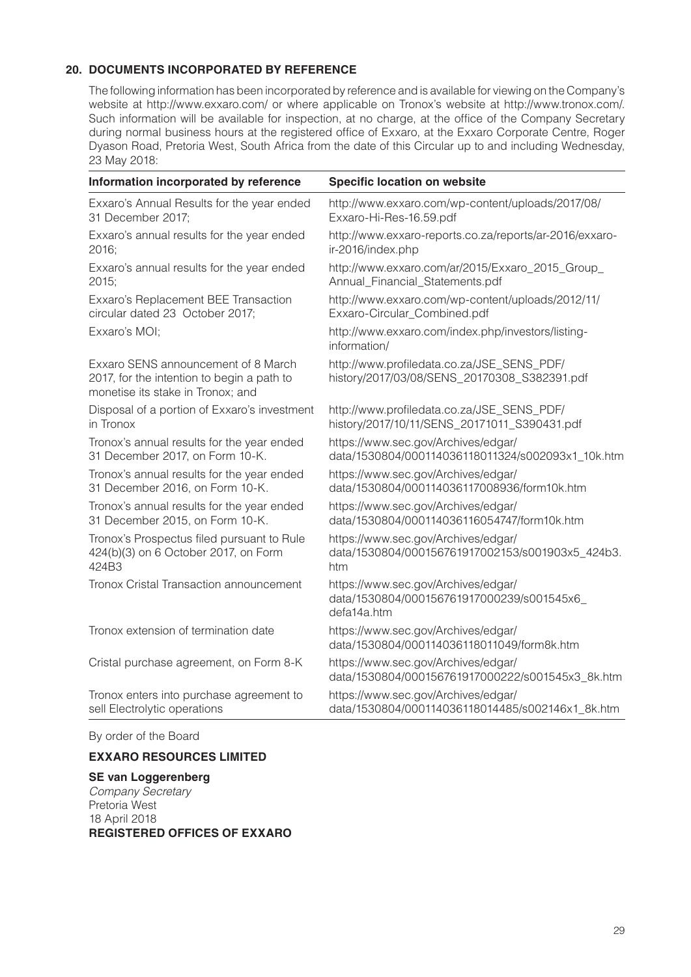## **20. DOCUMENTS INCORPORATED BY REFERENCE**

The following information has been incorporated by reference and is available for viewing on the Company's website at http://www.exxaro.com/ or where applicable on Tronox's website at http://www.tronox.com/. Such information will be available for inspection, at no charge, at the office of the Company Secretary during normal business hours at the registered office of Exxaro, at the Exxaro Corporate Centre, Roger Dyason Road, Pretoria West, South Africa from the date of this Circular up to and including Wednesday, 23 May 2018:

| Information incorporated by reference                                                                                  | <b>Specific location on website</b>                                                             |
|------------------------------------------------------------------------------------------------------------------------|-------------------------------------------------------------------------------------------------|
| Exxaro's Annual Results for the year ended                                                                             | http://www.exxaro.com/wp-content/uploads/2017/08/                                               |
| 31 December 2017;                                                                                                      | Exxaro-Hi-Res-16.59.pdf                                                                         |
| Exxaro's annual results for the year ended                                                                             | http://www.exxaro-reports.co.za/reports/ar-2016/exxaro-                                         |
| 2016;                                                                                                                  | ir-2016/index.php                                                                               |
| Exxaro's annual results for the year ended                                                                             | http://www.exxaro.com/ar/2015/Exxaro_2015_Group_                                                |
| 2015;                                                                                                                  | Annual_Financial_Statements.pdf                                                                 |
| Exxaro's Replacement BEE Transaction                                                                                   | http://www.exxaro.com/wp-content/uploads/2012/11/                                               |
| circular dated 23 October 2017;                                                                                        | Exxaro-Circular_Combined.pdf                                                                    |
| Exxaro's MOI;                                                                                                          | http://www.exxaro.com/index.php/investors/listing-<br>information/                              |
| Exxaro SENS announcement of 8 March<br>2017, for the intention to begin a path to<br>monetise its stake in Tronox; and | http://www.profiledata.co.za/JSE_SENS_PDF/<br>history/2017/03/08/SENS_20170308_S382391.pdf      |
| Disposal of a portion of Exxaro's investment                                                                           | http://www.profiledata.co.za/JSE_SENS_PDF/                                                      |
| in Tronox                                                                                                              | history/2017/10/11/SENS_20171011_S390431.pdf                                                    |
| Tronox's annual results for the year ended                                                                             | https://www.sec.gov/Archives/edgar/                                                             |
| 31 December 2017, on Form 10-K.                                                                                        | data/1530804/000114036118011324/s002093x1_10k.htm                                               |
| Tronox's annual results for the year ended                                                                             | https://www.sec.gov/Archives/edgar/                                                             |
| 31 December 2016, on Form 10-K.                                                                                        | data/1530804/000114036117008936/form10k.htm                                                     |
| Tronox's annual results for the year ended                                                                             | https://www.sec.gov/Archives/edgar/                                                             |
| 31 December 2015, on Form 10-K.                                                                                        | data/1530804/000114036116054747/form10k.htm                                                     |
| Tronox's Prospectus filed pursuant to Rule                                                                             | https://www.sec.gov/Archives/edgar/                                                             |
| 424(b)(3) on 6 October 2017, on Form                                                                                   | data/1530804/000156761917002153/s001903x5_424b3.                                                |
| 424B3                                                                                                                  | htm                                                                                             |
| Tronox Cristal Transaction announcement                                                                                | https://www.sec.gov/Archives/edgar/<br>data/1530804/000156761917000239/s001545x6<br>defa14a.htm |
| Tronox extension of termination date                                                                                   | https://www.sec.gov/Archives/edgar/<br>data/1530804/000114036118011049/form8k.htm               |
| Cristal purchase agreement, on Form 8-K                                                                                | https://www.sec.gov/Archives/edgar/<br>data/1530804/000156761917000222/s001545x3 8k.htm         |
| Tronox enters into purchase agreement to                                                                               | https://www.sec.gov/Archives/edgar/                                                             |
| sell Electrolytic operations                                                                                           | data/1530804/000114036118014485/s002146x1_8k.htm                                                |

By order of the Board

## **EXXARO RESOURCES LIMITED**

#### **SE van Loggerenberg** *Company Secretary* Pretoria West 18 April 2018 **REGISTERED OFFICES OF EXXARO**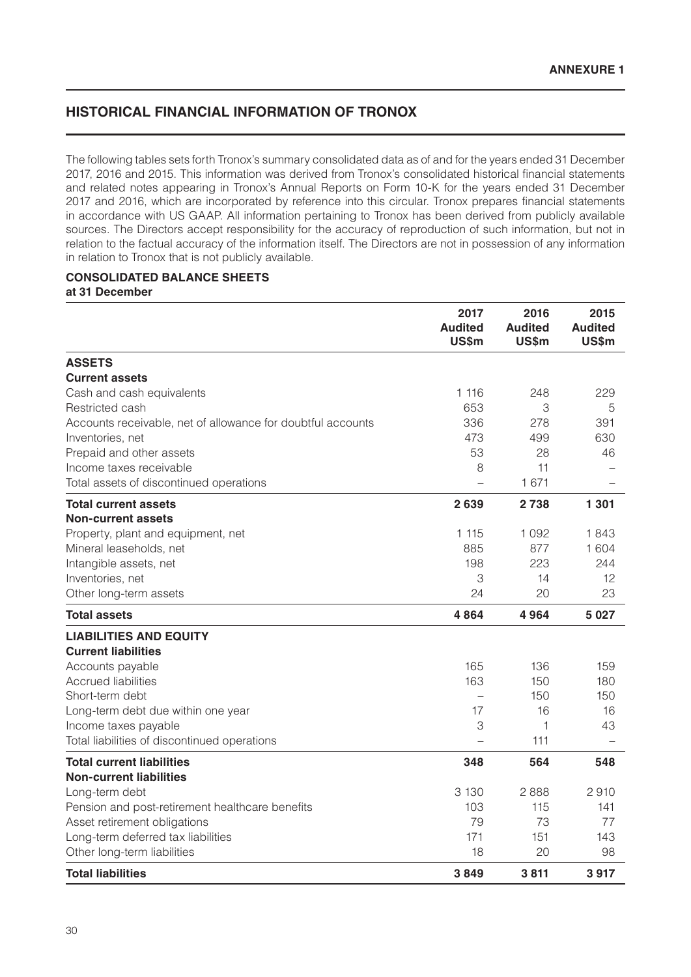## **HISTORICAL FINANCIAL INFORMATION OF TRONOX**

The following tables sets forth Tronox's summary consolidated data as of and for the years ended 31 December 2017, 2016 and 2015. This information was derived from Tronox's consolidated historical financial statements and related notes appearing in Tronox's Annual Reports on Form 10-K for the years ended 31 December 2017 and 2016, which are incorporated by reference into this circular. Tronox prepares financial statements in accordance with US GAAP. All information pertaining to Tronox has been derived from publicly available sources. The Directors accept responsibility for the accuracy of reproduction of such information, but not in relation to the factual accuracy of the information itself. The Directors are not in possession of any information in relation to Tronox that is not publicly available.

#### **CONSOLIDATED BALANCE SHEETS at 31 December**

| 2017<br>2016<br><b>Audited</b><br><b>Audited</b><br><b>US\$m</b><br><b>US\$m</b> | 2015<br><b>Audited</b><br><b>US\$m</b> |
|----------------------------------------------------------------------------------|----------------------------------------|
| <b>ASSETS</b>                                                                    |                                        |
| <b>Current assets</b>                                                            |                                        |
| 1 1 1 6<br>Cash and cash equivalents<br>248                                      | 229                                    |
| 653<br>3<br>Restricted cash                                                      | 5                                      |
| 336<br>278<br>Accounts receivable, net of allowance for doubtful accounts        | 391                                    |
| 473<br>499<br>Inventories, net                                                   | 630                                    |
| Prepaid and other assets<br>53<br>28                                             | 46                                     |
| 11<br>Income taxes receivable<br>8                                               |                                        |
| 1 671<br>Total assets of discontinued operations                                 |                                        |
| 2639<br>2738<br><b>Total current assets</b>                                      | 1 301                                  |
| <b>Non-current assets</b>                                                        |                                        |
| Property, plant and equipment, net<br>1 1 1 5<br>1092                            | 1843                                   |
| 885<br>877<br>Mineral leaseholds, net<br>223<br>198                              | 1 604<br>244                           |
| Intangible assets, net<br>3<br>Inventories, net<br>14                            | 12                                     |
| 20<br>Other long-term assets<br>24                                               | 23                                     |
|                                                                                  |                                        |
| <b>Total assets</b><br>4864<br>4964                                              | 5027                                   |
| <b>LIABILITIES AND EQUITY</b>                                                    |                                        |
| <b>Current liabilities</b>                                                       |                                        |
| 165<br>136<br>Accounts payable                                                   | 159                                    |
| 150<br><b>Accrued liabilities</b><br>163                                         | 180                                    |
| 150<br>Short-term debt                                                           | 150                                    |
| 16<br>Long-term debt due within one year<br>17                                   | 16                                     |
| 1<br>3<br>Income taxes payable                                                   | 43                                     |
| 111<br>Total liabilities of discontinued operations                              |                                        |
| <b>Total current liabilities</b><br>348<br>564                                   | 548                                    |
| <b>Non-current liabilities</b><br>3 1 3 0<br>2888<br>Long-term debt              | 2910                                   |
| Pension and post-retirement healthcare benefits<br>103<br>115                    | 141                                    |
| 79<br>73<br>Asset retirement obligations                                         | 77                                     |
| Long-term deferred tax liabilities<br>171<br>151                                 | 143                                    |
| 20<br>Other long-term liabilities<br>18                                          | 98                                     |
|                                                                                  |                                        |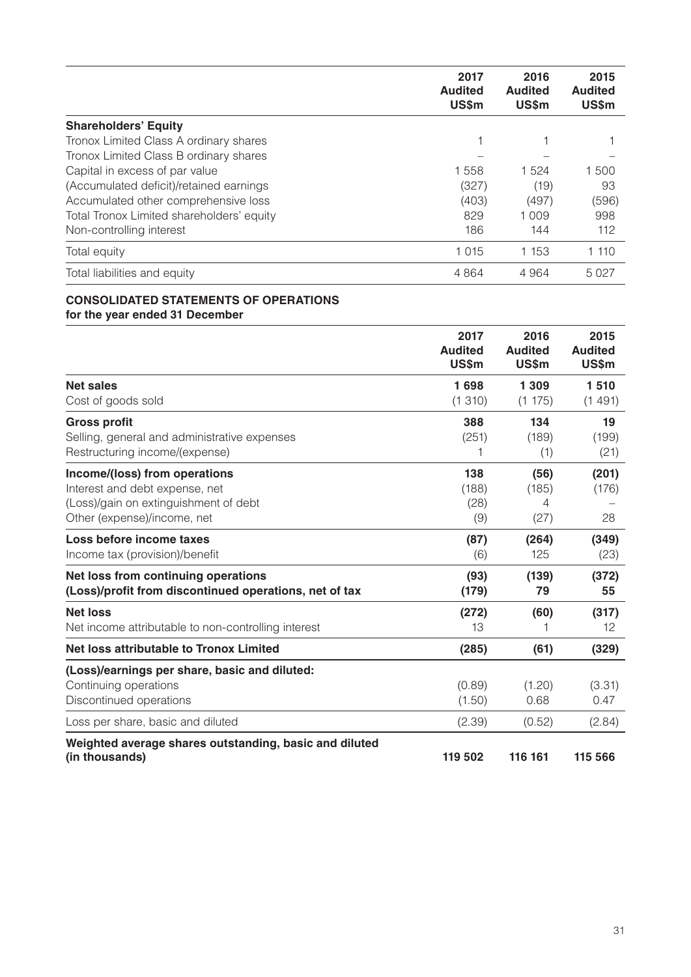|                                           | 2017<br><b>Audited</b><br><b>US\$m</b> | 2016<br><b>Audited</b><br><b>US\$m</b> | 2015<br><b>Audited</b><br>US\$m |
|-------------------------------------------|----------------------------------------|----------------------------------------|---------------------------------|
| <b>Shareholders' Equity</b>               |                                        |                                        |                                 |
| Tronox Limited Class A ordinary shares    |                                        |                                        |                                 |
| Tronox Limited Class B ordinary shares    |                                        |                                        |                                 |
| Capital in excess of par value            | 1558                                   | 1 5 2 4                                | 1500                            |
| (Accumulated deficit)/retained earnings   | (327)                                  | (19)                                   | 93                              |
| Accumulated other comprehensive loss      | (403)                                  | (497)                                  | (596)                           |
| Total Tronox Limited shareholders' equity | 829                                    | 1 0 0 9                                | 998                             |
| Non-controlling interest                  | 186                                    | 144                                    | 112                             |
| Total equity                              | 1 0 1 5                                | 1 1 5 3                                | 1 110                           |
| Total liabilities and equity              | 4864                                   | 4964                                   | 5027                            |

## **CONSOLIDATED STATEMENTS OF OPERATIONS for the year ended 31 December**

|                                                                                                                                         | 2017<br><b>Audited</b><br><b>US\$m</b> | 2016<br><b>Audited</b><br>US\$m | 2015<br><b>Audited</b><br><b>US\$m</b> |
|-----------------------------------------------------------------------------------------------------------------------------------------|----------------------------------------|---------------------------------|----------------------------------------|
| <b>Net sales</b><br>Cost of goods sold                                                                                                  | 1698<br>(1310)                         | 1 3 0 9<br>(1175)               | 1510<br>(1491)                         |
| <b>Gross profit</b><br>Selling, general and administrative expenses<br>Restructuring income/(expense)                                   | 388<br>(251)                           | 134<br>(189)<br>(1)             | 19<br>(199)<br>(21)                    |
| Income/(loss) from operations<br>Interest and debt expense, net<br>(Loss)/gain on extinguishment of debt<br>Other (expense)/income, net | 138<br>(188)<br>(28)<br>(9)            | (56)<br>(185)<br>4<br>(27)      | (201)<br>(176)<br>28                   |
| Loss before income taxes<br>Income tax (provision)/benefit                                                                              | (87)<br>(6)                            | (264)<br>125                    | (349)<br>(23)                          |
| Net loss from continuing operations<br>(Loss)/profit from discontinued operations, net of tax                                           | (93)<br>(179)                          | (139)<br>79                     | (372)<br>55                            |
| <b>Net loss</b><br>Net income attributable to non-controlling interest                                                                  | (272)<br>13                            | (60)<br>1                       | (317)<br>12                            |
| <b>Net loss attributable to Tronox Limited</b>                                                                                          | (285)                                  | (61)                            | (329)                                  |
| (Loss)/earnings per share, basic and diluted:<br>Continuing operations<br>Discontinued operations                                       | (0.89)<br>(1.50)                       | (1.20)<br>0.68                  | (3.31)<br>0.47                         |
| Loss per share, basic and diluted                                                                                                       | (2.39)                                 | (0.52)                          | (2.84)                                 |
| Weighted average shares outstanding, basic and diluted<br>(in thousands)                                                                | 119 502                                | 116 161                         | 115 566                                |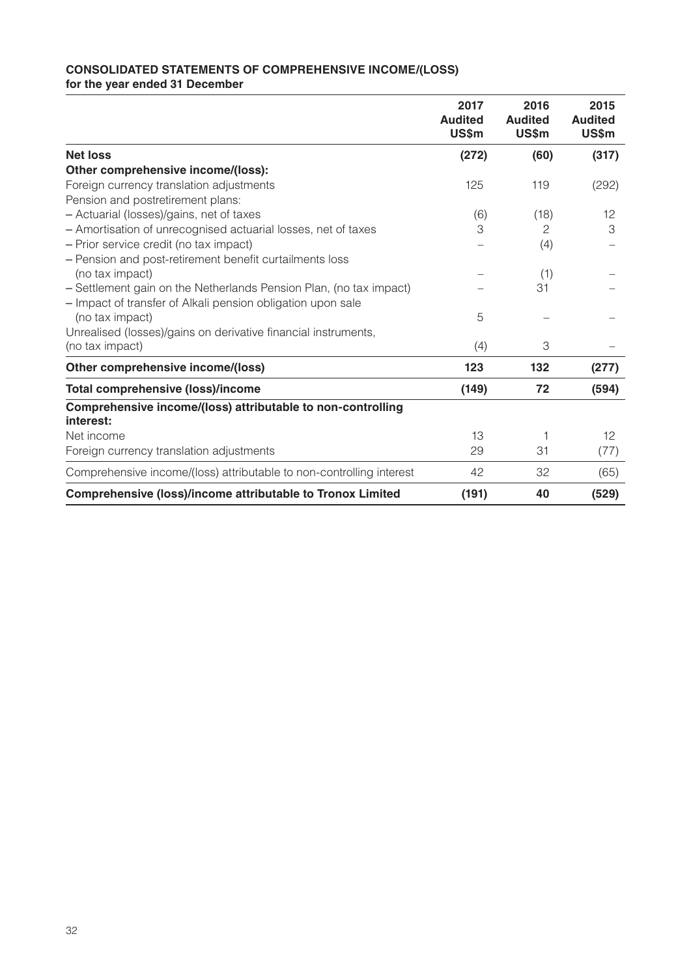## **CONSOLIDATED STATEMENTS OF COMPREHENSIVE INCOME/(LOSS) for the year ended 31 December**

|                                                                          | 2017<br><b>Audited</b><br>US\$m | 2016<br><b>Audited</b><br>US\$m | 2015<br><b>Audited</b><br>US\$m |
|--------------------------------------------------------------------------|---------------------------------|---------------------------------|---------------------------------|
| <b>Net loss</b>                                                          | (272)                           | (60)                            | (317)                           |
| Other comprehensive income/(loss):                                       |                                 |                                 |                                 |
| Foreign currency translation adjustments                                 | 125                             | 119                             | (292)                           |
| Pension and postretirement plans:                                        |                                 |                                 |                                 |
| - Actuarial (losses)/gains, net of taxes                                 | (6)                             | (18)                            | $12 \overline{ }$               |
| - Amortisation of unrecognised actuarial losses, net of taxes            | 3                               | 2                               | 3                               |
| - Prior service credit (no tax impact)                                   |                                 | (4)                             |                                 |
| - Pension and post-retirement benefit curtailments loss                  |                                 |                                 |                                 |
| (no tax impact)                                                          |                                 | (1)                             |                                 |
| - Settlement gain on the Netherlands Pension Plan, (no tax impact)       |                                 | 31                              |                                 |
| - Impact of transfer of Alkali pension obligation upon sale              |                                 |                                 |                                 |
| (no tax impact)                                                          | 5                               |                                 |                                 |
| Unrealised (losses)/gains on derivative financial instruments,           |                                 |                                 |                                 |
| (no tax impact)                                                          | (4)                             | 3                               |                                 |
| Other comprehensive income/(loss)                                        | 123                             | 132                             | (277)                           |
| <b>Total comprehensive (loss)/income</b>                                 | (149)                           | 72                              | (594)                           |
| Comprehensive income/(loss) attributable to non-controlling<br>interest: |                                 |                                 |                                 |
| Net income                                                               | 13                              | 1                               | 12                              |
| Foreign currency translation adjustments                                 | 29                              | 31                              | (77)                            |
| Comprehensive income/(loss) attributable to non-controlling interest     | 42                              | 32                              | (65)                            |
| <b>Comprehensive (loss)/income attributable to Tronox Limited</b>        | (191)                           | 40                              | (529)                           |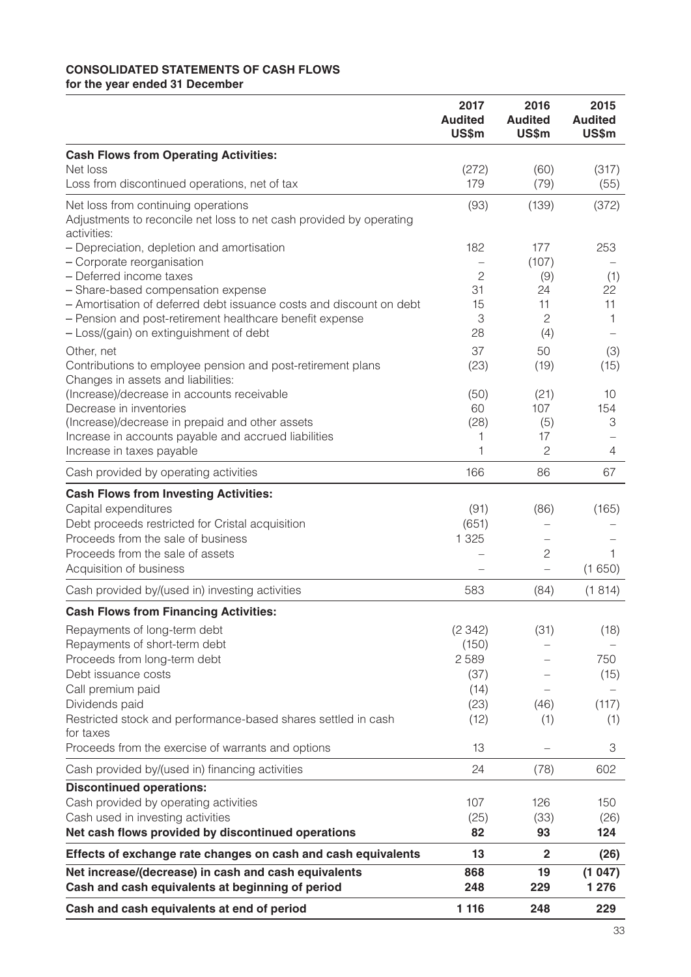#### **CONSOLIDATED STATEMENTS OF CASH FLOWS for the year ended 31 December**

|                                                                                                                           | 2017<br><b>Audited</b><br>US\$m | 2016<br><b>Audited</b><br>US\$m | 2015<br><b>Audited</b><br>US\$m |
|---------------------------------------------------------------------------------------------------------------------------|---------------------------------|---------------------------------|---------------------------------|
| <b>Cash Flows from Operating Activities:</b>                                                                              |                                 |                                 |                                 |
| Net loss<br>Loss from discontinued operations, net of tax                                                                 | (272)<br>179                    | (60)<br>(79)                    | (317)<br>(55)                   |
| Net loss from continuing operations<br>Adjustments to reconcile net loss to net cash provided by operating<br>activities: | (93)                            | (139)                           | (372)                           |
| - Depreciation, depletion and amortisation<br>- Corporate reorganisation                                                  | 182                             | 177<br>(107)                    | 253                             |
| - Deferred income taxes                                                                                                   | $\overline{c}$                  | (9)                             | (1)                             |
| - Share-based compensation expense                                                                                        | 31                              | 24                              | 22                              |
| - Amortisation of deferred debt issuance costs and discount on debt                                                       | 15                              | 11                              | 11                              |
| - Pension and post-retirement healthcare benefit expense                                                                  | 3                               | $\mathbf{2}$                    | 1                               |
| - Loss/(gain) on extinguishment of debt                                                                                   | 28                              | (4)                             |                                 |
| Other, net                                                                                                                | 37                              | 50                              | (3)                             |
| Contributions to employee pension and post-retirement plans<br>Changes in assets and liabilities:                         | (23)                            | (19)                            | (15)                            |
| (Increase)/decrease in accounts receivable                                                                                | (50)                            | (21)                            | 10                              |
| Decrease in inventories                                                                                                   | 60                              | 107                             | 154                             |
| (Increase)/decrease in prepaid and other assets<br>Increase in accounts payable and accrued liabilities                   | (28)<br>1                       | (5)<br>17                       | 3                               |
| Increase in taxes payable                                                                                                 | 1                               | $\overline{c}$                  | 4                               |
| Cash provided by operating activities                                                                                     | 166                             | 86                              | 67                              |
| <b>Cash Flows from Investing Activities:</b>                                                                              |                                 |                                 |                                 |
| Capital expenditures                                                                                                      | (91)                            | (86)                            | (165)                           |
| Debt proceeds restricted for Cristal acquisition                                                                          | (651)                           |                                 |                                 |
| Proceeds from the sale of business                                                                                        | 1 3 2 5                         |                                 |                                 |
| Proceeds from the sale of assets                                                                                          |                                 | $\mathbf{2}$                    | 1                               |
| Acquisition of business                                                                                                   |                                 | $\overline{\phantom{0}}$        | (1650)                          |
| Cash provided by/(used in) investing activities                                                                           | 583                             | (84)                            | (1814)                          |
| <b>Cash Flows from Financing Activities:</b>                                                                              |                                 |                                 |                                 |
| Repayments of long-term debt                                                                                              | (2342)                          | (31)                            | (18)                            |
| Repayments of short-term debt                                                                                             | (150)                           |                                 |                                 |
| Proceeds from long-term debt                                                                                              | 2589                            |                                 | 750                             |
| Debt issuance costs                                                                                                       | (37)                            |                                 | (15)                            |
| Call premium paid                                                                                                         | (14)                            |                                 |                                 |
| Dividends paid                                                                                                            | (23)                            | (46)                            | (117)                           |
| Restricted stock and performance-based shares settled in cash<br>for taxes                                                | (12)                            | (1)                             | (1)                             |
| Proceeds from the exercise of warrants and options                                                                        | 13                              | $\overline{\phantom{0}}$        | 3                               |
| Cash provided by/(used in) financing activities                                                                           | 24                              | (78)                            | 602                             |
| <b>Discontinued operations:</b>                                                                                           |                                 |                                 |                                 |
| Cash provided by operating activities                                                                                     | 107                             | 126                             | 150                             |
| Cash used in investing activities                                                                                         | (25)                            | (33)                            | (26)                            |
| Net cash flows provided by discontinued operations                                                                        | 82                              | 93                              | 124                             |
| Effects of exchange rate changes on cash and cash equivalents                                                             | 13                              | $\mathbf{2}$                    | (26)                            |
| Net increase/(decrease) in cash and cash equivalents<br>Cash and cash equivalents at beginning of period                  | 868<br>248                      | 19<br>229                       | (1047)<br>1 276                 |
| Cash and cash equivalents at end of period                                                                                | 1 1 1 6                         | 248                             | 229                             |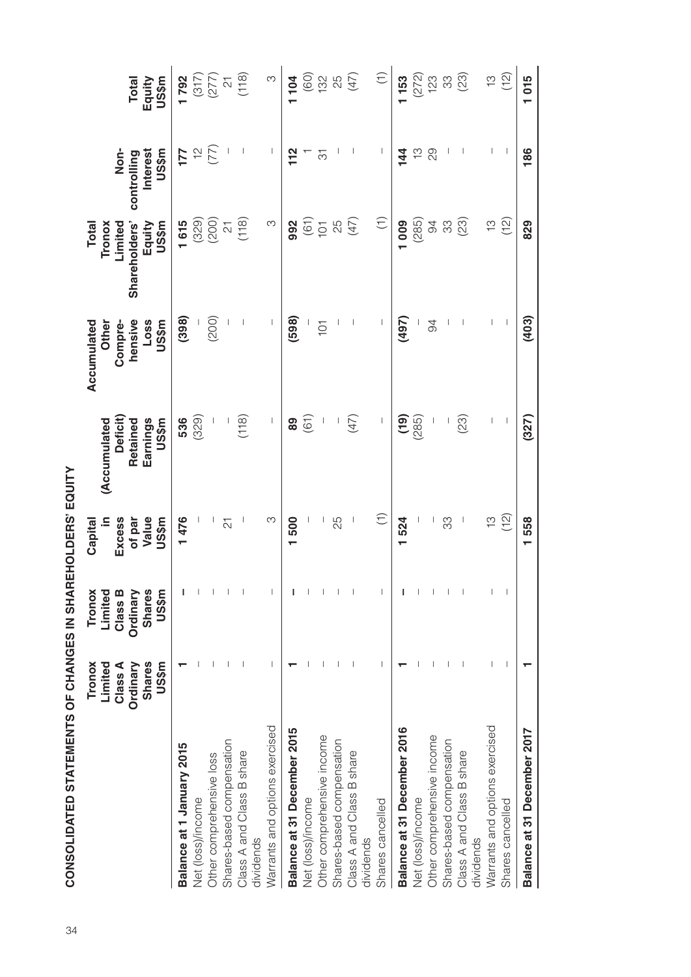|                                | Limited<br>Tronox             | Limited<br>Tronox             | ≘<br>Capital             | (Accumulated                                        | Accumulated<br>Other | Tronox<br>Total                      |                                      |                                         |
|--------------------------------|-------------------------------|-------------------------------|--------------------------|-----------------------------------------------------|----------------------|--------------------------------------|--------------------------------------|-----------------------------------------|
|                                | Class A<br>Ordinary           | Class B<br>Ordinary           | Excess<br>of par         | <b>Deficit)</b><br>Retained                         | hensive<br>Compre-   | Limited<br>Shareholders'             | Non-<br>controlling                  | <b>Total</b>                            |
|                                | <b>Shares</b><br><b>US\$m</b> | <b>Shares</b><br><b>US\$m</b> | Value<br>US\$m           | Earnings<br><b>US\$m</b>                            | Loss<br>US\$m        | Equity<br>US\$m                      | <b>Interest</b><br>US\$m             | US\$m<br>Equity                         |
| Balance at 1 January 2015      |                               |                               | 1476                     | 536                                                 | (398)                |                                      |                                      | 1792                                    |
| Net (loss)/income              |                               |                               |                          | (329)                                               |                      | $1615$<br>(329)<br>(200)             | $\frac{1}{2}$                        |                                         |
| Other comprehensive loss       |                               |                               |                          |                                                     | (200)                |                                      |                                      |                                         |
| Shares-based compensation      |                               |                               | $\overline{\mathcal{L}}$ | I,                                                  |                      | $\overline{\mathcal{C}}$             |                                      |                                         |
| Class A and Class B share      |                               |                               |                          | (118)                                               |                      | (118)                                | $\overline{\phantom{a}}$             | $(317) \n(277) \n(218) \n(118) \n(118)$ |
| dividends                      |                               |                               |                          |                                                     |                      |                                      |                                      |                                         |
| Warrants and options exercised |                               |                               | ო                        | $\begin{array}{c} \hline \end{array}$               |                      | S                                    | $\begin{array}{c} \end{array}$       | $\infty$                                |
| Balance at 31 December 2015    |                               |                               | 500                      | 89                                                  | (598)                | 992                                  | 112                                  | 104                                     |
| Net (loss)/income              |                               |                               |                          | (61)                                                |                      |                                      |                                      |                                         |
| Other comprehensive income     |                               |                               |                          |                                                     | $\overline{101}$     |                                      | $\overline{\widetilde{\mathcal{C}}}$ | (60)                                    |
| Shares-based compensation      |                               |                               | 25                       |                                                     |                      | $(61)$<br>$(61)$<br>$(67)$<br>$(47)$ |                                      | 25                                      |
| Class A and Class B share      |                               |                               |                          | (47)                                                |                      |                                      |                                      | (47)                                    |
| dividends                      |                               |                               |                          |                                                     |                      |                                      |                                      |                                         |
| Shares cancelled               |                               |                               | $\widehat{\tau}$         | $\overline{\phantom{a}}$                            |                      | $\widehat{\Xi}$                      | $\overline{\phantom{a}}$             | $\widehat{\tau}$                        |
| Balance at 31 December 2016    |                               |                               | 1524                     | $\left( \begin{matrix} 0 \\ 1 \end{matrix} \right)$ | (497)                | 1009                                 | 144                                  | 153                                     |
| Net (loss)/income              |                               |                               |                          | (285)                                               |                      | (285)                                | $\frac{1}{2}$                        |                                         |
| Other comprehensive income     |                               |                               |                          |                                                     | 94                   | $\overline{6}$                       | 29                                   | $(272)$<br>123<br>33                    |
| Shares-based compensation      |                               |                               | 33                       |                                                     |                      | 33                                   |                                      |                                         |
| Class A and Class B share      |                               |                               |                          | (23)                                                |                      | (23)                                 |                                      | (23)                                    |
| dividends                      |                               |                               |                          |                                                     |                      |                                      |                                      |                                         |
| Warrants and options exercised |                               |                               | ίä                       |                                                     |                      | ίä                                   |                                      | က်<br>(                                 |
| Shares cancelled               |                               |                               | (12)                     | $\overline{\phantom{a}}$                            |                      | (12)                                 |                                      | (12)                                    |
| Balance at 31 December 2017    |                               |                               | 1558                     | (327)                                               | (403)                | 829                                  | 186                                  | 1015                                    |

CONSOLIDATED STATEMENTS OF CHANGES IN SHAREHOLDERS' EQUITY  $34$   $34$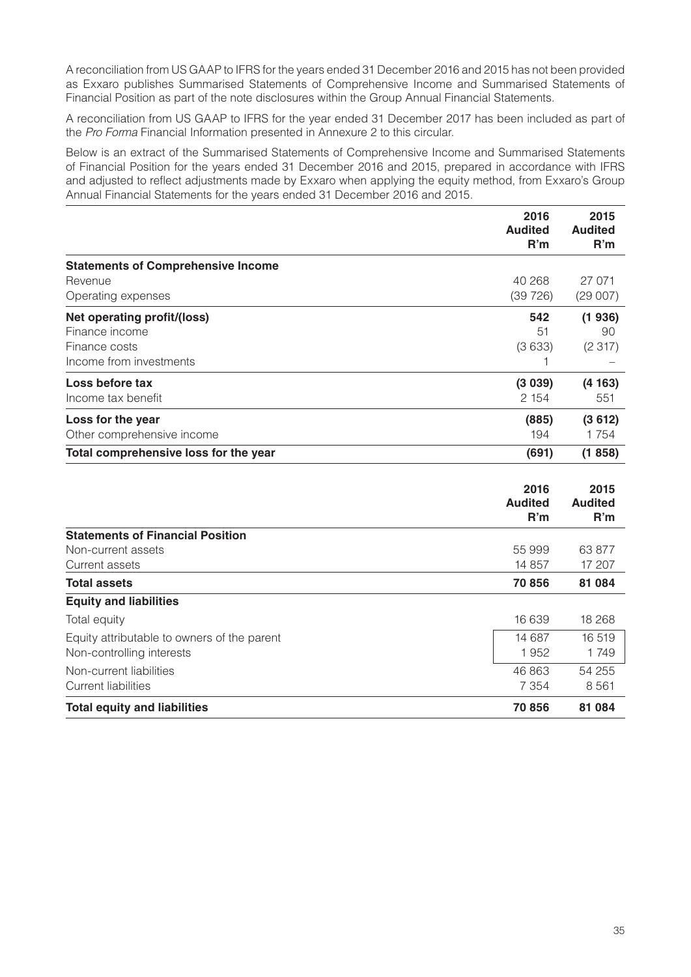A reconciliation from US GAAP to IFRS for the years ended 31 December 2016 and 2015 has not been provided as Exxaro publishes Summarised Statements of Comprehensive Income and Summarised Statements of Financial Position as part of the note disclosures within the Group Annual Financial Statements.

A reconciliation from US GAAP to IFRS for the year ended 31 December 2017 has been included as part of the *Pro Forma* Financial Information presented in Annexure 2 to this circular.

Below is an extract of the Summarised Statements of Comprehensive Income and Summarised Statements of Financial Position for the years ended 31 December 2016 and 2015, prepared in accordance with IFRS and adjusted to reflect adjustments made by Exxaro when applying the equity method, from Exxaro's Group Annual Financial Statements for the years ended 31 December 2016 and 2015.

|                                           | 2016<br><b>Audited</b><br>R'm | 2015<br><b>Audited</b><br>R'm |
|-------------------------------------------|-------------------------------|-------------------------------|
| <b>Statements of Comprehensive Income</b> |                               |                               |
| Revenue                                   | 40 268                        | 27 071                        |
| Operating expenses                        | (39726)                       | (29007)                       |
| Net operating profit/(loss)               | 542                           | (1936)                        |
| Finance income                            | 51                            | 90                            |
| Finance costs                             | (3633)                        | (2317)                        |
| Income from investments                   |                               |                               |
| Loss before tax                           | (3039)                        | (4163)                        |
| Income tax benefit                        | 2 1 5 4                       | 551                           |
| Loss for the year                         | (885)                         | (3612)                        |
| Other comprehensive income                | 194                           | 1 754                         |
| Total comprehensive loss for the year     | (691)                         | (1858)                        |

|                                             | 2016<br><b>Audited</b><br>R'm | 2015<br><b>Audited</b><br>R'm |
|---------------------------------------------|-------------------------------|-------------------------------|
| <b>Statements of Financial Position</b>     |                               |                               |
| Non-current assets                          | 55 999                        | 63 877                        |
| Current assets                              | 14 857                        | 17 207                        |
| <b>Total assets</b>                         | 70 856                        | 81 084                        |
| <b>Equity and liabilities</b>               |                               |                               |
| Total equity                                | 16 639                        | 18 268                        |
| Equity attributable to owners of the parent | 14 687                        | 16519                         |
| Non-controlling interests                   | 1952                          | 1749                          |
| Non-current liabilities                     | 46 863                        | 54 255                        |
| Current liabilities                         | 7 3 5 4                       | 8 5 6 1                       |
| <b>Total equity and liabilities</b>         | 70856                         | 81 0 84                       |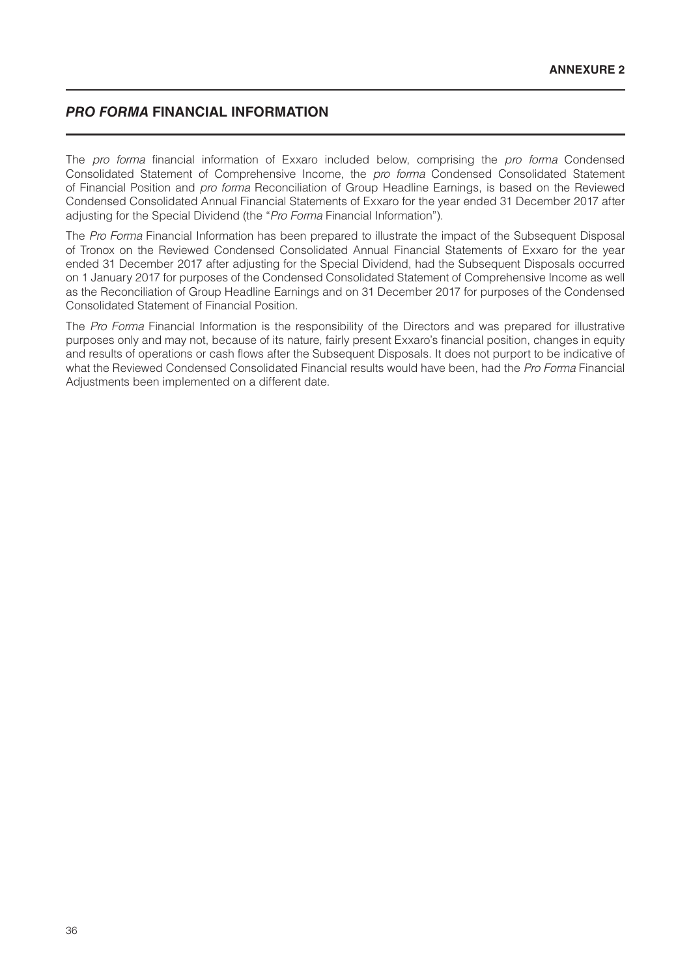## *PRO FORMA* **FINANCIAL INFORMATION**

The *pro forma* financial information of Exxaro included below, comprising the *pro forma* Condensed Consolidated Statement of Comprehensive Income, the *pro forma* Condensed Consolidated Statement of Financial Position and *pro forma* Reconciliation of Group Headline Earnings, is based on the Reviewed Condensed Consolidated Annual Financial Statements of Exxaro for the year ended 31 December 2017 after adjusting for the Special Dividend (the "*Pro Forma* Financial Information").

The *Pro Forma* Financial Information has been prepared to illustrate the impact of the Subsequent Disposal of Tronox on the Reviewed Condensed Consolidated Annual Financial Statements of Exxaro for the year ended 31 December 2017 after adjusting for the Special Dividend, had the Subsequent Disposals occurred on 1 January 2017 for purposes of the Condensed Consolidated Statement of Comprehensive Income as well as the Reconciliation of Group Headline Earnings and on 31 December 2017 for purposes of the Condensed Consolidated Statement of Financial Position.

The *Pro Forma* Financial Information is the responsibility of the Directors and was prepared for illustrative purposes only and may not, because of its nature, fairly present Exxaro's financial position, changes in equity and results of operations or cash flows after the Subsequent Disposals. It does not purport to be indicative of what the Reviewed Condensed Consolidated Financial results would have been, had the *Pro Forma* Financial Adjustments been implemented on a different date.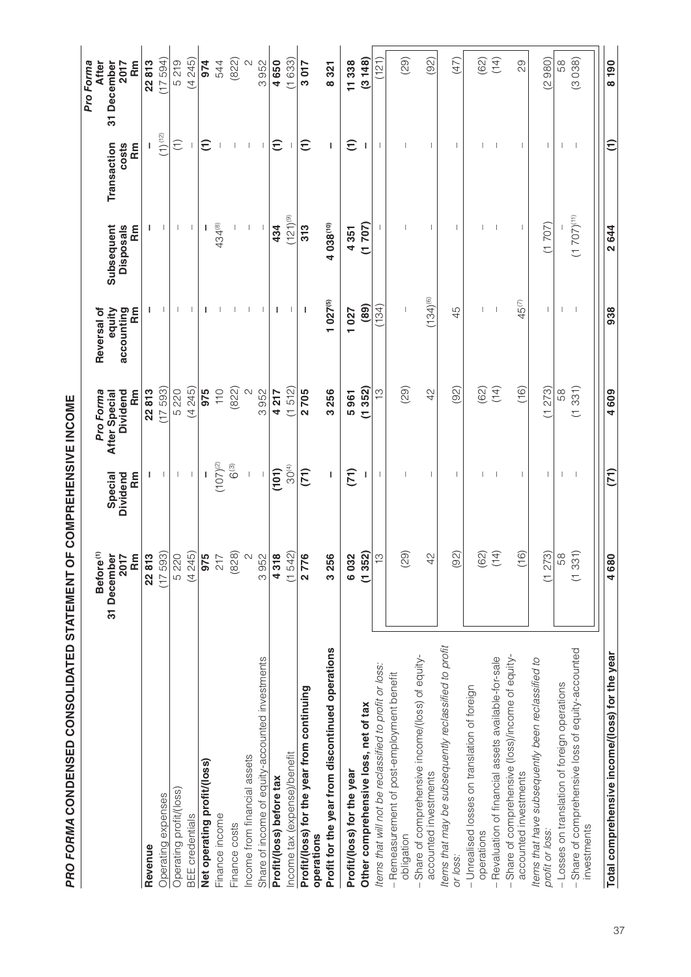|                                                                          | Before <sup>(1)</sup><br>31 December<br>2017<br>Rm | Special<br>Dividend<br><b>Rm</b> | Dividend<br>m<br>Rm<br>Pro Forma<br>After Special | Reversal of<br>accounting<br><b>Rm</b><br>equity | Subsequent<br><b>Disposals</b><br><b>Rm</b> | Rm<br>Transaction<br>costs | <b>After</b><br>31 December<br>Rm<br>2017<br>Pro Forma |
|--------------------------------------------------------------------------|----------------------------------------------------|----------------------------------|---------------------------------------------------|--------------------------------------------------|---------------------------------------------|----------------------------|--------------------------------------------------------|
| Revenue                                                                  | 22813                                              |                                  | 22813                                             | L                                                | ı                                           |                            | 22813                                                  |
| Operating expenses                                                       | (17593)                                            |                                  | (17593)                                           |                                                  | ı                                           | $(1)^{\binom{12}{}}$       | (17594)                                                |
| Operating profit/(loss)                                                  | 5 2 2 0                                            |                                  | 5 220                                             |                                                  |                                             | $\widehat{\tau}$           | 5219                                                   |
| <b>BEE</b> credentials                                                   | (4245)                                             |                                  | (4245)                                            |                                                  |                                             |                            | (4245)                                                 |
| Net operating profit/(loss)                                              |                                                    |                                  | 975                                               |                                                  |                                             | $\widehat{\tau}$           | 974                                                    |
| Finance income                                                           | $rac{217}{56}$                                     | $(107)^{(2)}$                    | $\frac{1}{10}$                                    |                                                  | 434(8)                                      |                            | 544                                                    |
| Finance costs                                                            | (828)                                              | $6^{(3)}$                        | (822)                                             |                                                  |                                             |                            | (822)                                                  |
| Income from financial assets                                             | $\sim$                                             |                                  |                                                   |                                                  |                                             |                            | $\mathbf{\Omega}$                                      |
| Share of income of equity-accounted investments                          | 3952                                               |                                  | 3952                                              |                                                  |                                             |                            | 3952                                                   |
| Profit/(loss) before tax                                                 | 4318                                               | (101)                            | 4217                                              | I                                                | 434                                         | $\widehat{E}$              | 4650                                                   |
| Income tax (expense)/benefit                                             | (1, 542)                                           | 30 <sup>(4)</sup>                | (1512)                                            |                                                  | $(121)$ <sup>(9)</sup>                      |                            | (1633)                                                 |
| Profit/(loss) for the year from continuing<br>operations                 | 9<br>277                                           | (71)                             | 2705                                              | J.                                               | 313                                         | $\widehat{\tau}$           | 3017                                                   |
| Profit for the year from discontinued operations                         | 3256                                               |                                  | 3256                                              | $1027^{(5)}$                                     | 4 038(10)                                   |                            | 8321                                                   |
| Profit/(loss) for the year                                               | 6032                                               | (71)                             | 5961                                              | 1027                                             | 4351                                        | $\widehat{\tau}$           | 11338                                                  |
| Other comprehensive loss, net of tax                                     | (1352)                                             |                                  | 352)<br>Ξ                                         | (89)                                             | (1707)                                      | L                          | (3148)                                                 |
| Items that will not be reclassified to profit or loss:                   | $\widetilde{\Xi}$                                  |                                  | $\tilde{\omega}$                                  | (134)                                            |                                             |                            | (121)                                                  |
| Remeasurement of post-employment benefit<br>obligation                   | (29)                                               |                                  | (29)                                              |                                                  |                                             |                            | (29)                                                   |
| Share of comprehensive income/(loss) of equity-<br>accounted investments | $\frac{1}{4}$                                      |                                  | 42                                                | $(134)^{(6)}$                                    |                                             |                            | (92)                                                   |
| Items that may be subsequently reclassified to profit<br>or loss:        | (92)                                               |                                  | (92)                                              | 45                                               | $\mathbf{I}$                                | $\mathbf{I}$               | (47)                                                   |
| - Unrealised losses on translation of foreign<br>operations              | 62)                                                |                                  | (62)                                              |                                                  |                                             |                            | (62)                                                   |
| Revaluation of financial assets available-for-sale                       | (14)                                               |                                  | (14)                                              |                                                  |                                             |                            | (14)                                                   |
| Share of comprehensive (loss)/income of equity-<br>accounted investments | $\widetilde{16}$                                   | Т                                | (16)                                              | $45^{(7)}$                                       | T                                           | т                          | 29                                                     |
| Items that have subsequently been reclassified to<br>profit or loss:     | (1273)                                             |                                  | 273)<br>t                                         |                                                  | (1707)                                      | Т                          | (2980)                                                 |
| - Losses on translation of foreign operations                            | $\frac{8}{5}$                                      |                                  | 58                                                |                                                  |                                             |                            | 58                                                     |
| Share of comprehensive loss of equity-accounted<br>investments           | $\widehat{31}$<br>$\frac{3}{5}$                    |                                  | (1331)                                            |                                                  | $(1707)^{(11)}$                             |                            | (3038)                                                 |
|                                                                          |                                                    |                                  |                                                   |                                                  |                                             |                            |                                                        |
| Total comprehensive income/(loss) for the year                           | 4680                                               | $\widetilde{[7]}$                | 4609                                              | 938                                              | 2644                                        | Ξ                          | 8 190                                                  |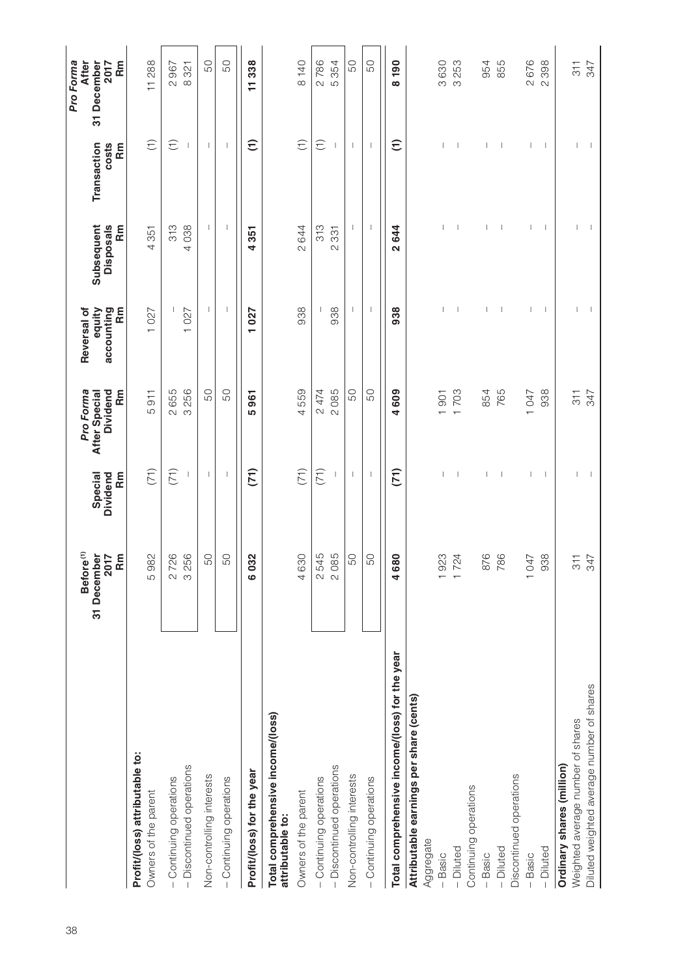|                                                        | Before <sup>(1)</sup><br>31 December<br>2017<br>Rm | Special<br>Dividend<br>m<br>Rm | Pro Forma<br>Dividend<br><b>Rm</b><br>After Special | accounting<br>Reversal of<br>equity<br>m<br>Rm | Subsequent<br><b>Disposals</b><br>m<br>Rm | Transaction<br>costs<br>Rm | <b>After</b><br>Rm<br>Pro Forma<br>31 December<br>2017 |
|--------------------------------------------------------|----------------------------------------------------|--------------------------------|-----------------------------------------------------|------------------------------------------------|-------------------------------------------|----------------------------|--------------------------------------------------------|
| Profit/(loss) attributable to:<br>Owners of the parent | 5982                                               | (71)                           | $\overline{5}$<br>Ю                                 | 1027                                           | 4351                                      | $\widehat{\tau}$           | 11288                                                  |
| - Continuing operations                                | 2726                                               | (71)                           | 655<br>$\overline{\mathcal{C}}$                     |                                                | 313                                       | $\widehat{\tau}$           | 2967                                                   |
| - Discontinued operations                              | 3256                                               |                                | 256<br>$\infty$                                     | 1027                                           | 4038                                      |                            | 8321                                                   |
| Non-controlling interests                              | 50                                                 | $\overline{\phantom{a}}$       | 50                                                  | $\mathbf{I}$                                   | $\overline{\phantom{a}}$                  | $\mathbf{I}$               | 50                                                     |
| - Continuing operations                                | 50                                                 | $\mathbf{I}$                   | 50                                                  | $\overline{\phantom{a}}$                       | $\mathbf{I}$                              | $\mathbf{I}$               | 50                                                     |
| Profit/(loss) for the year                             | 6032                                               | (71)                           | 961<br><u> ဟ</u>                                    | 1027                                           | 4351                                      | $\widehat{E}$              | 11338                                                  |
| Total comprehensive income/(loss)<br>attributable to:  |                                                    |                                |                                                     |                                                |                                           |                            |                                                        |
| Owners of the parent                                   | 4630                                               | (71)                           | 4559                                                | 938                                            | 2644                                      | $\widehat{\tau}$           | 8 140                                                  |
| - Continuing operations                                | 2545                                               | (71)                           | 2474                                                |                                                | 313                                       | $\widehat{\tau}$           | 2786                                                   |
| - Discontinued operations                              | 2085                                               |                                | 2085                                                | 938                                            | 331<br>$\sim$                             |                            | 354<br>Б                                               |
| Non-controlling interests                              | 50                                                 | T                              | 50                                                  | L                                              | L                                         | T                          | 50                                                     |
| - Continuing operations                                | 50                                                 | I                              | 50                                                  | п                                              | I                                         | -1                         | 50                                                     |
| Total comprehensive income/(loss) for the year         | 4680                                               | (71)                           | 4609                                                | 938                                            | 2644                                      | $\widehat{\tau}$           | 8 190                                                  |
| Attributable earnings per share (cents)                |                                                    |                                |                                                     |                                                |                                           |                            |                                                        |
| Aggregate                                              |                                                    |                                |                                                     |                                                |                                           |                            |                                                        |
| $-$ Basic                                              | 1923                                               |                                | 1901                                                |                                                |                                           |                            | 3630                                                   |
| $-Diluted$                                             | 1724                                               |                                | 703                                                 |                                                | 1                                         | П                          | 253<br>$\infty$                                        |
| Continuing operations                                  |                                                    |                                |                                                     |                                                |                                           |                            |                                                        |
| $-$ Basic                                              | 876                                                |                                | 854                                                 |                                                |                                           |                            | 954                                                    |
| $-Diluted$                                             | 786                                                |                                | 765                                                 |                                                | <sup>1</sup>                              | $\overline{\phantom{a}}$   | 855                                                    |
| Discontinued operations                                |                                                    |                                |                                                     |                                                |                                           |                            |                                                        |
| Basic                                                  | 1047                                               |                                | 1047                                                | $\overline{1}$                                 | $\overline{1}$                            | $\overline{\phantom{a}}$   | 2676                                                   |
| - Diluted                                              | 938                                                |                                | 938                                                 |                                                |                                           |                            | 398<br>$\sim$                                          |
| Ordinary shares (million)                              |                                                    |                                |                                                     |                                                |                                           |                            |                                                        |
| Weighted average number of shares                      | $347$<br>347                                       |                                | 311                                                 | 1                                              | 1                                         | 1                          | $\frac{1}{3}$                                          |
| Diluted weighted average number of shares              |                                                    |                                | 347                                                 |                                                |                                           | I                          | 347                                                    |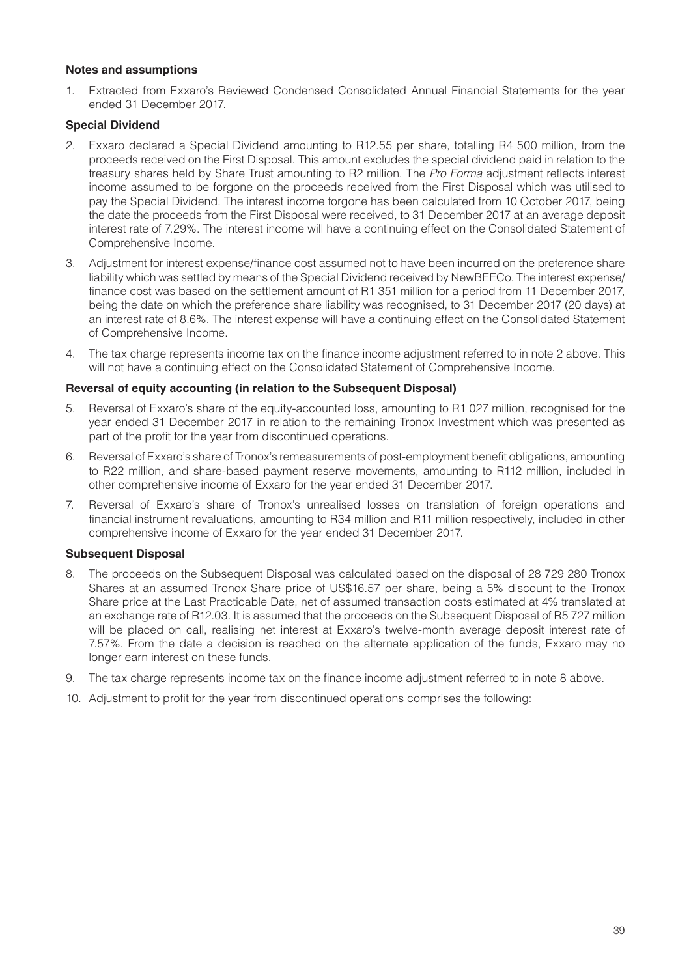#### **Notes and assumptions**

1. Extracted from Exxaro's Reviewed Condensed Consolidated Annual Financial Statements for the year ended 31 December 2017.

#### **Special Dividend**

- 2. Exxaro declared a Special Dividend amounting to R12.55 per share, totalling R4 500 million, from the proceeds received on the First Disposal. This amount excludes the special dividend paid in relation to the treasury shares held by Share Trust amounting to R2 million. The *Pro Forma* adjustment reflects interest income assumed to be forgone on the proceeds received from the First Disposal which was utilised to pay the Special Dividend. The interest income forgone has been calculated from 10 October 2017, being the date the proceeds from the First Disposal were received, to 31 December 2017 at an average deposit interest rate of 7.29%. The interest income will have a continuing effect on the Consolidated Statement of Comprehensive Income.
- 3. Adjustment for interest expense/finance cost assumed not to have been incurred on the preference share liability which was settled by means of the Special Dividend received by NewBEECo. The interest expense/ finance cost was based on the settlement amount of R1 351 million for a period from 11 December 2017, being the date on which the preference share liability was recognised, to 31 December 2017 (20 days) at an interest rate of 8.6%. The interest expense will have a continuing effect on the Consolidated Statement of Comprehensive Income.
- 4. The tax charge represents income tax on the finance income adjustment referred to in note 2 above. This will not have a continuing effect on the Consolidated Statement of Comprehensive Income.

#### **Reversal of equity accounting (in relation to the Subsequent Disposal)**

- 5. Reversal of Exxaro's share of the equity-accounted loss, amounting to R1 027 million, recognised for the year ended 31 December 2017 in relation to the remaining Tronox Investment which was presented as part of the profit for the year from discontinued operations.
- 6. Reversal of Exxaro's share of Tronox's remeasurements of post-employment benefit obligations, amounting to R22 million, and share-based payment reserve movements, amounting to R112 million, included in other comprehensive income of Exxaro for the year ended 31 December 2017.
- 7. Reversal of Exxaro's share of Tronox's unrealised losses on translation of foreign operations and financial instrument revaluations, amounting to R34 million and R11 million respectively, included in other comprehensive income of Exxaro for the year ended 31 December 2017.

#### **Subsequent Disposal**

- 8. The proceeds on the Subsequent Disposal was calculated based on the disposal of 28 729 280 Tronox Shares at an assumed Tronox Share price of US\$16.57 per share, being a 5% discount to the Tronox Share price at the Last Practicable Date, net of assumed transaction costs estimated at 4% translated at an exchange rate of R12.03. It is assumed that the proceeds on the Subsequent Disposal of R5 727 million will be placed on call, realising net interest at Exxaro's twelve-month average deposit interest rate of 7.57%. From the date a decision is reached on the alternate application of the funds, Exxaro may no longer earn interest on these funds.
- 9. The tax charge represents income tax on the finance income adjustment referred to in note 8 above.
- 10. Adjustment to profit for the year from discontinued operations comprises the following: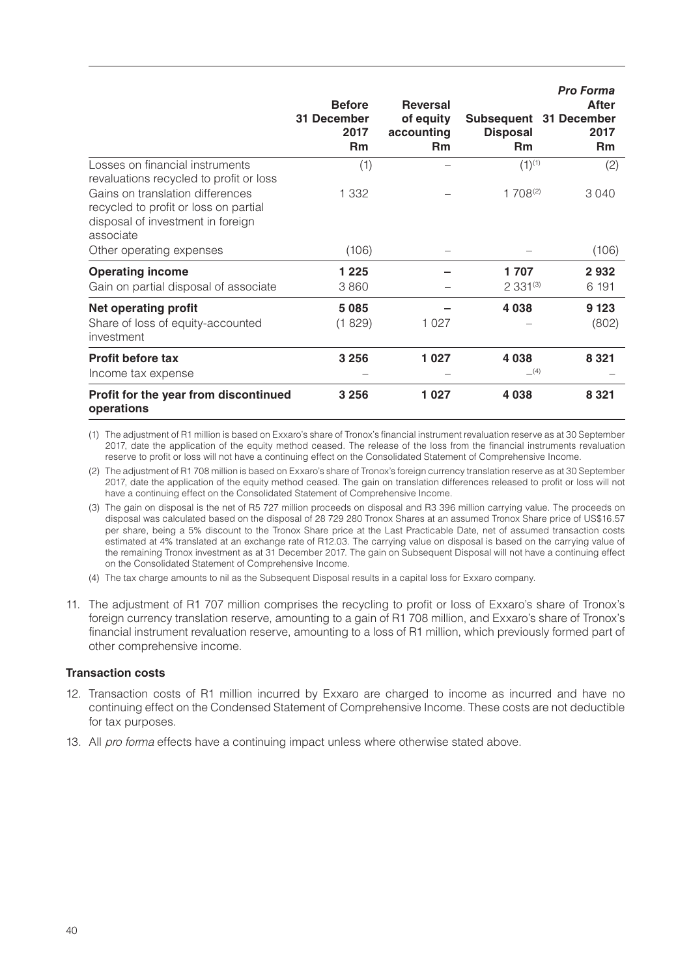|                                                                                                                             | <b>Before</b><br>31 December<br>2017<br><b>Rm</b> | <b>Reversal</b><br>of equity<br>accounting<br>Rm | Subsequent 31 December<br><b>Disposal</b><br>Rm | <b>Pro Forma</b><br>After<br>2017<br><b>Rm</b> |
|-----------------------------------------------------------------------------------------------------------------------------|---------------------------------------------------|--------------------------------------------------|-------------------------------------------------|------------------------------------------------|
| Losses on financial instruments<br>revaluations recycled to profit or loss                                                  | (1)                                               |                                                  | $(1)^{(1)}$                                     | (2)                                            |
| Gains on translation differences<br>recycled to profit or loss on partial<br>disposal of investment in foreign<br>associate | 1 3 3 2                                           |                                                  | $1708^{(2)}$                                    | 3040                                           |
| Other operating expenses                                                                                                    | (106)                                             |                                                  |                                                 | (106)                                          |
| <b>Operating income</b><br>Gain on partial disposal of associate                                                            | 1 2 2 5<br>3860                                   |                                                  | 1707<br>$2331^{(3)}$                            | 2932<br>6 191                                  |
| <b>Net operating profit</b><br>Share of loss of equity-accounted<br>investment                                              | 5085<br>(1829)                                    | 1 0 2 7                                          | 4038                                            | 9 1 2 3<br>(802)                               |
| <b>Profit before tax</b><br>Income tax expense                                                                              | 3 2 5 6                                           | 1 0 2 7                                          | 4 0 38<br>(4)                                   | 8 3 2 1                                        |
| Profit for the year from discontinued<br>operations                                                                         | 3 2 5 6                                           | 1 0 2 7                                          | 4038                                            | 8 3 2 1                                        |

(1) The adjustment of R1 million is based on Exxaro's share of Tronox's financial instrument revaluation reserve as at 30 September 2017, date the application of the equity method ceased. The release of the loss from the financial instruments revaluation reserve to profit or loss will not have a continuing effect on the Consolidated Statement of Comprehensive Income.

(2) The adjustment of R1 708 million is based on Exxaro's share of Tronox's foreign currency translation reserve as at 30 September 2017, date the application of the equity method ceased. The gain on translation differences released to profit or loss will not have a continuing effect on the Consolidated Statement of Comprehensive Income.

- (3) The gain on disposal is the net of R5 727 million proceeds on disposal and R3 396 million carrying value. The proceeds on disposal was calculated based on the disposal of 28 729 280 Tronox Shares at an assumed Tronox Share price of US\$16.57 per share, being a 5% discount to the Tronox Share price at the Last Practicable Date, net of assumed transaction costs estimated at 4% translated at an exchange rate of R12.03. The carrying value on disposal is based on the carrying value of the remaining Tronox investment as at 31 December 2017. The gain on Subsequent Disposal will not have a continuing effect on the Consolidated Statement of Comprehensive Income.
- (4) The tax charge amounts to nil as the Subsequent Disposal results in a capital loss for Exxaro company.
- 11. The adjustment of R1 707 million comprises the recycling to profit or loss of Exxaro's share of Tronox's foreign currency translation reserve, amounting to a gain of R1 708 million, and Exxaro's share of Tronox's financial instrument revaluation reserve, amounting to a loss of R1 million, which previously formed part of other comprehensive income.

#### **Transaction costs**

- 12. Transaction costs of R1 million incurred by Exxaro are charged to income as incurred and have no continuing effect on the Condensed Statement of Comprehensive Income. These costs are not deductible for tax purposes.
- 13. All *pro forma* effects have a continuing impact unless where otherwise stated above.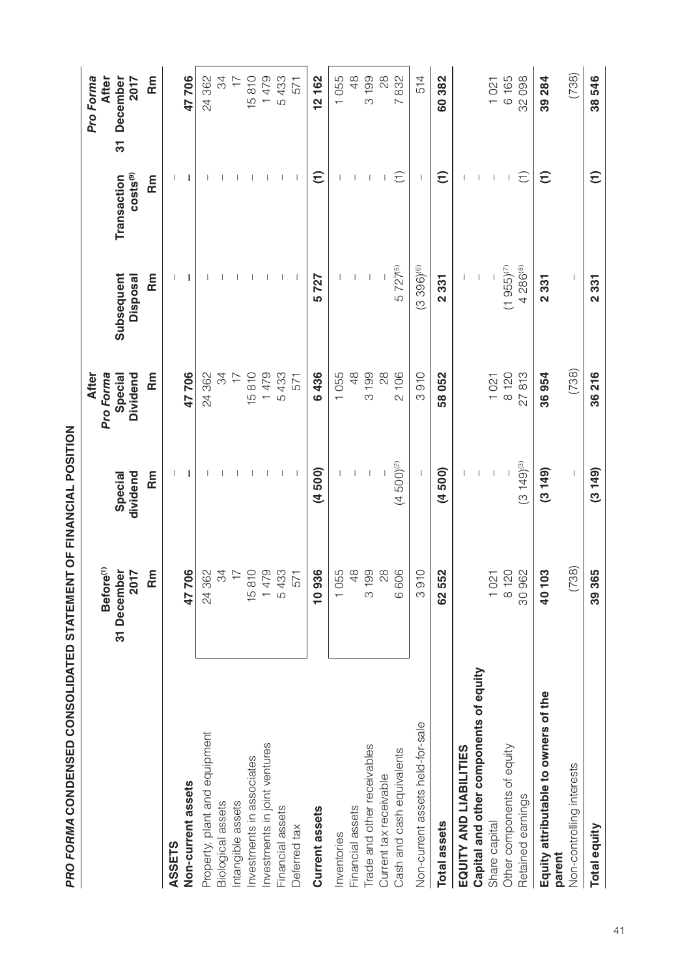| i<br>i<br>i<br>i<br>i                                                                                                                                         |
|---------------------------------------------------------------------------------------------------------------------------------------------------------------|
|                                                                                                                                                               |
| $\frac{1}{2}$ , $\frac{1}{2}$ , $\frac{1}{2}$ , $\frac{1}{2}$ , $\frac{1}{2}$ , $\frac{1}{2}$ , $\frac{1}{2}$ , $\frac{1}{2}$ , $\frac{1}{2}$ , $\frac{1}{2}$ |
| i                                                                                                                                                             |
| י<br>ון                                                                                                                                                       |
|                                                                                                                                                               |
| <b>-- CI-100 CLCIPTICS -- CONFIDENTIAL</b><br>I                                                                                                               |
|                                                                                                                                                               |
|                                                                                                                                                               |

|                                        | Before <sup>(1)</sup><br>31 December<br>2017 | dividend<br>Special | Dividend<br><b>After</b><br>Pro Forma<br>Special | Disposal<br>Subsequent   | costs <sup>(9)</sup><br>Transaction | December<br>2017<br>Pro Forma<br><b>After</b><br>51 |
|----------------------------------------|----------------------------------------------|---------------------|--------------------------------------------------|--------------------------|-------------------------------------|-----------------------------------------------------|
|                                        | Rm                                           | $\tilde{R}$         | $F_{\rm min}$                                    | m<br>R                   | Rm                                  | $\tilde{R}$                                         |
| ASSETS                                 |                                              |                     |                                                  |                          |                                     |                                                     |
| Non-current assets                     | 47706                                        |                     | 47706                                            | ı                        | ı                                   | 47706                                               |
| Property, plant and equipment          | 24 362                                       |                     | 24362                                            |                          |                                     | 24 362                                              |
| Biological assets                      | 34                                           |                     | 34                                               |                          |                                     | 34                                                  |
| Intangible assets                      | $\overline{1}$                               |                     | $\overline{\overline{1}}$                        |                          |                                     | $\overline{\overline{z}}$                           |
| Investments in associates              | 15810                                        |                     | 15810                                            |                          |                                     | 15810                                               |
| Investments in joint ventures          | 1479                                         |                     | 1479                                             |                          |                                     | 1479                                                |
| Financial assets                       | 5433                                         |                     | 5433                                             |                          |                                     | 5433                                                |
| Deferred tax                           | 571                                          |                     | 571                                              | $\overline{\phantom{a}}$ |                                     | 571                                                 |
| Current assets                         | $\overline{6}$<br><b>1093</b>                | (4500)              | 6436                                             | 5727                     | $\widehat{\tau}$                    | 12162                                               |
| nventories                             | 1055                                         |                     | 1055                                             |                          |                                     | 1055                                                |
| Financial assets                       | $\frac{8}{3}$                                |                     | 48                                               |                          |                                     | 48                                                  |
| Trade and other receivables            | 3 199                                        |                     | 199<br>က                                         |                          |                                     | 3 199                                               |
| Current tax receivable                 | 28                                           |                     | $^{28}$                                          |                          |                                     | 28                                                  |
| Cash and cash equivalents              | 6606                                         | $(4500)^{(2)}$      | 106<br>$\overline{\mathcal{C}}$                  | 5 727(5)                 | E                                   | 832<br>$\sim$                                       |
| Non-current assets held-for-sale       | $\circ$<br>5<br>91                           |                     | 3910                                             | $(3396)^{(6)}$           |                                     | 514                                                 |
| <b>Total assets</b>                    | 62552                                        | (4500)              | 58052                                            | 2 3 3 1                  | $\widehat{\tau}$                    | 60382                                               |
| EQUITY AND LIABILITIES                 |                                              |                     |                                                  |                          |                                     |                                                     |
| Capital and other components of equity |                                              |                     |                                                  |                          |                                     |                                                     |
| Share capital                          | 1021                                         |                     | 1021                                             |                          |                                     | 1021                                                |
| Other components of equity             | 8 120                                        |                     | 8 120                                            | $(1955)^{(7)}$           |                                     | 6 165                                               |
| Retained earnings                      | 30962                                        | $(3149)^{(3)}$      | 27813                                            | 4 286(8)                 | $\widehat{\tau}$                    | 32098                                               |
| Equity attributable to owners of the   | ო<br>4010                                    | (3149)              | 36954                                            | 2331                     | $\widehat{\tau}$                    | 39 284                                              |
| Non-controlling interests<br>parent    | (738)                                        | I                   | (738)                                            | ı                        |                                     | (738)                                               |
| <b>Total equity</b>                    | 39365                                        | (3149)              | 36216                                            | 2331                     | $\widehat{E}$                       | 38546                                               |
|                                        |                                              |                     |                                                  |                          |                                     |                                                     |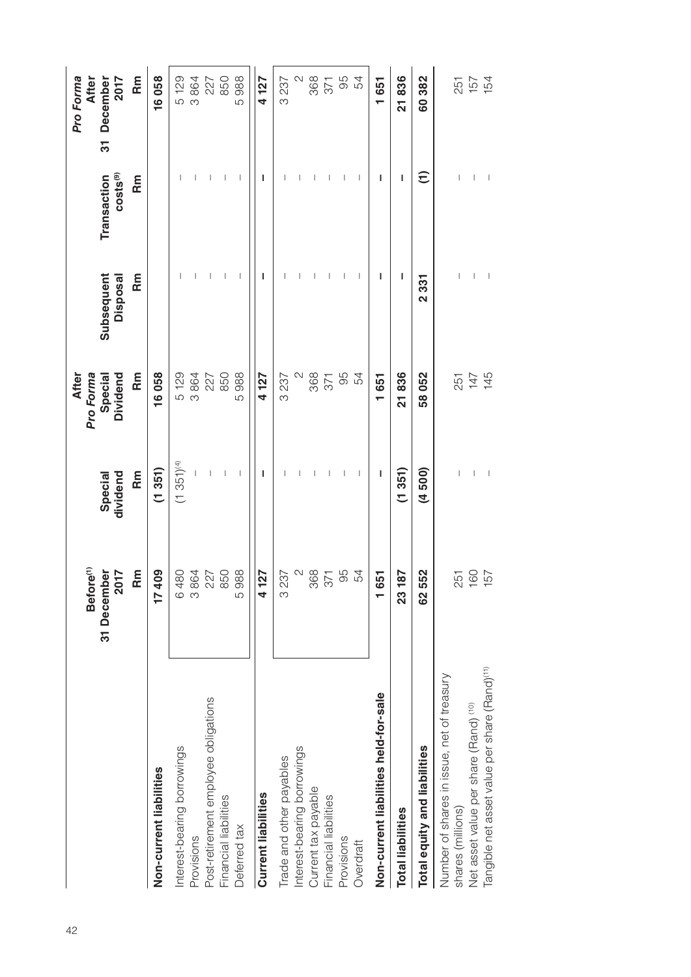|                                                                 | Before <sup>(1)</sup><br>31 December<br>2017 | dividend<br>Special      | Dividend<br>Pro Forma<br>After<br>Special | Subsequent<br>Disposal         | costs <sup>(9)</sup><br>Transaction   | Pro Forma<br>After<br>December<br>2017<br>31 |
|-----------------------------------------------------------------|----------------------------------------------|--------------------------|-------------------------------------------|--------------------------------|---------------------------------------|----------------------------------------------|
|                                                                 | Rm                                           | Rm                       | Rm                                        | Rm                             | Rm                                    | Rm                                           |
| Non-current liabilities                                         | 409<br>$\overline{1}$                        | (1351)                   | 16058                                     |                                |                                       | 16058                                        |
| Interest-bearing borrowings                                     | 480<br>$\circ$                               | $(1351)^{(4)}$           |                                           |                                |                                       | 129<br>5                                     |
| Provisions                                                      | 3864                                         |                          | 5129<br>3864                              |                                |                                       | 3864                                         |
| Post-retirement employee obligations                            | 227                                          |                          | 227                                       |                                |                                       | 227                                          |
| Financial liabilities                                           | 850                                          | L                        | 850                                       | T                              |                                       | 850                                          |
| Deferred tax                                                    | 988<br>5                                     | $\overline{\phantom{a}}$ | 988<br>5                                  | $\mathbf{I}$                   | J.                                    | 988<br>5                                     |
| <b>Current liabilities</b>                                      | 127<br>4                                     | L                        | 4127                                      | L                              | L                                     | 4127                                         |
| Trade and other payables                                        | 237<br>$\infty$                              |                          | 3 2 3 7                                   |                                |                                       | 3 2 3 7                                      |
| Interest-bearing borrowings                                     | $\mathbb{Q}$                                 |                          | $\mathcal{L}$                             |                                |                                       | $\mathbb{N}$                                 |
| Current tax payable                                             | 368                                          |                          | 368                                       |                                |                                       | 368                                          |
| Financial liabilities                                           | 371                                          |                          | 371                                       |                                |                                       | 371                                          |
| Provisions                                                      | 95                                           |                          | 95<br>54                                  |                                |                                       | 95                                           |
| Overdraft                                                       | 54                                           |                          |                                           |                                |                                       | 54                                           |
| Non-current liabilities held-for-sale                           | 651                                          | ı                        | 1651                                      | ı                              | ı                                     | 1651                                         |
| <b>Total liabilities</b>                                        | 187<br>23                                    | (1351)                   | 21836                                     | ı                              | ı                                     | 21836                                        |
| Total equity and liabilities                                    | 62552                                        | (4500)                   | 58052                                     | 331<br>$\overline{\mathbf{C}}$ | Ξ                                     | 60382                                        |
| Number of shares in issue, net of treasury<br>shares (millions) | 251                                          |                          |                                           |                                |                                       |                                              |
| Net asset value per share (Rand) (10)                           | 091                                          | $\, \vert \,$            | 251<br>147<br>145                         | $\mid$                         | $\begin{array}{c} \hline \end{array}$ | 251<br>157<br>154                            |
| Tangible net asset value per share (Rand) <sup>(11)</sup>       | 157                                          | - 1                      |                                           | $\overline{\phantom{a}}$       | $\overline{\phantom{a}}$              |                                              |
|                                                                 |                                              |                          |                                           |                                |                                       |                                              |
|                                                                 |                                              |                          |                                           |                                |                                       |                                              |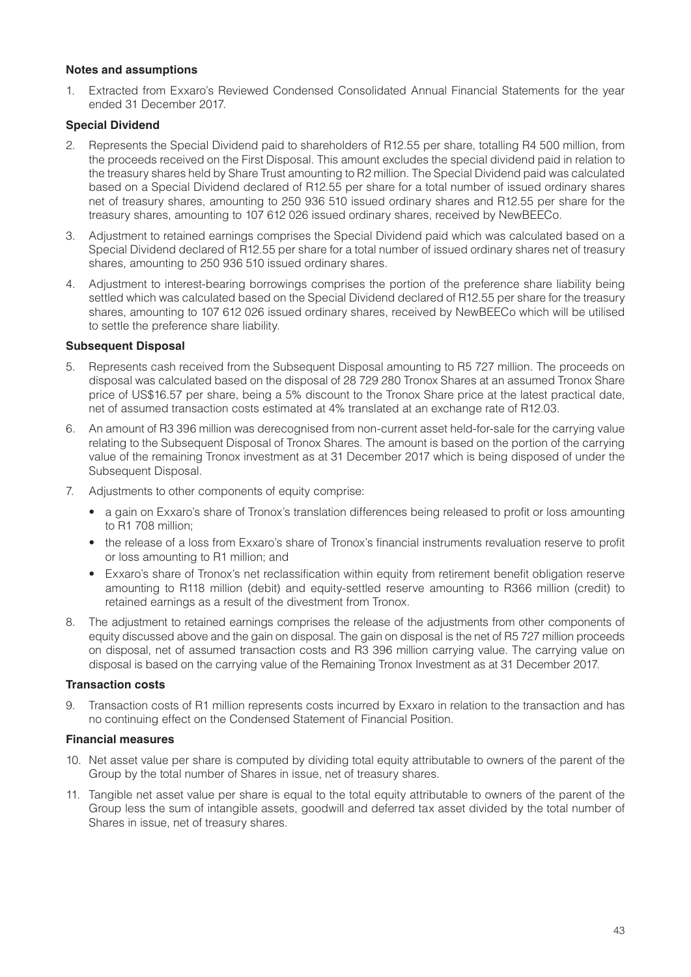#### **Notes and assumptions**

1. Extracted from Exxaro's Reviewed Condensed Consolidated Annual Financial Statements for the year ended 31 December 2017.

#### **Special Dividend**

- 2. Represents the Special Dividend paid to shareholders of R12.55 per share, totalling R4 500 million, from the proceeds received on the First Disposal. This amount excludes the special dividend paid in relation to the treasury shares held by Share Trust amounting to R2 million. The Special Dividend paid was calculated based on a Special Dividend declared of R12.55 per share for a total number of issued ordinary shares net of treasury shares, amounting to 250 936 510 issued ordinary shares and R12.55 per share for the treasury shares, amounting to 107 612 026 issued ordinary shares, received by NewBEECo.
- 3. Adjustment to retained earnings comprises the Special Dividend paid which was calculated based on a Special Dividend declared of R12.55 per share for a total number of issued ordinary shares net of treasury shares, amounting to 250 936 510 issued ordinary shares.
- 4. Adjustment to interest-bearing borrowings comprises the portion of the preference share liability being settled which was calculated based on the Special Dividend declared of R12.55 per share for the treasury shares, amounting to 107 612 026 issued ordinary shares, received by NewBEECo which will be utilised to settle the preference share liability.

#### **Subsequent Disposal**

- 5. Represents cash received from the Subsequent Disposal amounting to R5 727 million. The proceeds on disposal was calculated based on the disposal of 28 729 280 Tronox Shares at an assumed Tronox Share price of US\$16.57 per share, being a 5% discount to the Tronox Share price at the latest practical date, net of assumed transaction costs estimated at 4% translated at an exchange rate of R12.03.
- 6. An amount of R3 396 million was derecognised from non-current asset held-for-sale for the carrying value relating to the Subsequent Disposal of Tronox Shares. The amount is based on the portion of the carrying value of the remaining Tronox investment as at 31 December 2017 which is being disposed of under the Subsequent Disposal.
- 7. Adjustments to other components of equity comprise:
	- a gain on Exxaro's share of Tronox's translation differences being released to profit or loss amounting to R1 708 million;
	- the release of a loss from Exxaro's share of Tronox's financial instruments revaluation reserve to profit or loss amounting to R1 million; and
	- Exxaro's share of Tronox's net reclassification within equity from retirement benefit obligation reserve amounting to R118 million (debit) and equity-settled reserve amounting to R366 million (credit) to retained earnings as a result of the divestment from Tronox.
- 8. The adjustment to retained earnings comprises the release of the adjustments from other components of equity discussed above and the gain on disposal. The gain on disposal is the net of R5 727 million proceeds on disposal, net of assumed transaction costs and R3 396 million carrying value. The carrying value on disposal is based on the carrying value of the Remaining Tronox Investment as at 31 December 2017.

#### **Transaction costs**

9. Transaction costs of R1 million represents costs incurred by Exxaro in relation to the transaction and has no continuing effect on the Condensed Statement of Financial Position.

#### **Financial measures**

- 10. Net asset value per share is computed by dividing total equity attributable to owners of the parent of the Group by the total number of Shares in issue, net of treasury shares.
- 11. Tangible net asset value per share is equal to the total equity attributable to owners of the parent of the Group less the sum of intangible assets, goodwill and deferred tax asset divided by the total number of Shares in issue, net of treasury shares.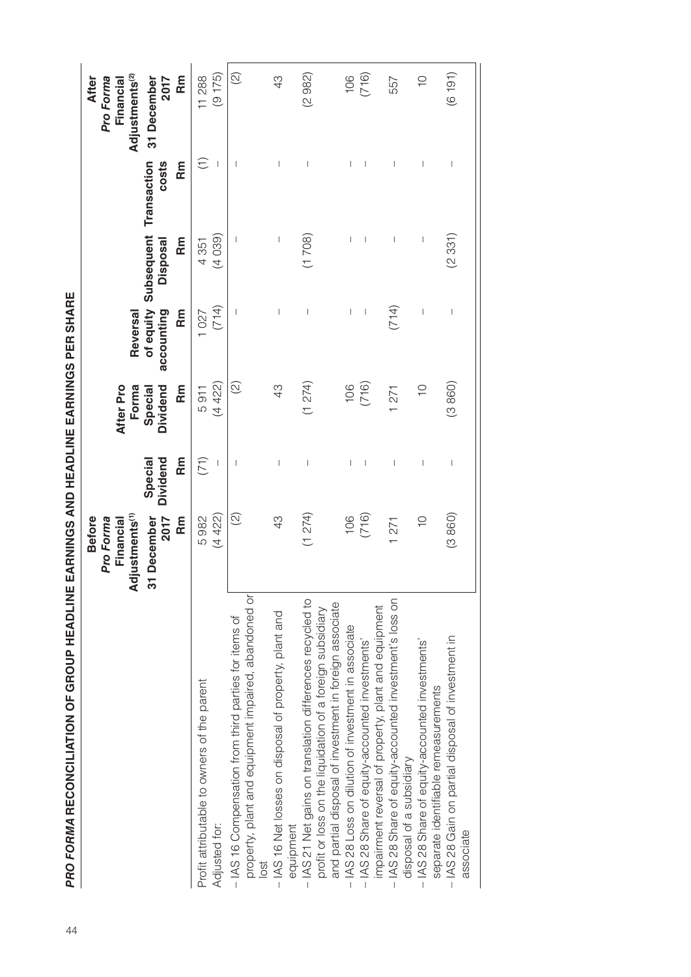|                                                                                                                                                                                 | Adjustments <sup>(1)</sup><br>December<br>2017<br><b>Before</b><br>Rm<br>Pro Forma<br>Financial<br>ᢛ | Dividend<br>Rm<br>Special      | Dividend<br>Rm<br>After Pro<br>Forma<br>Special | accounting<br>Rm<br>Reversal   | of equity Subsequent Transaction<br>Rm<br><b>Disposal</b> | costs<br>Rm      | Adjustments <sup>(2)</sup><br><b>After</b><br>31 December<br>Rm<br>Pro Forma<br>2017<br>Financia |
|---------------------------------------------------------------------------------------------------------------------------------------------------------------------------------|------------------------------------------------------------------------------------------------------|--------------------------------|-------------------------------------------------|--------------------------------|-----------------------------------------------------------|------------------|--------------------------------------------------------------------------------------------------|
| Profit attributable to owners of the parent<br>Adjusted for:                                                                                                                    | (4422)<br>5982                                                                                       | (71)                           | $(4\,422)$<br>5911                              | (714)<br>1027                  | (4039)<br>4351                                            | $\widehat{\tau}$ | (9175)<br>11 288                                                                                 |
| property, plant and equipment impaired, abandoned or<br>- IAS 16 Compensation from third parties for items of<br>lost                                                           | $\widehat{\infty}$                                                                                   | 1                              | $\odot$                                         | I                              | $\overline{\phantom{a}}$                                  | 1                | $\odot$                                                                                          |
| IAS 16 Net losses on disposal of property, plant and<br>equipment                                                                                                               | 43                                                                                                   | $\overline{\phantom{a}}$       | 43                                              | $\overline{\phantom{a}}$       | $\begin{array}{c} \hline \end{array}$                     |                  | 43                                                                                               |
| IAS 21 Net gains on translation differences recycled to<br>and partial disposal of investment in foreign associate<br>profit or loss on the liquidation of a foreign subsidiary | (1 274)                                                                                              | $\begin{array}{c} \end{array}$ | (1 274)                                         | I                              | (1708)                                                    |                  | (2982)                                                                                           |
| IAS 28 Loss on dilution of investment in associate                                                                                                                              | 106                                                                                                  |                                | 106                                             | I                              |                                                           |                  | 106                                                                                              |
| impairment reversal of property, plant and equipment<br>- IAS 28 Share of equity-accounted investments'                                                                         | (716)                                                                                                |                                | (716)                                           | I                              | I                                                         |                  | (716)                                                                                            |
| IAS 28 Share of equity-accounted investment's loss on<br>disposal of a subsidiary                                                                                               | 1271                                                                                                 |                                | 1271                                            | (714)                          |                                                           |                  | 557                                                                                              |
| IAS 28 Share of equity-accounted investments'<br>separate identifiable remeasurements                                                                                           | $\frac{1}{1}$                                                                                        | I                              | $\frac{1}{2}$                                   | I                              | $\begin{array}{c} \end{array}$                            |                  | $\supseteq$                                                                                      |
| - IAS 28 Gain on partial disposal of investment in<br>associate                                                                                                                 | (3860)                                                                                               | I                              | (3860)                                          | $\begin{array}{c} \end{array}$ | (2331)                                                    | I                | (6191)                                                                                           |

**PRO FORMA RECONCILIATION OF GROUP HEADLINE EARNINGS AND HEADLINE EARNINGS PER SHARE** 44*PRO FORMA* **RECONCILIATION OF GROUP HEADLINE EARNINGS AND HEADLINE EARNINGS PER SHARE**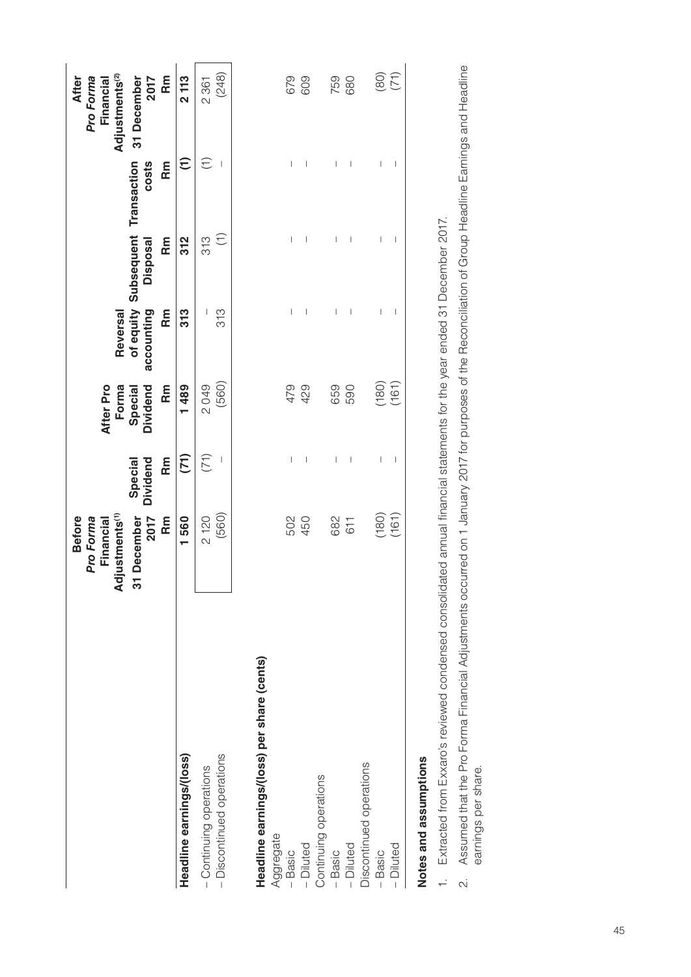|                                                         | Adjustments <sup>(1)</sup><br>December<br>2017<br><b>Before</b><br>Financial<br>Pro Forma<br>స్ | <b>Dividend</b><br>Special                                                                                                                                                                                                                                                                                                                                                       | <b>Dividend</b><br>Forma<br>Special<br>After Pro | accounting<br>Reversal                                                                                                                                                                                                                                                                                                                                                                                             | of equity Subsequent Transaction<br><b>Disposal</b> | costs                                            | Adjustments <sup>(2)</sup><br><b>After</b><br>Pro Forma<br>Financial<br>31 December<br>2017 |
|---------------------------------------------------------|-------------------------------------------------------------------------------------------------|----------------------------------------------------------------------------------------------------------------------------------------------------------------------------------------------------------------------------------------------------------------------------------------------------------------------------------------------------------------------------------|--------------------------------------------------|--------------------------------------------------------------------------------------------------------------------------------------------------------------------------------------------------------------------------------------------------------------------------------------------------------------------------------------------------------------------------------------------------------------------|-----------------------------------------------------|--------------------------------------------------|---------------------------------------------------------------------------------------------|
| Headline earnings/(loss)                                | Rm<br>1560                                                                                      | (71)<br>Rm                                                                                                                                                                                                                                                                                                                                                                       | 1489<br>Rm                                       | 313<br>Rm                                                                                                                                                                                                                                                                                                                                                                                                          | Rm<br>312                                           | Ξ<br>Rm                                          | Rm<br>2113                                                                                  |
| - Discontinued operations<br>- Continuing operations    | (560)<br>2120                                                                                   | (71)<br>$\mid$                                                                                                                                                                                                                                                                                                                                                                   | (560)<br>2049                                    | 313<br>I                                                                                                                                                                                                                                                                                                                                                                                                           | $\widehat{\Xi}$<br>313                              | E<br>$\overline{\phantom{a}}$                    | (248)<br>2 3 61                                                                             |
| Headline earnings/(loss) per share (cents)<br>Aggregate |                                                                                                 |                                                                                                                                                                                                                                                                                                                                                                                  |                                                  |                                                                                                                                                                                                                                                                                                                                                                                                                    |                                                     |                                                  |                                                                                             |
| - Diluted<br>$-$ Basic                                  | 502<br>450                                                                                      | I<br>$\mid$                                                                                                                                                                                                                                                                                                                                                                      | 479<br>429                                       | $\begin{array}{c} \end{array}$<br>$\begin{array}{c} \rule{0pt}{2.5ex} \rule{0pt}{2.5ex} \rule{0pt}{2.5ex} \rule{0pt}{2.5ex} \rule{0pt}{2.5ex} \rule{0pt}{2.5ex} \rule{0pt}{2.5ex} \rule{0pt}{2.5ex} \rule{0pt}{2.5ex} \rule{0pt}{2.5ex} \rule{0pt}{2.5ex} \rule{0pt}{2.5ex} \rule{0pt}{2.5ex} \rule{0pt}{2.5ex} \rule{0pt}{2.5ex} \rule{0pt}{2.5ex} \rule{0pt}{2.5ex} \rule{0pt}{2.5ex} \rule{0pt}{2.5ex} \rule{0$ | $\overline{1}$<br>$\begin{array}{c} \end{array}$    | $\overline{1}$<br>T                              | 679<br>609                                                                                  |
| Continuing operations<br>$-$ Basic                      | 682                                                                                             | $\begin{array}{c} \rule{0pt}{2.5ex} \rule{0pt}{2.5ex} \rule{0pt}{2.5ex} \rule{0pt}{2.5ex} \rule{0pt}{2.5ex} \rule{0pt}{2.5ex} \rule{0pt}{2.5ex} \rule{0pt}{2.5ex} \rule{0pt}{2.5ex} \rule{0pt}{2.5ex} \rule{0pt}{2.5ex} \rule{0pt}{2.5ex} \rule{0pt}{2.5ex} \rule{0pt}{2.5ex} \rule{0pt}{2.5ex} \rule{0pt}{2.5ex} \rule{0pt}{2.5ex} \rule{0pt}{2.5ex} \rule{0pt}{2.5ex} \rule{0$ | 659                                              | I                                                                                                                                                                                                                                                                                                                                                                                                                  | I                                                   | $\overline{1}$                                   | 759                                                                                         |
| - Diluted                                               | 611                                                                                             | $\begin{array}{c} \end{array}$                                                                                                                                                                                                                                                                                                                                                   | 590                                              | $\begin{array}{c} \end{array}$                                                                                                                                                                                                                                                                                                                                                                                     | I                                                   | $\overline{\phantom{a}}$                         | 680                                                                                         |
| Discontinued operations<br>$-Diluted$<br>- Basic        | (180)<br>(161)                                                                                  | $\begin{array}{c} \end{array}$<br>I                                                                                                                                                                                                                                                                                                                                              | (180)<br>(161)                                   | $\begin{array}{c} \end{array}$<br>$\begin{array}{c} \end{array}$                                                                                                                                                                                                                                                                                                                                                   | $\begin{array}{c} \end{array}$<br>I                 | $\begin{array}{c} \end{array}$<br>$\overline{1}$ | (30)                                                                                        |
| Notes and assumptions                                   |                                                                                                 |                                                                                                                                                                                                                                                                                                                                                                                  |                                                  |                                                                                                                                                                                                                                                                                                                                                                                                                    |                                                     |                                                  |                                                                                             |

# **Notes and assumptions**  $\overline{\phantom{a}}$

- Extracted from Exxaro's reviewed condensed consolidated annual financial statements for the year ended 31 December 2017. 1. Extracted from Exxaro's reviewed condensed consolidated annual financial statements for the year ended 31 December 2017.  $\frac{1}{\sqrt{2}}$
- Assumed that the Pro Forma Financial Adjustments occurred on 1 January 2017 for purposes of the Reconciliation of Group Headline Earnings and Headline 2. Assumed that the Pro Forma Financial Adjustments occurred on 1 January 2017 for purposes of the Reconciliation of Group Headline Earnings and Headline earnings per share. earnings per share. $\alpha$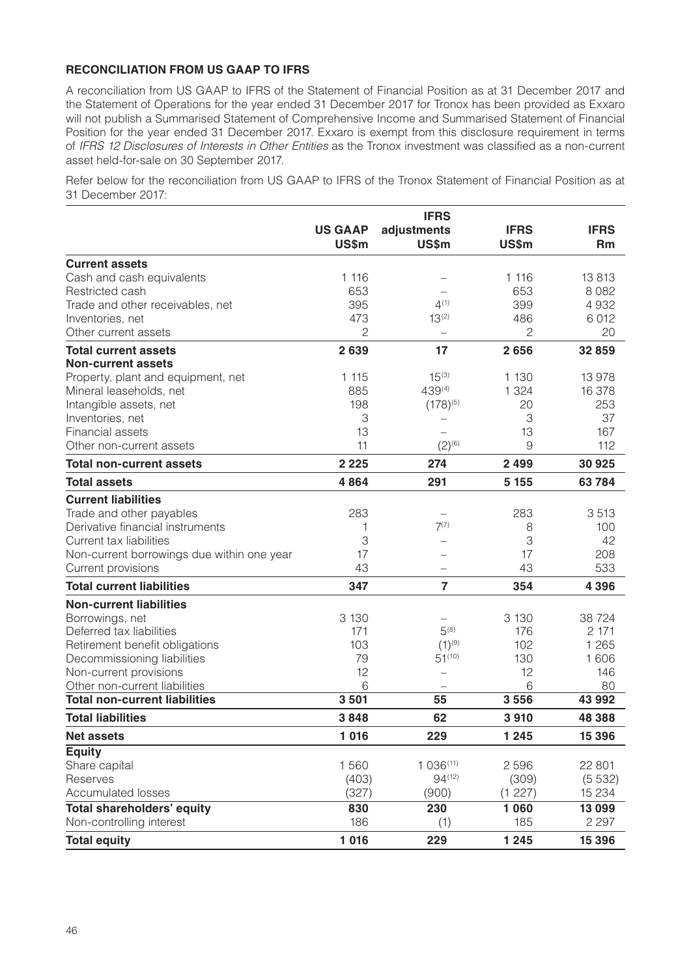## **RECONCILIATION FROM US GAAP TO IFRS**

A reconciliation from US GAAP to IFRS of the Statement of Financial Position as at 31 December 2017 and the Statement of Operations for the year ended 31 December 2017 for Tronox has been provided as Exxaro will not publish a Summarised Statement of Comprehensive Income and Summarised Statement of Financial Position for the year ended 31 December 2017. Exxaro is exempt from this disclosure requirement in terms of *IFRS 12 Disclosures of Interests in Other Entities* as the Tronox investment was classified as a non-current asset held-for-sale on 30 September 2017.

Refer below for the reconciliation from US GAAP to IFRS of the Tronox Statement of Financial Position as at 31 December 2017:

|                                            |                | <b>IFRS</b>              |              |             |
|--------------------------------------------|----------------|--------------------------|--------------|-------------|
|                                            | <b>US GAAP</b> | adjustments              | <b>IFRS</b>  | <b>IFRS</b> |
|                                            | <b>US\$m</b>   | <b>US\$m</b>             | <b>US\$m</b> | <b>Rm</b>   |
| <b>Current assets</b>                      |                |                          |              |             |
| Cash and cash equivalents                  | 1 1 1 6        |                          | 1 1 1 6      | 13813       |
| Restricted cash                            | 653            |                          | 653          | 8 0 8 2     |
| Trade and other receivables, net           | 395            | $4^{(1)}$                | 399          | 4932        |
| Inventories, net                           | 473            | $13^{(2)}$               | 486          | 6012        |
| Other current assets                       | 2              | $\overline{\phantom{0}}$ | 2            | 20          |
| <b>Total current assets</b>                | 2639           | 17                       | 2656         | 32 859      |
| <b>Non-current assets</b>                  |                |                          |              |             |
| Property, plant and equipment, net         | 1 1 1 5        | $15^{(3)}$               | 1 1 3 0      | 13 978      |
| Mineral leaseholds, net                    | 885            | 439(4)                   | 1 3 2 4      | 16 378      |
| Intangible assets, net                     | 198            | $(178)^{(5)}$            | 20           | 253         |
| Inventories, net                           | 3              | -                        | 3            | 37          |
| Financial assets                           | 13             | $\overline{\phantom{0}}$ | 13           | 167         |
| Other non-current assets                   | 11             | $(2)^{(6)}$              | 9            | 112         |
| <b>Total non-current assets</b>            | 2 2 2 5        | 274                      | 2 4 9 9      | 30 925      |
| <b>Total assets</b>                        | 4864           | 291                      | 5 1 5 5      | 63784       |
| <b>Current liabilities</b>                 |                |                          |              |             |
| Trade and other payables                   | 283            | $\overline{\phantom{0}}$ | 283          | 3513        |
| Derivative financial instruments           | 1              | $7^{(7)}$                | 8            | 100         |
| Current tax liabilities                    | 3              |                          | 3            | 42          |
| Non-current borrowings due within one year | 17             |                          | 17           | 208         |
| Current provisions                         | 43             |                          | 43           | 533         |
| <b>Total current liabilities</b>           | 347            | $\overline{7}$           | 354          | 4 3 9 6     |
| <b>Non-current liabilities</b>             |                |                          |              |             |
| Borrowings, net                            | 3 1 3 0        |                          | 3 1 3 0      | 38 7 24     |
| Deferred tax liabilities                   | 171            | $5^{(8)}$                | 176          | 2 171       |
| Retirement benefit obligations             | 103            | $(1)^{(9)}$              | 102          | 1 2 6 5     |
| Decommissioning liabilities                | 79             | $51^{(10)}$              | 130          | 1606        |
| Non-current provisions                     | 12             | $\overline{\phantom{0}}$ | 12           | 146         |
| Other non-current liabilities              | 6              | $\overline{\phantom{0}}$ | 6            | 80          |
| <b>Total non-current liabilities</b>       | 3501           | 55                       | 3556         | 43 992      |
| <b>Total liabilities</b>                   | 3848           | 62                       | 3910         | 48 388      |
| <b>Net assets</b>                          | 1 0 1 6        | 229                      | 1 2 4 5      | 15 3 96     |
| <b>Equity</b>                              |                |                          |              |             |
| Share capital                              | 1560           | 1036(11)                 | 2596         | 22 801      |
| Reserves                                   | (403)          | $94^{(12)}$              | (309)        | (5532)      |
| <b>Accumulated losses</b>                  | (327)          | (900)                    | (1 227)      | 15 2 34     |
| <b>Total shareholders' equity</b>          | 830            | 230                      | 1 0 6 0      | 13 099      |
| Non-controlling interest                   | 186            | (1)                      | 185          | 2 2 9 7     |
| <b>Total equity</b>                        | 1 0 1 6        | 229                      | 1 2 4 5      | 15 3 96     |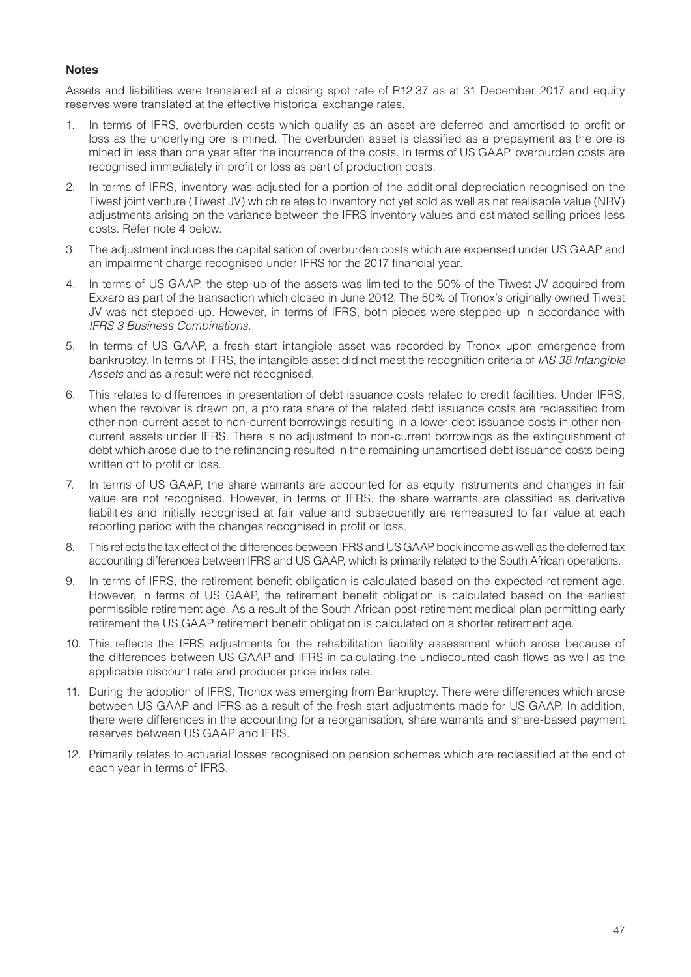#### **Notes**

Assets and liabilities were translated at a closing spot rate of R12.37 as at 31 December 2017 and equity reserves were translated at the effective historical exchange rates.

- 1. In terms of IFRS, overburden costs which qualify as an asset are deferred and amortised to profit or loss as the underlying ore is mined. The overburden asset is classified as a prepayment as the ore is mined in less than one year after the incurrence of the costs. In terms of US GAAP, overburden costs are recognised immediately in profit or loss as part of production costs.
- 2. In terms of IFRS, inventory was adjusted for a portion of the additional depreciation recognised on the Tiwest joint venture (Tiwest JV) which relates to inventory not yet sold as well as net realisable value (NRV) adjustments arising on the variance between the IFRS inventory values and estimated selling prices less costs. Refer note 4 below.
- 3. The adjustment includes the capitalisation of overburden costs which are expensed under US GAAP and an impairment charge recognised under IFRS for the 2017 financial year.
- 4. In terms of US GAAP, the step-up of the assets was limited to the 50% of the Tiwest JV acquired from Exxaro as part of the transaction which closed in June 2012. The 50% of Tronox's originally owned Tiwest JV was not stepped-up. However, in terms of IFRS, both pieces were stepped-up in accordance with *IFRS 3 Business Combinations*.
- 5. In terms of US GAAP, a fresh start intangible asset was recorded by Tronox upon emergence from bankruptcy. In terms of IFRS, the intangible asset did not meet the recognition criteria of *IAS 38 Intangible Assets* and as a result were not recognised.
- 6. This relates to differences in presentation of debt issuance costs related to credit facilities. Under IFRS, when the revolver is drawn on, a pro rata share of the related debt issuance costs are reclassified from other non-current asset to non-current borrowings resulting in a lower debt issuance costs in other noncurrent assets under IFRS. There is no adjustment to non-current borrowings as the extinguishment of debt which arose due to the refinancing resulted in the remaining unamortised debt issuance costs being written off to profit or loss.
- 7. In terms of US GAAP, the share warrants are accounted for as equity instruments and changes in fair value are not recognised. However, in terms of IFRS, the share warrants are classified as derivative liabilities and initially recognised at fair value and subsequently are remeasured to fair value at each reporting period with the changes recognised in profit or loss.
- 8. This reflects the tax effect of the differences between IFRS and US GAAP book income as well as the deferred tax accounting differences between IFRS and US GAAP, which is primarily related to the South African operations.
- 9. In terms of IFRS, the retirement benefit obligation is calculated based on the expected retirement age. However, in terms of US GAAP, the retirement benefit obligation is calculated based on the earliest permissible retirement age. As a result of the South African post-retirement medical plan permitting early retirement the US GAAP retirement benefit obligation is calculated on a shorter retirement age.
- 10. This reflects the IFRS adjustments for the rehabilitation liability assessment which arose because of the differences between US GAAP and IFRS in calculating the undiscounted cash flows as well as the applicable discount rate and producer price index rate.
- 11. During the adoption of IFRS, Tronox was emerging from Bankruptcy. There were differences which arose between US GAAP and IFRS as a result of the fresh start adjustments made for US GAAP. In addition, there were differences in the accounting for a reorganisation, share warrants and share-based payment reserves between US GAAP and IFRS.
- 12. Primarily relates to actuarial losses recognised on pension schemes which are reclassified at the end of each year in terms of IFRS.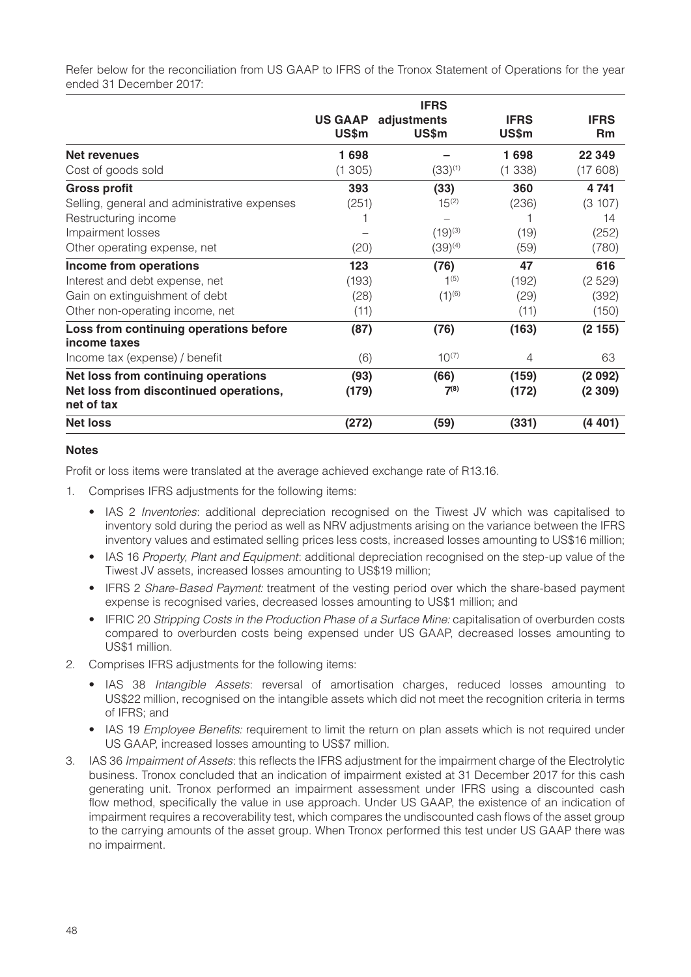Refer below for the reconciliation from US GAAP to IFRS of the Tronox Statement of Operations for the year ended 31 December 2017:

|                                              |                | <b>IFRS</b>  |              |             |
|----------------------------------------------|----------------|--------------|--------------|-------------|
|                                              | <b>US GAAP</b> | adjustments  | <b>IFRS</b>  | <b>IFRS</b> |
|                                              | US\$m          | <b>US\$m</b> | <b>US\$m</b> | <b>Rm</b>   |
| Net revenues                                 | 1698           |              | 1698         | 22 349      |
| Cost of goods sold                           | (1305)         | $(33)^{(1)}$ | (1338)       | (17608)     |
| <b>Gross profit</b>                          | 393            | (33)         | 360          | 4 741       |
| Selling, general and administrative expenses | (251)          | $15^{(2)}$   | (236)        | (3 107)     |
| Restructuring income                         |                |              |              | 14          |
| Impairment losses                            |                | $(19)^{(3)}$ | (19)         | (252)       |
| Other operating expense, net                 | (20)           | $(39)^{(4)}$ | (59)         | (780)       |
| Income from operations                       | 123            | (76)         | 47           | 616         |
| Interest and debt expense, net               | (193)          | $1^{(5)}$    | (192)        | (2529)      |
| Gain on extinguishment of debt               | (28)           | $(1)^{(6)}$  | (29)         | (392)       |
| Other non-operating income, net              | (11)           |              | (11)         | (150)       |
| Loss from continuing operations before       | (87)           | (76)         | (163)        | (2155)      |
| income taxes                                 |                |              |              |             |
| Income tax (expense) / benefit               | (6)            | $10^{(7)}$   | 4            | 63          |
| Net loss from continuing operations          | (93)           | (66)         | (159)        | (2092)      |
| Net loss from discontinued operations,       | (179)          | $7^{(8)}$    | (172)        | (2309)      |
| net of tax                                   |                |              |              |             |
| <b>Net loss</b>                              | (272)          | (59)         | (331)        | (4401)      |

#### **Notes**

Profit or loss items were translated at the average achieved exchange rate of R13.16.

- 1. Comprises IFRS adjustments for the following items:
	- IAS 2 *Inventories*: additional depreciation recognised on the Tiwest JV which was capitalised to inventory sold during the period as well as NRV adjustments arising on the variance between the IFRS inventory values and estimated selling prices less costs, increased losses amounting to US\$16 million;
	- IAS 16 *Property, Plant and Equipment*: additional depreciation recognised on the step-up value of the Tiwest JV assets, increased losses amounting to US\$19 million;
	- IFRS 2 *Share-Based Payment:* treatment of the vesting period over which the share-based payment expense is recognised varies, decreased losses amounting to US\$1 million; and
	- IFRIC 20 *Stripping Costs in the Production Phase of a Surface Mine:* capitalisation of overburden costs compared to overburden costs being expensed under US GAAP, decreased losses amounting to US\$1 million.
- 2. Comprises IFRS adjustments for the following items:
	- IAS 38 *Intangible Assets*: reversal of amortisation charges, reduced losses amounting to US\$22 million, recognised on the intangible assets which did not meet the recognition criteria in terms of IFRS; and
	- IAS 19 *Employee Benefits:* requirement to limit the return on plan assets which is not required under US GAAP, increased losses amounting to US\$7 million.
- 3. IAS 36 *Impairment of Assets*: this reflects the IFRS adjustment for the impairment charge of the Electrolytic business. Tronox concluded that an indication of impairment existed at 31 December 2017 for this cash generating unit. Tronox performed an impairment assessment under IFRS using a discounted cash flow method, specifically the value in use approach. Under US GAAP, the existence of an indication of impairment requires a recoverability test, which compares the undiscounted cash flows of the asset group to the carrying amounts of the asset group. When Tronox performed this test under US GAAP there was no impairment.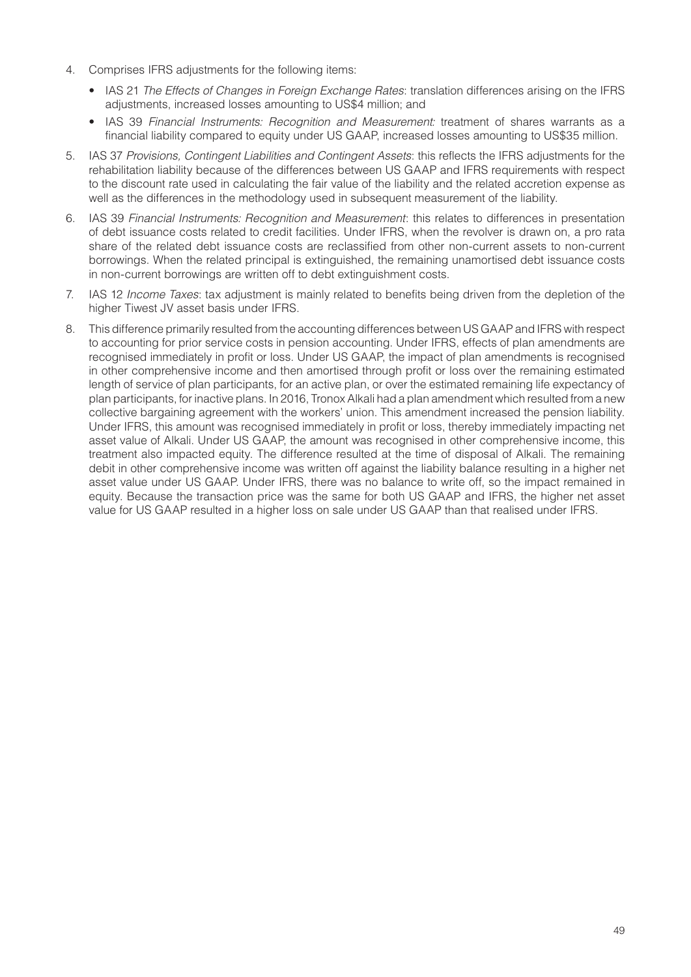- 4. Comprises IFRS adjustments for the following items:
	- IAS 21 *The Effects of Changes in Foreign Exchange Rates*: translation differences arising on the IFRS adjustments, increased losses amounting to US\$4 million; and
	- IAS 39 *Financial Instruments: Recognition and Measurement:* treatment of shares warrants as a financial liability compared to equity under US GAAP, increased losses amounting to US\$35 million.
- 5. IAS 37 *Provisions, Contingent Liabilities and Contingent Assets*: this reflects the IFRS adjustments for the rehabilitation liability because of the differences between US GAAP and IFRS requirements with respect to the discount rate used in calculating the fair value of the liability and the related accretion expense as well as the differences in the methodology used in subsequent measurement of the liability.
- 6. IAS 39 *Financial Instruments: Recognition and Measurement*: this relates to differences in presentation of debt issuance costs related to credit facilities. Under IFRS, when the revolver is drawn on, a pro rata share of the related debt issuance costs are reclassified from other non-current assets to non-current borrowings. When the related principal is extinguished, the remaining unamortised debt issuance costs in non-current borrowings are written off to debt extinguishment costs.
- 7. IAS 12 *Income Taxes*: tax adjustment is mainly related to benefits being driven from the depletion of the higher Tiwest JV asset basis under IFRS.
- 8. This difference primarily resulted from the accounting differences between US GAAP and IFRS with respect to accounting for prior service costs in pension accounting. Under IFRS, effects of plan amendments are recognised immediately in profit or loss. Under US GAAP, the impact of plan amendments is recognised in other comprehensive income and then amortised through profit or loss over the remaining estimated length of service of plan participants, for an active plan, or over the estimated remaining life expectancy of plan participants, for inactive plans. In 2016, Tronox Alkali had a plan amendment which resulted from a new collective bargaining agreement with the workers' union. This amendment increased the pension liability. Under IFRS, this amount was recognised immediately in profit or loss, thereby immediately impacting net asset value of Alkali. Under US GAAP, the amount was recognised in other comprehensive income, this treatment also impacted equity. The difference resulted at the time of disposal of Alkali. The remaining debit in other comprehensive income was written off against the liability balance resulting in a higher net asset value under US GAAP. Under IFRS, there was no balance to write off, so the impact remained in equity. Because the transaction price was the same for both US GAAP and IFRS, the higher net asset value for US GAAP resulted in a higher loss on sale under US GAAP than that realised under IFRS.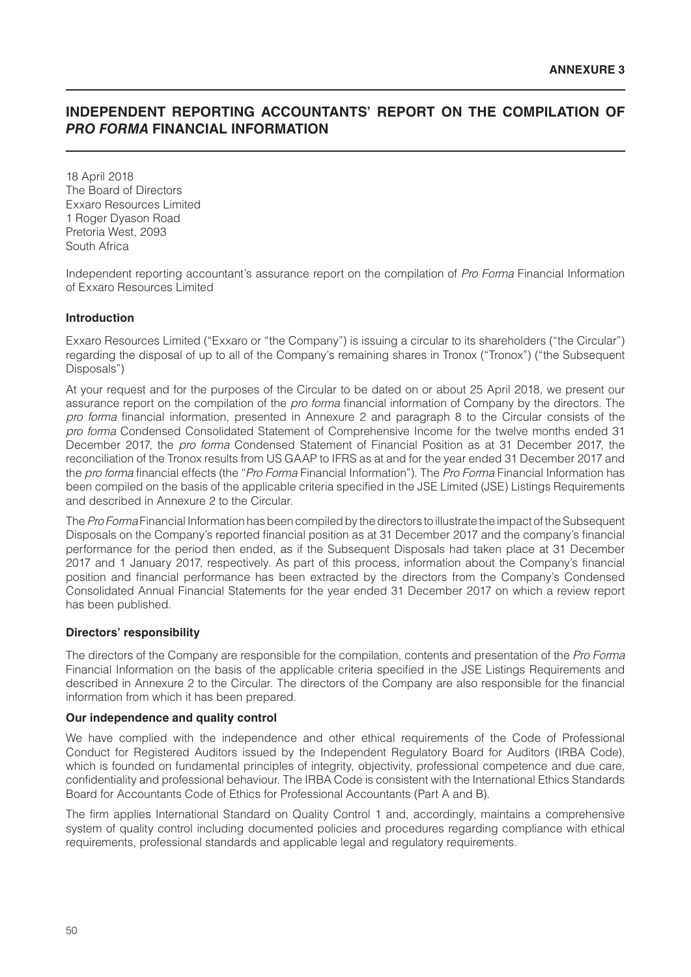## **INDEPENDENT REPORTING ACCOUNTANTS' REPORT ON THE COMPILATION OF**  *PRO FORMA* **FINANCIAL INFORMATION**

18 April 2018 The Board of Directors Exxaro Resources Limited 1 Roger Dyason Road Pretoria West, 2093 South Africa

Independent reporting accountant's assurance report on the compilation of *Pro Forma* Financial Information of Exxaro Resources Limited

#### **Introduction**

Exxaro Resources Limited ("Exxaro or "the Company") is issuing a circular to its shareholders ("the Circular") regarding the disposal of up to all of the Company's remaining shares in Tronox ("Tronox") ("the Subsequent Disposals")

At your request and for the purposes of the Circular to be dated on or about 25 April 2018, we present our assurance report on the compilation of the *pro forma* financial information of Company by the directors. The *pro forma* financial information, presented in Annexure 2 and paragraph 8 to the Circular consists of the *pro forma* Condensed Consolidated Statement of Comprehensive Income for the twelve months ended 31 December 2017, the *pro forma* Condensed Statement of Financial Position as at 31 December 2017, the reconciliation of the Tronox results from US GAAP to IFRS as at and for the year ended 31 December 2017 and the *pro forma* financial effects (the "*Pro Forma* Financial Information"). The *Pro Forma* Financial Information has been compiled on the basis of the applicable criteria specified in the JSE Limited (JSE) Listings Requirements and described in Annexure 2 to the Circular.

The *Pro Forma* Financial Information has been compiled by the directors to illustrate the impact of the Subsequent Disposals on the Company's reported financial position as at 31 December 2017 and the company's financial performance for the period then ended, as if the Subsequent Disposals had taken place at 31 December 2017 and 1 January 2017, respectively. As part of this process, information about the Company's financial position and financial performance has been extracted by the directors from the Company's Condensed Consolidated Annual Financial Statements for the year ended 31 December 2017 on which a review report has been published.

#### **Directors' responsibility**

The directors of the Company are responsible for the compilation, contents and presentation of the *Pro Forma* Financial Information on the basis of the applicable criteria specified in the JSE Listings Requirements and described in Annexure 2 to the Circular. The directors of the Company are also responsible for the financial information from which it has been prepared.

#### **Our independence and quality control**

We have complied with the independence and other ethical requirements of the Code of Professional Conduct for Registered Auditors issued by the Independent Regulatory Board for Auditors (IRBA Code), which is founded on fundamental principles of integrity, objectivity, professional competence and due care, confidentiality and professional behaviour. The IRBA Code is consistent with the International Ethics Standards Board for Accountants Code of Ethics for Professional Accountants (Part A and B).

The firm applies International Standard on Quality Control 1 and, accordingly, maintains a comprehensive system of quality control including documented policies and procedures regarding compliance with ethical requirements, professional standards and applicable legal and regulatory requirements.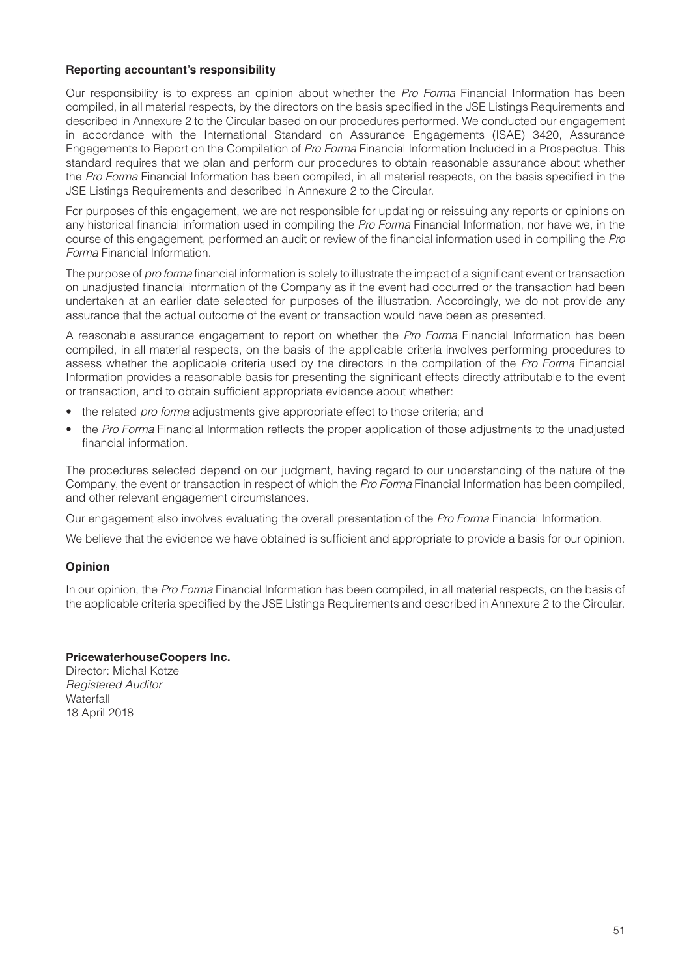#### **Reporting accountant's responsibility**

Our responsibility is to express an opinion about whether the *Pro Forma* Financial Information has been compiled, in all material respects, by the directors on the basis specified in the JSE Listings Requirements and described in Annexure 2 to the Circular based on our procedures performed. We conducted our engagement in accordance with the International Standard on Assurance Engagements (ISAE) 3420, Assurance Engagements to Report on the Compilation of *Pro Forma* Financial Information Included in a Prospectus. This standard requires that we plan and perform our procedures to obtain reasonable assurance about whether the *Pro Forma* Financial Information has been compiled, in all material respects, on the basis specified in the JSE Listings Requirements and described in Annexure 2 to the Circular.

For purposes of this engagement, we are not responsible for updating or reissuing any reports or opinions on any historical financial information used in compiling the *Pro Forma* Financial Information, nor have we, in the course of this engagement, performed an audit or review of the financial information used in compiling the *Pro Forma* Financial Information.

The purpose of *pro forma* financial information is solely to illustrate the impact of a significant event or transaction on unadjusted financial information of the Company as if the event had occurred or the transaction had been undertaken at an earlier date selected for purposes of the illustration. Accordingly, we do not provide any assurance that the actual outcome of the event or transaction would have been as presented.

A reasonable assurance engagement to report on whether the *Pro Forma* Financial Information has been compiled, in all material respects, on the basis of the applicable criteria involves performing procedures to assess whether the applicable criteria used by the directors in the compilation of the *Pro Forma* Financial Information provides a reasonable basis for presenting the significant effects directly attributable to the event or transaction, and to obtain sufficient appropriate evidence about whether:

- the related *pro forma* adjustments give appropriate effect to those criteria; and
- the *Pro Forma* Financial Information reflects the proper application of those adjustments to the unadjusted financial information.

The procedures selected depend on our judgment, having regard to our understanding of the nature of the Company, the event or transaction in respect of which the *Pro Forma* Financial Information has been compiled, and other relevant engagement circumstances.

Our engagement also involves evaluating the overall presentation of the *Pro Forma* Financial Information.

We believe that the evidence we have obtained is sufficient and appropriate to provide a basis for our opinion.

## **Opinion**

In our opinion, the *Pro Forma* Financial Information has been compiled, in all material respects, on the basis of the applicable criteria specified by the JSE Listings Requirements and described in Annexure 2 to the Circular.

#### **PricewaterhouseCoopers Inc.**

Director: Michal Kotze *Registered Auditor* **Waterfall** 18 April 2018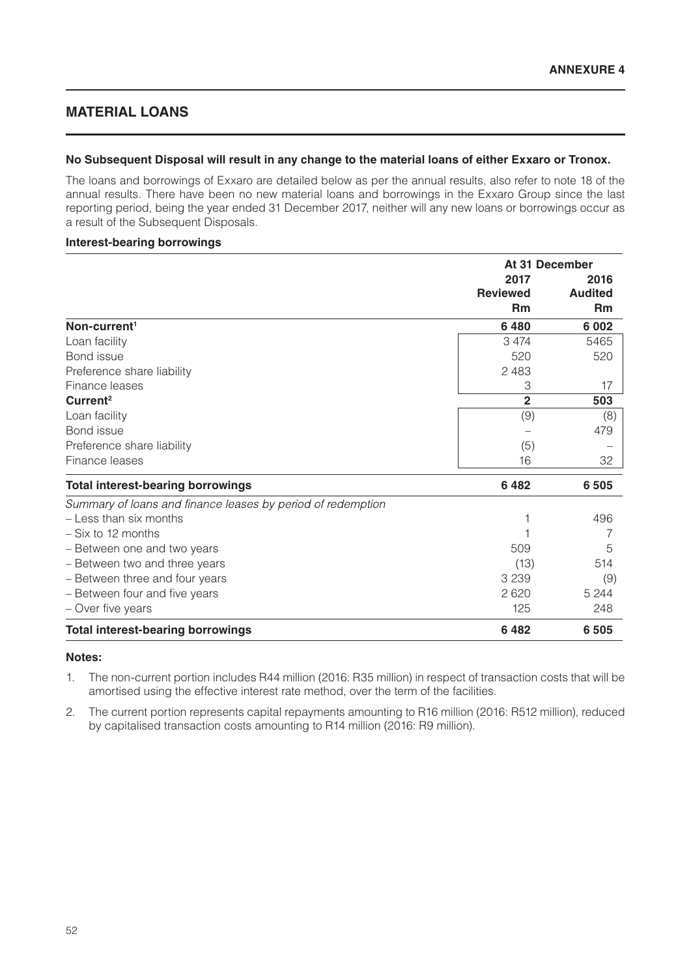## **MATERIAL LOANS**

#### **No Subsequent Disposal will result in any change to the material loans of either Exxaro or Tronox.**

The loans and borrowings of Exxaro are detailed below as per the annual results, also refer to note 18 of the annual results. There have been no new material loans and borrowings in the Exxaro Group since the last reporting period, being the year ended 31 December 2017, neither will any new loans or borrowings occur as a result of the Subsequent Disposals.

#### **Interest-bearing borrowings**

|                                                             | At 31 December  |                |
|-------------------------------------------------------------|-----------------|----------------|
|                                                             | 2017            | 2016           |
|                                                             | <b>Reviewed</b> | <b>Audited</b> |
|                                                             | <b>Rm</b>       | <b>Rm</b>      |
| Non-current <sup>1</sup>                                    | 6480            | 6 0 0 2        |
| Loan facility                                               | 3 4 7 4         | 5465           |
| Bond issue                                                  | 520             | 520            |
| Preference share liability                                  | 2 4 8 3         |                |
| Finance leases                                              | 3               | 17             |
| Current <sup>2</sup>                                        | $\overline{2}$  | 503            |
| Loan facility                                               | (9)             | (8)            |
| Bond issue                                                  |                 | 479            |
| Preference share liability                                  | (5)             |                |
| Finance leases                                              | 16              | 32             |
| <b>Total interest-bearing borrowings</b>                    | 6482            | 6 5 0 5        |
| Summary of loans and finance leases by period of redemption |                 |                |
| - Less than six months                                      |                 | 496            |
| - Six to 12 months                                          |                 | 7              |
| - Between one and two years                                 | 509             | 5              |
| - Between two and three years                               | (13)            | 514            |
| - Between three and four years                              | 3 2 3 9         | (9)            |
| - Between four and five years                               | 2620            | 5 2 4 4        |
| - Over five years                                           | 125             | 248            |
| <b>Total interest-bearing borrowings</b>                    | 6482            | 6 5 0 5        |

#### **Notes:**

- 1. The non-current portion includes R44 million (2016: R35 million) in respect of transaction costs that will be amortised using the effective interest rate method, over the term of the facilities.
- 2. The current portion represents capital repayments amounting to R16 million (2016: R512 million), reduced by capitalised transaction costs amounting to R14 million (2016: R9 million).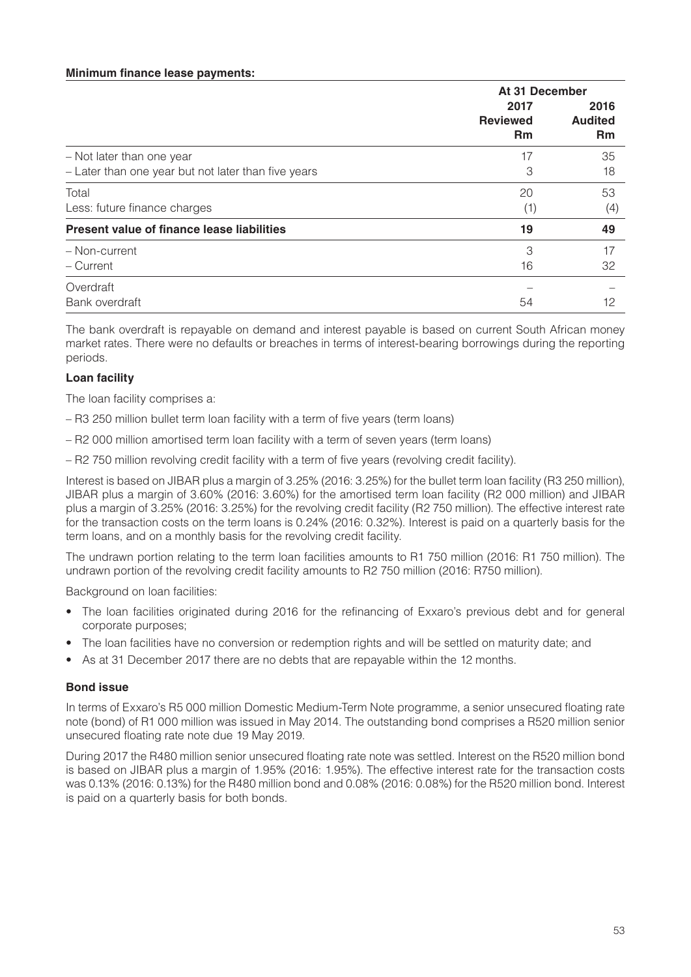#### **Minimum finance lease payments:**

|                                                     | At 31 December                       |                                     |
|-----------------------------------------------------|--------------------------------------|-------------------------------------|
|                                                     | 2017<br><b>Reviewed</b><br><b>Rm</b> | 2016<br><b>Audited</b><br><b>Rm</b> |
| - Not later than one year                           | 17                                   | 35                                  |
| - Later than one year but not later than five years | 3                                    | 18                                  |
| Total                                               | 20                                   | 53                                  |
| Less: future finance charges                        | (1)                                  | (4)                                 |
| Present value of finance lease liabilities          | 19                                   | 49                                  |
| - Non-current                                       | 3                                    | 17                                  |
| - Current                                           | 16                                   | 32                                  |
| Overdraft                                           |                                      |                                     |
| Bank overdraft                                      | 54                                   | 12                                  |

The bank overdraft is repayable on demand and interest payable is based on current South African money market rates. There were no defaults or breaches in terms of interest-bearing borrowings during the reporting periods.

#### **Loan facility**

The loan facility comprises a:

- R3 250 million bullet term loan facility with a term of five years (term loans)
- R2 000 million amortised term loan facility with a term of seven years (term loans)
- R2 750 million revolving credit facility with a term of five years (revolving credit facility).

Interest is based on JIBAR plus a margin of 3.25% (2016: 3.25%) for the bullet term loan facility (R3 250 million), JIBAR plus a margin of 3.60% (2016: 3.60%) for the amortised term loan facility (R2 000 million) and JIBAR plus a margin of 3.25% (2016: 3.25%) for the revolving credit facility (R2 750 million). The effective interest rate for the transaction costs on the term loans is 0.24% (2016: 0.32%). Interest is paid on a quarterly basis for the term loans, and on a monthly basis for the revolving credit facility.

The undrawn portion relating to the term loan facilities amounts to R1 750 million (2016: R1 750 million). The undrawn portion of the revolving credit facility amounts to R2 750 million (2016: R750 million).

Background on loan facilities:

- The loan facilities originated during 2016 for the refinancing of Exxaro's previous debt and for general corporate purposes;
- The loan facilities have no conversion or redemption rights and will be settled on maturity date; and
- As at 31 December 2017 there are no debts that are repayable within the 12 months.

#### **Bond issue**

In terms of Exxaro's R5 000 million Domestic Medium-Term Note programme, a senior unsecured floating rate note (bond) of R1 000 million was issued in May 2014. The outstanding bond comprises a R520 million senior unsecured floating rate note due 19 May 2019.

During 2017 the R480 million senior unsecured floating rate note was settled. Interest on the R520 million bond is based on JIBAR plus a margin of 1.95% (2016: 1.95%). The effective interest rate for the transaction costs was 0.13% (2016: 0.13%) for the R480 million bond and 0.08% (2016: 0.08%) for the R520 million bond. Interest is paid on a quarterly basis for both bonds.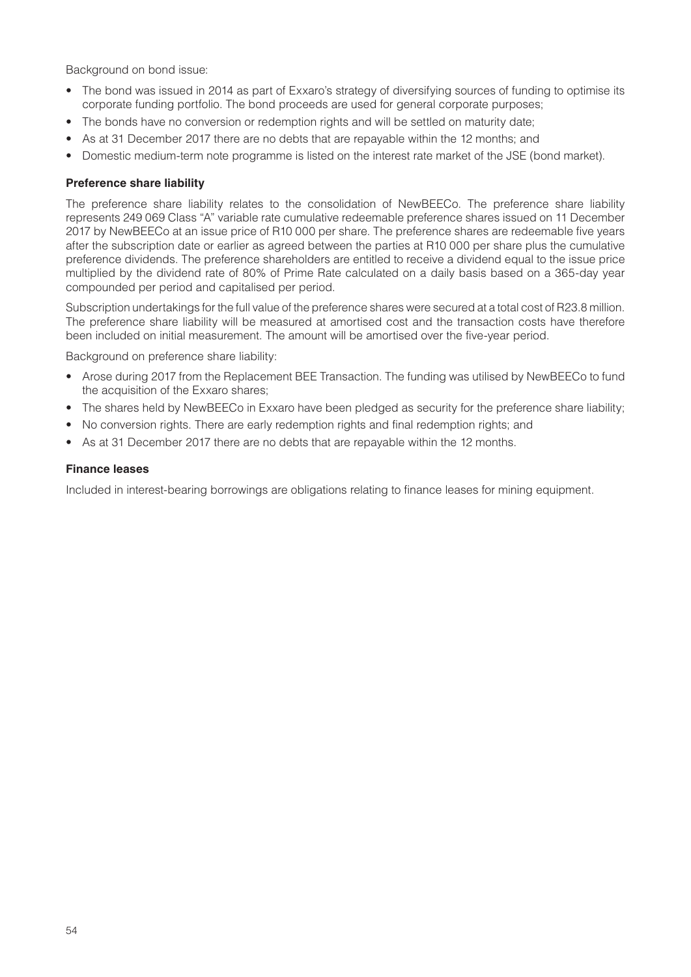Background on bond issue:

- The bond was issued in 2014 as part of Exxaro's strategy of diversifying sources of funding to optimise its corporate funding portfolio. The bond proceeds are used for general corporate purposes;
- The bonds have no conversion or redemption rights and will be settled on maturity date;
- As at 31 December 2017 there are no debts that are repayable within the 12 months; and
- Domestic medium-term note programme is listed on the interest rate market of the JSE (bond market).

#### **Preference share liability**

The preference share liability relates to the consolidation of NewBEECo. The preference share liability represents 249 069 Class "A" variable rate cumulative redeemable preference shares issued on 11 December 2017 by NewBEECo at an issue price of R10 000 per share. The preference shares are redeemable five years after the subscription date or earlier as agreed between the parties at R10 000 per share plus the cumulative preference dividends. The preference shareholders are entitled to receive a dividend equal to the issue price multiplied by the dividend rate of 80% of Prime Rate calculated on a daily basis based on a 365-day year compounded per period and capitalised per period.

Subscription undertakings for the full value of the preference shares were secured at a total cost of R23.8 million. The preference share liability will be measured at amortised cost and the transaction costs have therefore been included on initial measurement. The amount will be amortised over the five-year period.

Background on preference share liability:

- Arose during 2017 from the Replacement BEE Transaction. The funding was utilised by NewBEECo to fund the acquisition of the Exxaro shares;
- The shares held by NewBEECo in Exxaro have been pledged as security for the preference share liability;
- No conversion rights. There are early redemption rights and final redemption rights; and
- As at 31 December 2017 there are no debts that are repayable within the 12 months.

#### **Finance leases**

Included in interest-bearing borrowings are obligations relating to finance leases for mining equipment.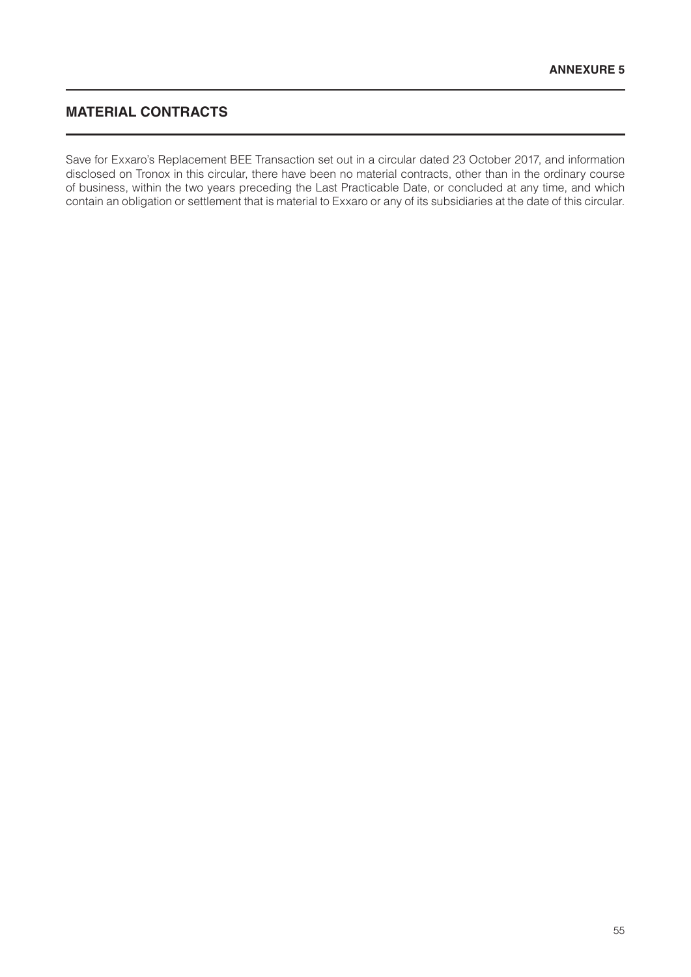# **MATERIAL CONTRACTS**

Save for Exxaro's Replacement BEE Transaction set out in a circular dated 23 October 2017, and information disclosed on Tronox in this circular, there have been no material contracts, other than in the ordinary course of business, within the two years preceding the Last Practicable Date, or concluded at any time, and which contain an obligation or settlement that is material to Exxaro or any of its subsidiaries at the date of this circular.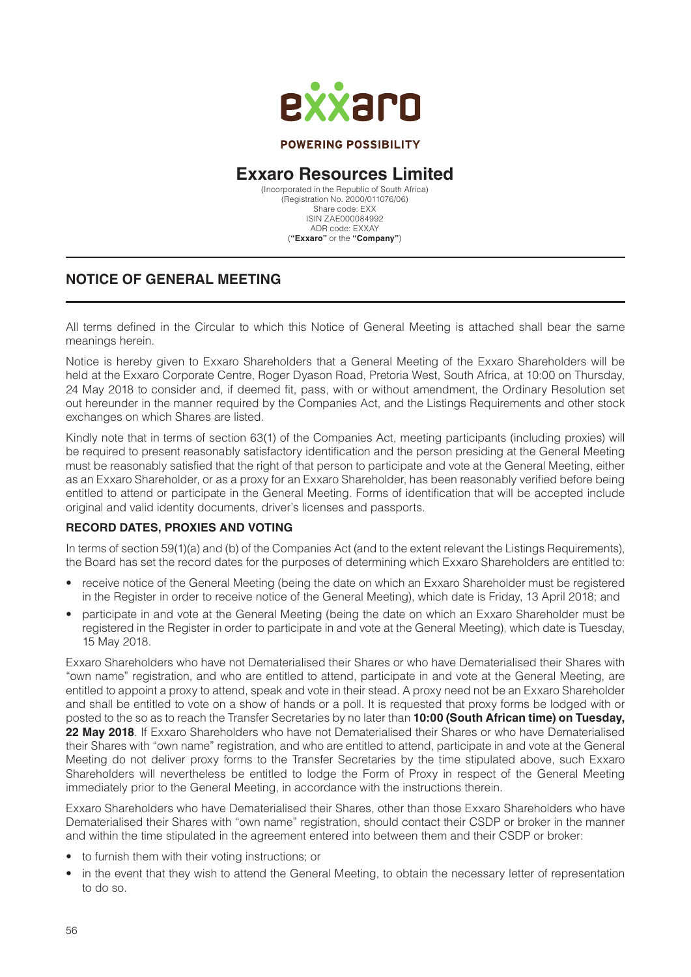

#### **POWERING POSSIBILITY**

# **Exxaro Resources Limited**

(Incorporated in the Republic of South Africa) (Registration No. 2000/011076/06) Share code: EXX ISIN ZAE000084992 ADR code: EXXAY (**"Exxaro"** or the **"Company"**)

## **NOTICE OF GENERAL MEETING**

All terms defined in the Circular to which this Notice of General Meeting is attached shall bear the same meanings herein.

Notice is hereby given to Exxaro Shareholders that a General Meeting of the Exxaro Shareholders will be held at the Exxaro Corporate Centre, Roger Dyason Road, Pretoria West, South Africa, at 10:00 on Thursday, 24 May 2018 to consider and, if deemed fit, pass, with or without amendment, the Ordinary Resolution set out hereunder in the manner required by the Companies Act, and the Listings Requirements and other stock exchanges on which Shares are listed.

Kindly note that in terms of section 63(1) of the Companies Act, meeting participants (including proxies) will be required to present reasonably satisfactory identification and the person presiding at the General Meeting must be reasonably satisfied that the right of that person to participate and vote at the General Meeting, either as an Exxaro Shareholder, or as a proxy for an Exxaro Shareholder, has been reasonably verified before being entitled to attend or participate in the General Meeting. Forms of identification that will be accepted include original and valid identity documents, driver's licenses and passports.

#### **RECORD DATES, PROXIES AND VOTING**

In terms of section 59(1)(a) and (b) of the Companies Act (and to the extent relevant the Listings Requirements), the Board has set the record dates for the purposes of determining which Exxaro Shareholders are entitled to:

- receive notice of the General Meeting (being the date on which an Exxaro Shareholder must be registered in the Register in order to receive notice of the General Meeting), which date is Friday, 13 April 2018; and
- participate in and vote at the General Meeting (being the date on which an Exxaro Shareholder must be registered in the Register in order to participate in and vote at the General Meeting), which date is Tuesday, 15 May 2018.

Exxaro Shareholders who have not Dematerialised their Shares or who have Dematerialised their Shares with "own name" registration, and who are entitled to attend, participate in and vote at the General Meeting, are entitled to appoint a proxy to attend, speak and vote in their stead. A proxy need not be an Exxaro Shareholder and shall be entitled to vote on a show of hands or a poll. It is requested that proxy forms be lodged with or posted to the so as to reach the Transfer Secretaries by no later than **10:00 (South African time) on Tuesday, 22 May 2018**. If Exxaro Shareholders who have not Dematerialised their Shares or who have Dematerialised their Shares with "own name" registration, and who are entitled to attend, participate in and vote at the General Meeting do not deliver proxy forms to the Transfer Secretaries by the time stipulated above, such Exxaro Shareholders will nevertheless be entitled to lodge the Form of Proxy in respect of the General Meeting immediately prior to the General Meeting, in accordance with the instructions therein.

Exxaro Shareholders who have Dematerialised their Shares, other than those Exxaro Shareholders who have Dematerialised their Shares with "own name" registration, should contact their CSDP or broker in the manner and within the time stipulated in the agreement entered into between them and their CSDP or broker:

- to furnish them with their voting instructions; or
- in the event that they wish to attend the General Meeting, to obtain the necessary letter of representation to do so.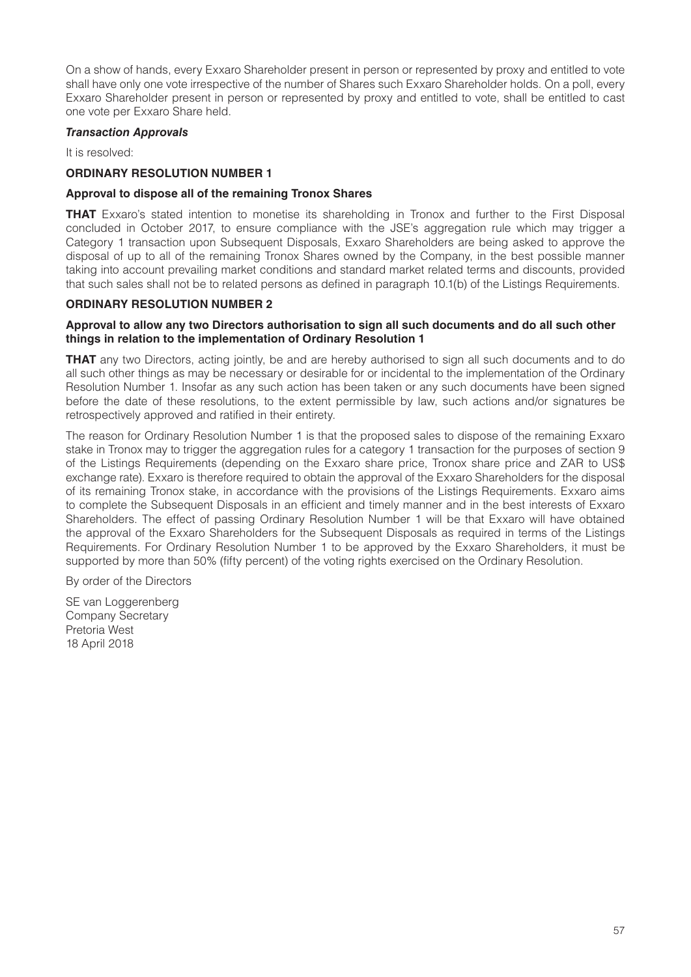On a show of hands, every Exxaro Shareholder present in person or represented by proxy and entitled to vote shall have only one vote irrespective of the number of Shares such Exxaro Shareholder holds. On a poll, every Exxaro Shareholder present in person or represented by proxy and entitled to vote, shall be entitled to cast one vote per Exxaro Share held.

#### *Transaction Approvals*

It is resolved:

#### **ORDINARY RESOLUTION NUMBER 1**

#### **Approval to dispose all of the remaining Tronox Shares**

**THAT** Exxaro's stated intention to monetise its shareholding in Tronox and further to the First Disposal concluded in October 2017, to ensure compliance with the JSE's aggregation rule which may trigger a Category 1 transaction upon Subsequent Disposals, Exxaro Shareholders are being asked to approve the disposal of up to all of the remaining Tronox Shares owned by the Company, in the best possible manner taking into account prevailing market conditions and standard market related terms and discounts, provided that such sales shall not be to related persons as defined in paragraph 10.1(b) of the Listings Requirements.

#### **ORDINARY RESOLUTION NUMBER 2**

#### **Approval to allow any two Directors authorisation to sign all such documents and do all such other things in relation to the implementation of Ordinary Resolution 1**

**THAT** any two Directors, acting jointly, be and are hereby authorised to sign all such documents and to do all such other things as may be necessary or desirable for or incidental to the implementation of the Ordinary Resolution Number 1. Insofar as any such action has been taken or any such documents have been signed before the date of these resolutions, to the extent permissible by law, such actions and/or signatures be retrospectively approved and ratified in their entirety.

The reason for Ordinary Resolution Number 1 is that the proposed sales to dispose of the remaining Exxaro stake in Tronox may to trigger the aggregation rules for a category 1 transaction for the purposes of section 9 of the Listings Requirements (depending on the Exxaro share price, Tronox share price and ZAR to US\$ exchange rate). Exxaro is therefore required to obtain the approval of the Exxaro Shareholders for the disposal of its remaining Tronox stake, in accordance with the provisions of the Listings Requirements. Exxaro aims to complete the Subsequent Disposals in an efficient and timely manner and in the best interests of Exxaro Shareholders. The effect of passing Ordinary Resolution Number 1 will be that Exxaro will have obtained the approval of the Exxaro Shareholders for the Subsequent Disposals as required in terms of the Listings Requirements. For Ordinary Resolution Number 1 to be approved by the Exxaro Shareholders, it must be supported by more than 50% (fifty percent) of the voting rights exercised on the Ordinary Resolution.

By order of the Directors

SE van Loggerenberg Company Secretary Pretoria West 18 April 2018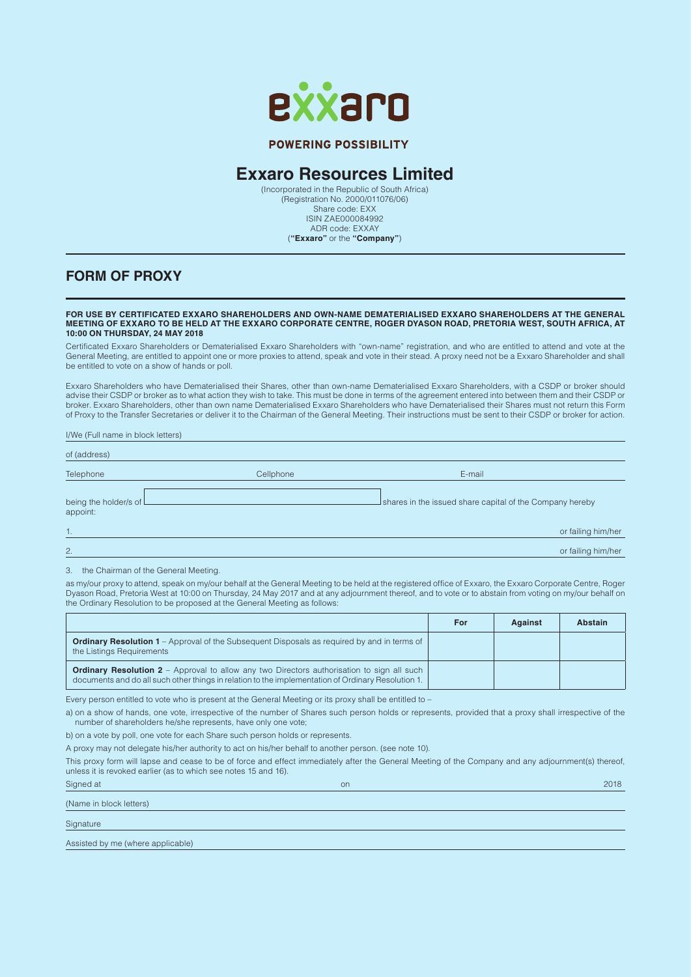

#### **POWERING POSSIBILITY**

# **Exxaro Resources Limited**

(Incorporated in the Republic of South Africa) (Registration No. 2000/011076/06) Share code: EXX ISIN ZAE000084992 ADR code: EXXAY (**"Exxaro"** or the **"Company"**)

#### **FORM OF PROXY**

#### **FOR USE BY CERTIFICATED EXXARO SHAREHOLDERS AND OWN-NAME DEMATERIALISED EXXARO SHAREHOLDERS AT THE GENERAL MEETING OF EXXARO TO BE HELD AT THE EXXARO CORPORATE CENTRE, ROGER DYASON ROAD, PRETORIA WEST, SOUTH AFRICA, AT 10:00 ON THURSDAY, 24 MAY 2018**

Certificated Exxaro Shareholders or Dematerialised Exxaro Shareholders with "own-name" registration, and who are entitled to attend and vote at the General Meeting, are entitled to appoint one or more proxies to attend, speak and vote in their stead. A proxy need not be a Exxaro Shareholder and shall be entitled to vote on a show of hands or poll.

Exxaro Shareholders who have Dematerialised their Shares, other than own-name Dematerialised Exxaro Shareholders, with a CSDP or broker should advise their CSDP or broker as to what action they wish to take. This must be done in terms of the agreement entered into between them and their CSDP or broker. Exxaro Shareholders, other than own name Dematerialised Exxaro Shareholders who have Dematerialised their Shares must not return this Form of Proxy to the Transfer Secretaries or deliver it to the Chairman of the General Meeting. Their instructions must be sent to their CSDP or broker for action.

I/We (Full name in block letters) of (address) Telephone Cellphone E-mail being the holder/s of shares in the issued share capital of the Company hereby appoint: 1. or failing him/her 2. Or failing him/here the control of the control of the control of the control of the control of failing him/here the control of the control of the control of the control of the control of the control of the control of th

3. the Chairman of the General Meeting.

as my/our proxy to attend, speak on my/our behalf at the General Meeting to be held at the registered office of Exxaro, the Exxaro Corporate Centre, Roger Dyason Road, Pretoria West at 10:00 on Thursday, 24 May 2017 and at any adjournment thereof, and to vote or to abstain from voting on my/our behalf on the Ordinary Resolution to be proposed at the General Meeting as follows:

|                                                                                                                                                                                                         | For | <b>Against</b> | Abstain |
|---------------------------------------------------------------------------------------------------------------------------------------------------------------------------------------------------------|-----|----------------|---------|
| <b>Ordinary Resolution 1</b> – Approval of the Subsequent Disposals as required by and in terms of<br>the Listings Requirements                                                                         |     |                |         |
| <b>Ordinary Resolution 2</b> – Approval to allow any two Directors authorisation to sign all such<br>documents and do all such other things in relation to the implementation of Ordinary Resolution 1. |     |                |         |

Every person entitled to vote who is present at the General Meeting or its proxy shall be entitled to –

a) on a show of hands, one vote, irrespective of the number of Shares such person holds or represents, provided that a proxy shall irrespective of the number of shareholders he/she represents, have only one vote;

b) on a vote by poll, one vote for each Share such person holds or represents.

A proxy may not delegate his/her authority to act on his/her behalf to another person. (see note 10).

This proxy form will lapse and cease to be of force and effect immediately after the General Meeting of the Company and any adjournment(s) thereof, unless it is revoked earlier (as to which see notes 15 and 16).

| Signed at               | on | 2018 |
|-------------------------|----|------|
| (Name in block letters) |    |      |
| Signature               |    |      |

Assisted by me (where applicable)